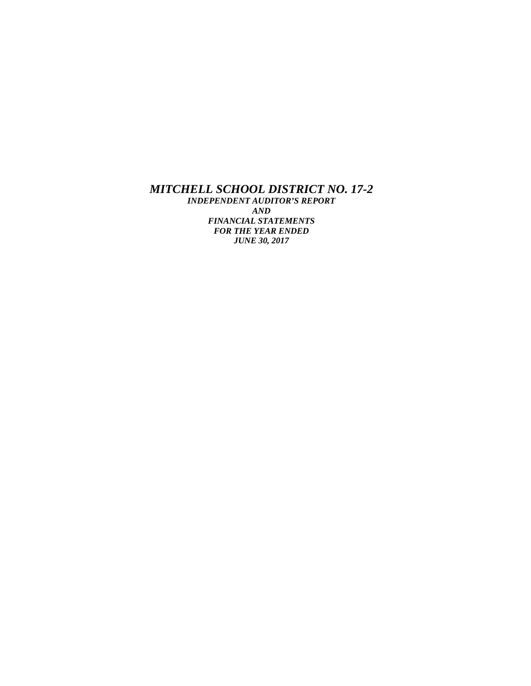*MITCHELL SCHOOL DISTRICT NO. 17-2 INDEPENDENT AUDITOR'S REPORT AND FINANCIAL STATEMENTS FOR THE YEAR ENDED JUNE 30, 2017*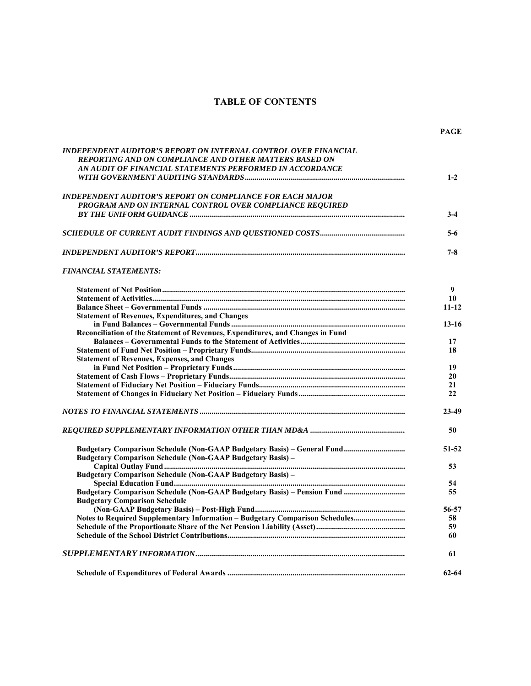# **TABLE OF CONTENTS**

| INDEPENDENT AUDITOR'S REPORT ON INTERNAL CONTROL OVER FINANCIAL                |           |
|--------------------------------------------------------------------------------|-----------|
| <b>REPORTING AND ON COMPLIANCE AND OTHER MATTERS BASED ON</b>                  |           |
| AN AUDIT OF FINANCIAL STATEMENTS PERFORMED IN ACCORDANCE                       |           |
|                                                                                | $1 - 2$   |
| <b>INDEPENDENT AUDITOR'S REPORT ON COMPLIANCE FOR EACH MAJOR</b>               |           |
| PROGRAM AND ON INTERNAL CONTROL OVER COMPLIANCE REQUIRED                       |           |
|                                                                                | $3-4$     |
|                                                                                | $5-6$     |
|                                                                                | $7 - 8$   |
| <b>FINANCIAL STATEMENTS:</b>                                                   |           |
|                                                                                | 9         |
|                                                                                | 10        |
|                                                                                | $11 - 12$ |
| <b>Statement of Revenues, Expenditures, and Changes</b>                        |           |
|                                                                                | $13 - 16$ |
| Reconciliation of the Statement of Revenues, Expenditures, and Changes in Fund |           |
|                                                                                | 17        |
|                                                                                | 18        |
| <b>Statement of Revenues, Expenses, and Changes</b>                            |           |
|                                                                                | 19        |
|                                                                                | 20        |
|                                                                                | 21        |
|                                                                                | 22        |
|                                                                                | 23-49     |
|                                                                                | 50        |
| <b>Budgetary Comparison Schedule (Non-GAAP Budgetary Basis) -</b>              | $51 - 52$ |
|                                                                                | 53        |
| <b>Budgetary Comparison Schedule (Non-GAAP Budgetary Basis)</b> -              |           |
|                                                                                | 54        |
|                                                                                | 55.       |
| <b>Budgetary Comparison Schedule</b>                                           |           |
|                                                                                | 56-57     |
| Notes to Required Supplementary Information - Budgetary Comparison Schedules   | 58        |
|                                                                                | 59        |
|                                                                                | 60        |
|                                                                                | 61        |
|                                                                                | $62 - 64$ |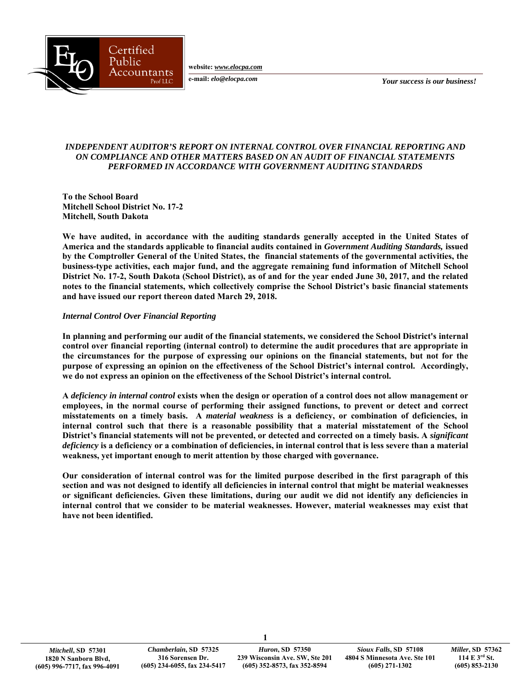**website:** *www.elocpa.com* 



**e-mail:** *elo@elocpa.com*

*Your success is our business!* 

# *INDEPENDENT AUDITOR'S REPORT ON INTERNAL CONTROL OVER FINANCIAL REPORTING AND ON COMPLIANCE AND OTHER MATTERS BASED ON AN AUDIT OF FINANCIAL STATEMENTS PERFORMED IN ACCORDANCE WITH GOVERNMENT AUDITING STANDARDS*

**To the School Board Mitchell School District No. 17-2 Mitchell, South Dakota** 

**We have audited, in accordance with the auditing standards generally accepted in the United States of America and the standards applicable to financial audits contained in** *Government Auditing Standards,* **issued by the Comptroller General of the United States, the financial statements of the governmental activities, the business-type activities, each major fund, and the aggregate remaining fund information of Mitchell School District No. 17-2, South Dakota (School District), as of and for the year ended June 30, 2017, and the related notes to the financial statements, which collectively comprise the School District's basic financial statements and have issued our report thereon dated March 29, 2018.** 

# *Internal Control Over Financial Reporting*

**In planning and performing our audit of the financial statements, we considered the School District's internal control over financial reporting (internal control) to determine the audit procedures that are appropriate in the circumstances for the purpose of expressing our opinions on the financial statements, but not for the purpose of expressing an opinion on the effectiveness of the School District's internal control. Accordingly, we do not express an opinion on the effectiveness of the School District's internal control.** 

**A** *deficiency in internal control* **exists when the design or operation of a control does not allow management or employees, in the normal course of performing their assigned functions, to prevent or detect and correct misstatements on a timely basis. A** *material weakness* **is a deficiency, or combination of deficiencies, in internal control such that there is a reasonable possibility that a material misstatement of the School District's financial statements will not be prevented, or detected and corrected on a timely basis. A** *significant deficiency* **is a deficiency or a combination of deficiencies, in internal control that is less severe than a material weakness, yet important enough to merit attention by those charged with governance.** 

**Our consideration of internal control was for the limited purpose described in the first paragraph of this section and was not designed to identify all deficiencies in internal control that might be material weaknesses or significant deficiencies. Given these limitations, during our audit we did not identify any deficiencies in internal control that we consider to be material weaknesses. However, material weaknesses may exist that have not been identified.** 

**1**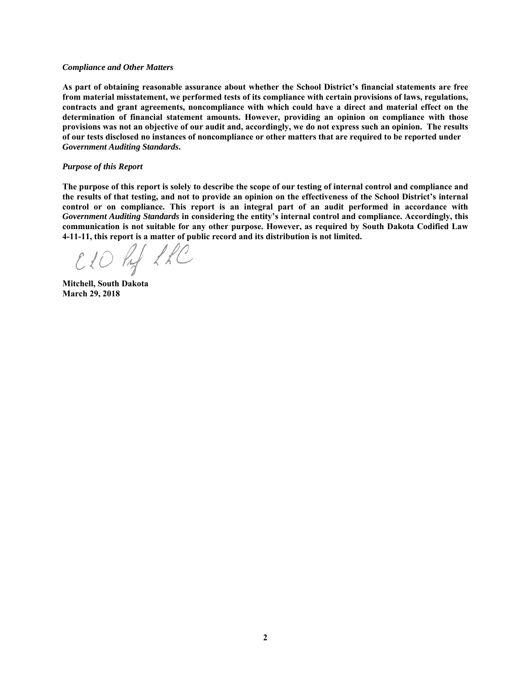#### *Compliance and Other Matters*

**As part of obtaining reasonable assurance about whether the School District's financial statements are free from material misstatement, we performed tests of its compliance with certain provisions of laws, regulations, contracts and grant agreements, noncompliance with which could have a direct and material effect on the determination of financial statement amounts. However, providing an opinion on compliance with those provisions was not an objective of our audit and, accordingly, we do not express such an opinion. The results of our tests disclosed no instances of noncompliance or other matters that are required to be reported under**  *Government Auditing Standards***.** 

#### *Purpose of this Report*

**The purpose of this report is solely to describe the scope of our testing of internal control and compliance and the results of that testing, and not to provide an opinion on the effectiveness of the School District's internal control or on compliance. This report is an integral part of an audit performed in accordance with**  *Government Auditing Standards* **in considering the entity's internal control and compliance. Accordingly, this communication is not suitable for any other purpose. However, as required by South Dakota Codified Law 4-11-11, this report is a matter of public record and its distribution is not limited.** 

CLO hy LLC

**Mitchell, South Dakota March 29, 2018**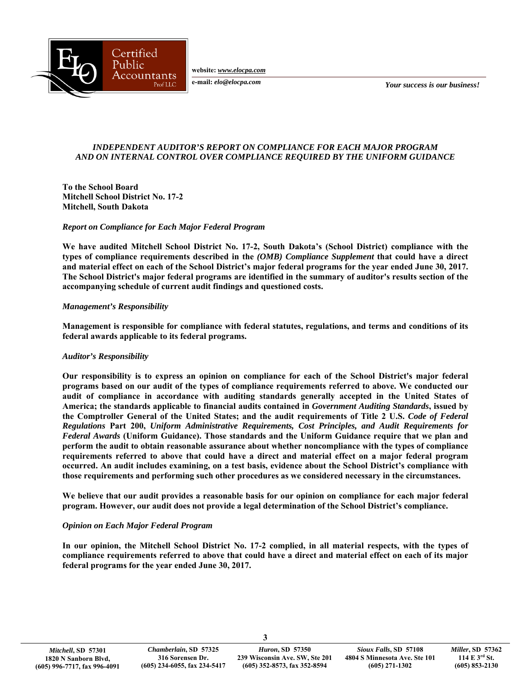Certified Public Accountants Prof LLC

**website:** *www.elocpa.com* 

**e-mail:** *elo@elocpa.com*

*Your success is our business!* 

# *INDEPENDENT AUDITOR'S REPORT ON COMPLIANCE FOR EACH MAJOR PROGRAM AND ON INTERNAL CONTROL OVER COMPLIANCE REQUIRED BY THE UNIFORM GUIDANCE*

**To the School Board Mitchell School District No. 17-2 Mitchell, South Dakota** 

## *Report on Compliance for Each Major Federal Program*

**We have audited Mitchell School District No. 17-2, South Dakota's (School District) compliance with the types of compliance requirements described in the** *(OMB) Compliance Supplement* **that could have a direct and material effect on each of the School District's major federal programs for the year ended June 30, 2017. The School District's major federal programs are identified in the summary of auditor's results section of the accompanying schedule of current audit findings and questioned costs.** 

## *Management's Responsibility*

**Management is responsible for compliance with federal statutes, regulations, and terms and conditions of its federal awards applicable to its federal programs.** 

# *Auditor's Responsibility*

**Our responsibility is to express an opinion on compliance for each of the School District's major federal programs based on our audit of the types of compliance requirements referred to above. We conducted our audit of compliance in accordance with auditing standards generally accepted in the United States of America; the standards applicable to financial audits contained in** *Government Auditing Standards***, issued by the Comptroller General of the United States; and the audit requirements of Title 2 U.S.** *Code of Federal Regulations* **Part 200,** *Uniform Administrative Requirements, Cost Principles, and Audit Requirements for Federal Awards* **(Uniform Guidance). Those standards and the Uniform Guidance require that we plan and perform the audit to obtain reasonable assurance about whether noncompliance with the types of compliance requirements referred to above that could have a direct and material effect on a major federal program occurred. An audit includes examining, on a test basis, evidence about the School District's compliance with those requirements and performing such other procedures as we considered necessary in the circumstances.** 

**We believe that our audit provides a reasonable basis for our opinion on compliance for each major federal program. However, our audit does not provide a legal determination of the School District's compliance.** 

# *Opinion on Each Major Federal Program*

**In our opinion, the Mitchell School District No. 17-2 complied, in all material respects, with the types of compliance requirements referred to above that could have a direct and material effect on each of its major federal programs for the year ended June 30, 2017.** 

**3**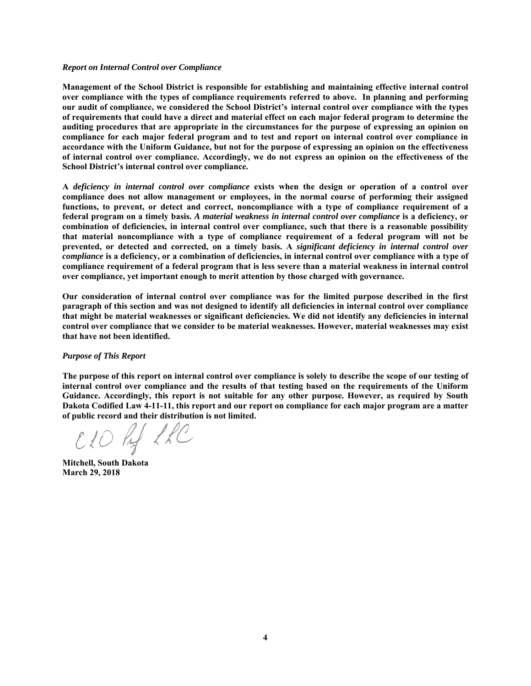#### *Report on Internal Control over Compliance*

**Management of the School District is responsible for establishing and maintaining effective internal control over compliance with the types of compliance requirements referred to above. In planning and performing our audit of compliance, we considered the School District's internal control over compliance with the types of requirements that could have a direct and material effect on each major federal program to determine the auditing procedures that are appropriate in the circumstances for the purpose of expressing an opinion on compliance for each major federal program and to test and report on internal control over compliance in accordance with the Uniform Guidance, but not for the purpose of expressing an opinion on the effectiveness of internal control over compliance. Accordingly, we do not express an opinion on the effectiveness of the School District's internal control over compliance.** 

**A** *deficiency in internal control over compliance* **exists when the design or operation of a control over compliance does not allow management or employees, in the normal course of performing their assigned functions, to prevent, or detect and correct, noncompliance with a type of compliance requirement of a federal program on a timely basis.** *A material weakness in internal control over compliance* **is a deficiency, or combination of deficiencies, in internal control over compliance, such that there is a reasonable possibility that material noncompliance with a type of compliance requirement of a federal program will not be prevented, or detected and corrected, on a timely basis. A** *significant deficiency in internal control over compliance* **is a deficiency, or a combination of deficiencies, in internal control over compliance with a type of compliance requirement of a federal program that is less severe than a material weakness in internal control over compliance, yet important enough to merit attention by those charged with governance.** 

**Our consideration of internal control over compliance was for the limited purpose described in the first paragraph of this section and was not designed to identify all deficiencies in internal control over compliance that might be material weaknesses or significant deficiencies. We did not identify any deficiencies in internal control over compliance that we consider to be material weaknesses. However, material weaknesses may exist that have not been identified.** 

#### *Purpose of This Report*

**The purpose of this report on internal control over compliance is solely to describe the scope of our testing of internal control over compliance and the results of that testing based on the requirements of the Uniform Guidance. Accordingly, this report is not suitable for any other purpose. However, as required by South Dakota Codified Law 4-11-11, this report and our report on compliance for each major program are a matter of public record and their distribution is not limited.** 

CIO hy LRC

**Mitchell, South Dakota March 29, 2018**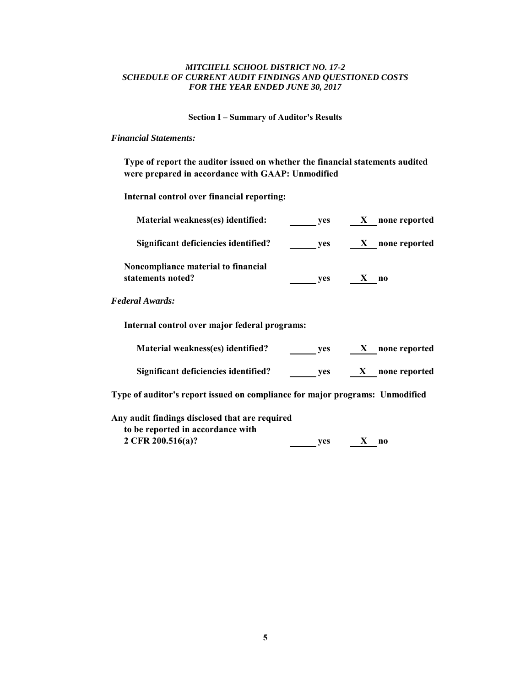# *MITCHELL SCHOOL DISTRICT NO. 17-2 SCHEDULE OF CURRENT AUDIT FINDINGS AND QUESTIONED COSTS FOR THE YEAR ENDED JUNE 30, 2017*

**Section I – Summary of Auditor's Results** 

# *Financial Statements:*

**Type of report the auditor issued on whether the financial statements audited were prepared in accordance with GAAP: Unmodified**

**Internal control over financial reporting:**

| Material weakness(es) identified:                        | ves        | none reported<br>X.           |  |
|----------------------------------------------------------|------------|-------------------------------|--|
| Significant deficiencies identified?                     | <b>ves</b> | none reported<br>$\mathbf{X}$ |  |
| Noncompliance material to financial<br>statements noted? | <b>ves</b> | n <sub>0</sub>                |  |
| <b>Federal Awards:</b>                                   |            |                               |  |
| Internal control over major federal programs:            |            |                               |  |
| Material weakness(es) identified?                        | <b>ves</b> | none reported<br>X            |  |

Significant deficiencies identified? yes X none reported

**Type of auditor's report issued on compliance for major programs: Unmodified**

| Any audit findings disclosed that are required |     |              |          |  |
|------------------------------------------------|-----|--------------|----------|--|
| to be reported in accordance with              |     |              |          |  |
| 2 CFR 200.516(a)?                              | ves | $\mathbf{X}$ | $\bf{n}$ |  |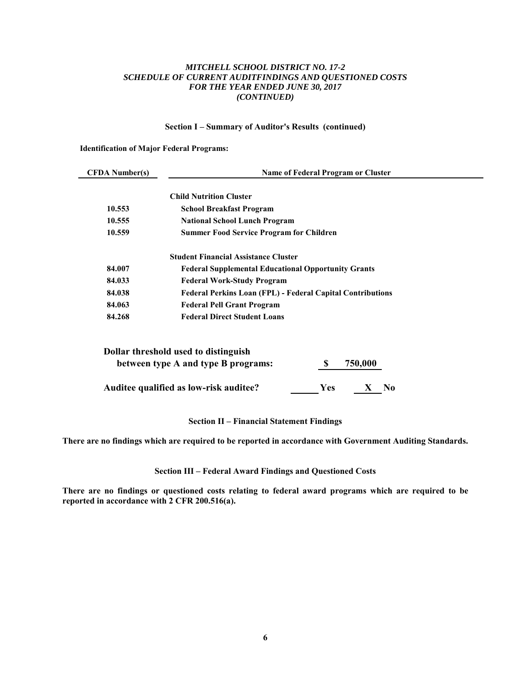# *MITCHELL SCHOOL DISTRICT NO. 17-2 SCHEDULE OF CURRENT AUDITFINDINGS AND QUESTIONED COSTS FOR THE YEAR ENDED JUNE 30, 2017 (CONTINUED)*

## **Section I – Summary of Auditor's Results (continued)**

## **Identification of Major Federal Programs:**

| <b>CFDA</b> Number(s) | Name of Federal Program or Cluster                                |
|-----------------------|-------------------------------------------------------------------|
|                       |                                                                   |
|                       | <b>Child Nutrition Cluster</b>                                    |
| 10.553                | <b>School Breakfast Program</b>                                   |
| 10.555                | <b>National School Lunch Program</b>                              |
| 10.559                | <b>Summer Food Service Program for Children</b>                   |
|                       | <b>Student Financial Assistance Cluster</b>                       |
| 84.007                | <b>Federal Supplemental Educational Opportunity Grants</b>        |
| 84.033                | <b>Federal Work-Study Program</b>                                 |
| 84.038                | <b>Federal Perkins Loan (FPL) - Federal Capital Contributions</b> |
| 84.063                | <b>Federal Pell Grant Program</b>                                 |
| 84.268                | <b>Federal Direct Student Loans</b>                               |

| Dollar threshold used to distinguish   |            |         |    |
|----------------------------------------|------------|---------|----|
| between type A and type B programs:    |            | 750,000 |    |
| Auditee qualified as low-risk auditee? | <b>Yes</b> | X       | No |

# **Section II – Financial Statement Findings**

**There are no findings which are required to be reported in accordance with Government Auditing Standards.** 

**Section III – Federal Award Findings and Questioned Costs** 

**There are no findings or questioned costs relating to federal award programs which are required to be reported in accordance with 2 CFR 200.516(a).**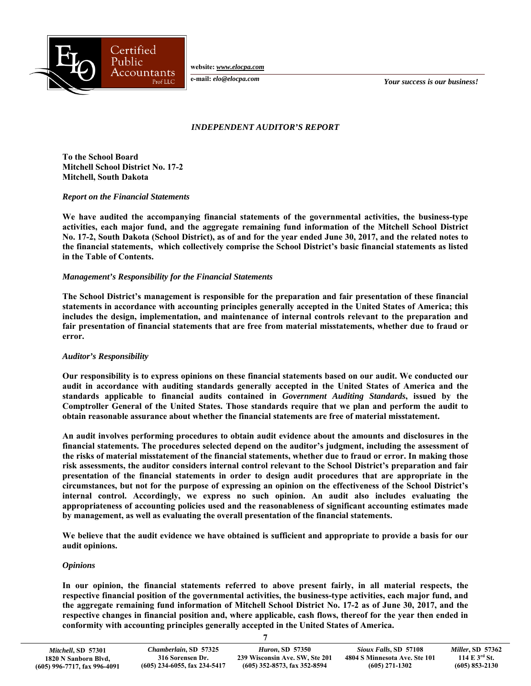

**website:** *www.elocpa.com* 

**e-mail:** *elo@elocpa.com*

*Your success is our business!* 

# *INDEPENDENT AUDITOR'S REPORT*

**To the School Board Mitchell School District No. 17-2 Mitchell, South Dakota** 

#### *Report on the Financial Statements*

**We have audited the accompanying financial statements of the governmental activities, the business-type activities, each major fund, and the aggregate remaining fund information of the Mitchell School District No. 17-2, South Dakota (School District), as of and for the year ended June 30, 2017, and the related notes to the financial statements, which collectively comprise the School District's basic financial statements as listed in the Table of Contents.** 

# *Management's Responsibility for the Financial Statements*

**The School District's management is responsible for the preparation and fair presentation of these financial statements in accordance with accounting principles generally accepted in the United States of America; this includes the design, implementation, and maintenance of internal controls relevant to the preparation and fair presentation of financial statements that are free from material misstatements, whether due to fraud or error.** 

# *Auditor's Responsibility*

**Our responsibility is to express opinions on these financial statements based on our audit. We conducted our audit in accordance with auditing standards generally accepted in the United States of America and the standards applicable to financial audits contained in** *Government Auditing Standards***, issued by the Comptroller General of the United States. Those standards require that we plan and perform the audit to obtain reasonable assurance about whether the financial statements are free of material misstatement.** 

**An audit involves performing procedures to obtain audit evidence about the amounts and disclosures in the financial statements. The procedures selected depend on the auditor's judgment, including the assessment of the risks of material misstatement of the financial statements, whether due to fraud or error. In making those risk assessments, the auditor considers internal control relevant to the School District's preparation and fair presentation of the financial statements in order to design audit procedures that are appropriate in the circumstances, but not for the purpose of expressing an opinion on the effectiveness of the School District's internal control. Accordingly, we express no such opinion. An audit also includes evaluating the appropriateness of accounting policies used and the reasonableness of significant accounting estimates made by management, as well as evaluating the overall presentation of the financial statements.** 

**We believe that the audit evidence we have obtained is sufficient and appropriate to provide a basis for our audit opinions.** 

# *Opinions*

**In our opinion, the financial statements referred to above present fairly, in all material respects, the respective financial position of the governmental activities, the business-type activities, each major fund, and the aggregate remaining fund information of Mitchell School District No. 17-2 as of June 30, 2017, and the respective changes in financial position and, where applicable, cash flows, thereof for the year then ended in conformity with accounting principles generally accepted in the United States of America.** 

**7**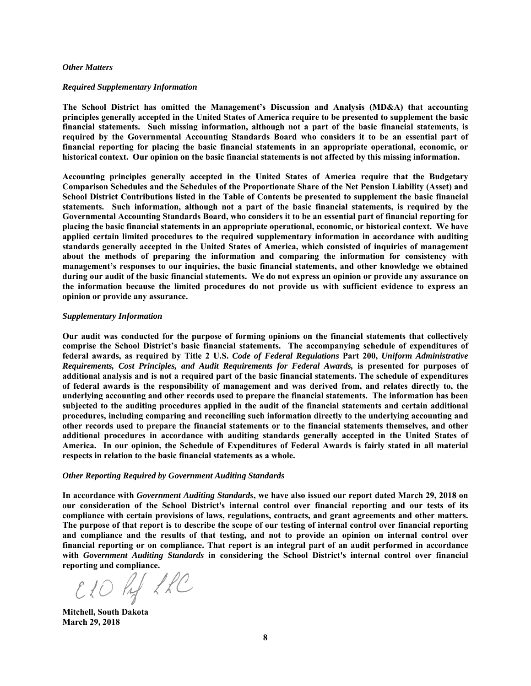#### *Other Matters*

#### *Required Supplementary Information*

**The School District has omitted the Management's Discussion and Analysis (MD&A) that accounting principles generally accepted in the United States of America require to be presented to supplement the basic financial statements. Such missing information, although not a part of the basic financial statements, is required by the Governmental Accounting Standards Board who considers it to be an essential part of financial reporting for placing the basic financial statements in an appropriate operational, economic, or historical context. Our opinion on the basic financial statements is not affected by this missing information.** 

**Accounting principles generally accepted in the United States of America require that the Budgetary Comparison Schedules and the Schedules of the Proportionate Share of the Net Pension Liability (Asset) and School District Contributions listed in the Table of Contents be presented to supplement the basic financial statements. Such information, although not a part of the basic financial statements, is required by the Governmental Accounting Standards Board, who considers it to be an essential part of financial reporting for placing the basic financial statements in an appropriate operational, economic, or historical context. We have applied certain limited procedures to the required supplementary information in accordance with auditing standards generally accepted in the United States of America, which consisted of inquiries of management about the methods of preparing the information and comparing the information for consistency with management's responses to our inquiries, the basic financial statements, and other knowledge we obtained during our audit of the basic financial statements. We do not express an opinion or provide any assurance on the information because the limited procedures do not provide us with sufficient evidence to express an opinion or provide any assurance.** 

#### *Supplementary Information*

**Our audit was conducted for the purpose of forming opinions on the financial statements that collectively comprise the School District's basic financial statements. The accompanying schedule of expenditures of federal awards, as required by Title 2 U.S.** *Code of Federal Regulations* **Part 200,** *Uniform Administrative Requirements, Cost Principles, and Audit Requirements for Federal Awards,* **is presented for purposes of additional analysis and is not a required part of the basic financial statements. The schedule of expenditures of federal awards is the responsibility of management and was derived from, and relates directly to, the underlying accounting and other records used to prepare the financial statements. The information has been subjected to the auditing procedures applied in the audit of the financial statements and certain additional procedures, including comparing and reconciling such information directly to the underlying accounting and other records used to prepare the financial statements or to the financial statements themselves, and other additional procedures in accordance with auditing standards generally accepted in the United States of America. In our opinion, the Schedule of Expenditures of Federal Awards is fairly stated in all material respects in relation to the basic financial statements as a whole.** 

#### *Other Reporting Required by Government Auditing Standards*

**In accordance with** *Government Auditing Standards***, we have also issued our report dated March 29, 2018 on our consideration of the School District's internal control over financial reporting and our tests of its compliance with certain provisions of laws, regulations, contracts, and grant agreements and other matters. The purpose of that report is to describe the scope of our testing of internal control over financial reporting and compliance and the results of that testing, and not to provide an opinion on internal control over financial reporting or on compliance. That report is an integral part of an audit performed in accordance with** *Government Auditing Standards* **in considering the School District's internal control over financial reporting and compliance.** 

CLO hy LLC

**Mitchell, South Dakota March 29, 2018**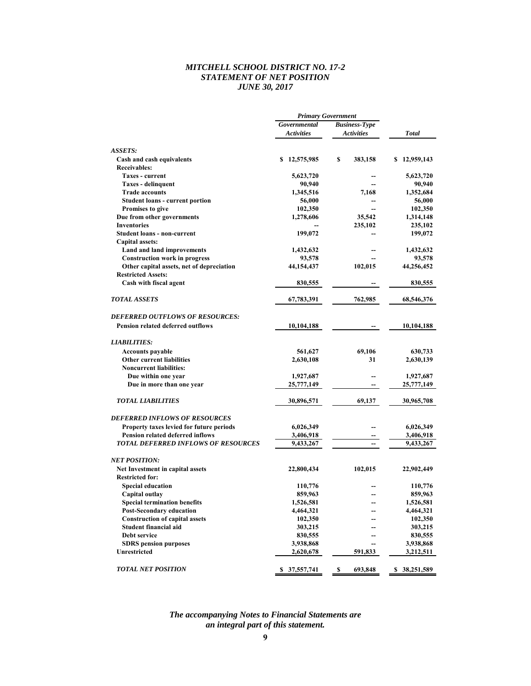## *MITCHELL SCHOOL DISTRICT NO. 17-2 STATEMENT OF NET POSITION JUNE 30, 2017*

|                                                            | <b>Primary Government</b> |                      |                  |  |
|------------------------------------------------------------|---------------------------|----------------------|------------------|--|
|                                                            | Governmental              | <b>Business-Type</b> |                  |  |
|                                                            | <b>Activities</b>         | <b>Activities</b>    | Total            |  |
| ASSETS:                                                    |                           |                      |                  |  |
| Cash and cash equivalents                                  | \$12,575,985              | \$<br>383,158        | \$12,959,143     |  |
| Receivables:                                               |                           |                      |                  |  |
| <b>Taxes - current</b>                                     | 5,623,720                 |                      | 5,623,720        |  |
| <b>Taxes - delinquent</b>                                  | 90,940                    |                      | 90,940           |  |
| <b>Trade accounts</b>                                      | 1,345,516                 | 7,168                | 1,352,684        |  |
| <b>Student loans - current portion</b>                     | 56,000                    |                      | 56,000           |  |
| <b>Promises to give</b>                                    | 102,350                   |                      | 102,350          |  |
| Due from other governments                                 | 1,278,606                 | 35,542               | 1,314,148        |  |
| <b>Inventories</b>                                         |                           | 235,102              | 235,102          |  |
| <b>Student loans - non-current</b>                         | 199,072                   |                      | 199,072          |  |
| Capital assets:                                            |                           |                      |                  |  |
| Land and land improvements                                 | 1,432,632                 |                      | 1,432,632        |  |
| <b>Construction work in progress</b>                       | 93,578                    |                      | 93,578           |  |
| Other capital assets, net of depreciation                  | 44,154,437                | 102,015              | 44,256,452       |  |
| <b>Restricted Assets:</b>                                  |                           |                      |                  |  |
| Cash with fiscal agent                                     | 830,555                   |                      | 830,555          |  |
| <i><b>TOTAL ASSETS</b></i>                                 | 67,783,391                | 762,985              | 68,546,376       |  |
| DEFERRED OUTFLOWS OF RESOURCES:                            |                           |                      |                  |  |
| <b>Pension related deferred outflows</b>                   | 10,104,188                |                      | 10,104,188       |  |
| <b>LIABILITIES:</b>                                        |                           |                      |                  |  |
| <b>Accounts payable</b>                                    | 561,627                   | 69,106               | 630,733          |  |
| <b>Other current liabilities</b>                           | 2,630,108                 | 31                   | 2,630,139        |  |
| <b>Noncurrent liabilities:</b>                             |                           |                      |                  |  |
| Due within one year                                        | 1,927,687                 | --                   | 1,927,687        |  |
| Due in more than one year                                  | 25,777,149                |                      | 25,777,149       |  |
| <b>TOTAL LIABILITIES</b>                                   | 30,896,571                | 69,137               | 30,965,708       |  |
| DEFERRED INFLOWS OF RESOURCES                              |                           |                      |                  |  |
| Property taxes levied for future periods                   | 6,026,349                 |                      | 6,026,349        |  |
| <b>Pension related deferred inflows</b>                    | 3,406,918                 |                      | 3,406,918        |  |
| <b>TOTAL DEFERRED INFLOWS OF RESOURCES</b>                 | 9,433,267                 | --                   | 9,433,267        |  |
| <i>NET POSITION:</i>                                       |                           |                      |                  |  |
| Net Investment in capital assets<br><b>Restricted for:</b> | 22,800,434                | 102,015              | 22,902,449       |  |
| <b>Special education</b>                                   | 110,776                   |                      | 110,776          |  |
| Capital outlay                                             | 859,963                   | --                   | 859,963          |  |
| <b>Special termination benefits</b>                        | 1,526,581                 |                      | 1,526,581        |  |
| <b>Post-Secondary education</b>                            | 4,464,321                 |                      | 4,464,321        |  |
| <b>Construction of capital assets</b>                      | 102,350                   |                      | 102,350          |  |
| Student financial aid                                      | 303,215                   |                      | 303,215          |  |
| Debt service                                               | 830,555                   |                      | 830,555          |  |
| <b>SDRS</b> pension purposes                               | 3,938,868                 |                      | 3,938,868        |  |
| Unrestricted                                               | 2,620,678                 | 591,833              | 3,212,511        |  |
| <b>TOTAL NET POSITION</b>                                  | 37,557,741<br>S.          | \$<br>693,848        | 38,251,589<br>\$ |  |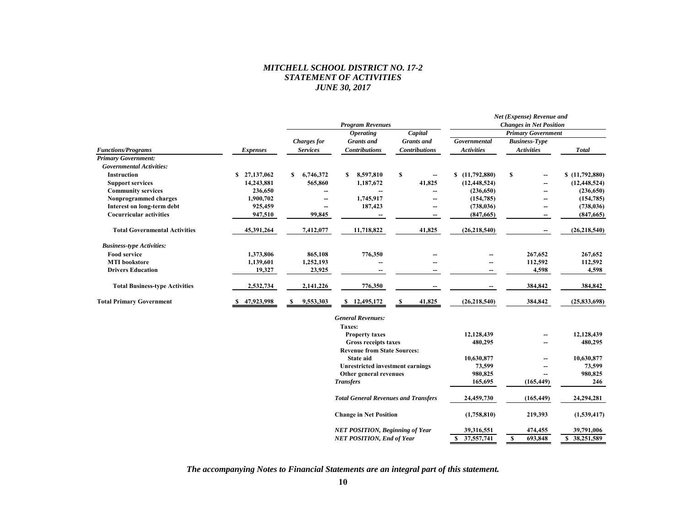## *MITCHELL SCHOOL DISTRICT NO. 17-2 STATEMENT OF ACTIVITIES JUNE 30, 2017*

|                                       |                  |                                       |                         |                      |                                | Net (Expense) Revenue and |                |  |
|---------------------------------------|------------------|---------------------------------------|-------------------------|----------------------|--------------------------------|---------------------------|----------------|--|
|                                       |                  |                                       | <b>Program Revenues</b> |                      | <b>Changes in Net Position</b> |                           |                |  |
|                                       |                  |                                       | <i><b>Operating</b></i> | Capital              |                                | <b>Primary Government</b> |                |  |
|                                       |                  | <b>Charges for</b>                    | <b>Grants</b> and       | <b>Grants</b> and    | Governmental                   | <b>Business-Type</b>      |                |  |
| <b>Functions/Programs</b>             | <i>Expenses</i>  | <b>Services</b>                       | <b>Contributions</b>    | <b>Contributions</b> | <b>Activities</b>              | <b>Activities</b>         | <b>Total</b>   |  |
| <b>Primary Government:</b>            |                  |                                       |                         |                      |                                |                           |                |  |
| <b>Governmental Activities:</b>       |                  |                                       |                         |                      |                                |                           |                |  |
| <b>Instruction</b>                    | S.<br>27,137,062 | 6,746,372<br>\$                       | 8,597,810<br>S.         | S                    | (11,792,880)<br>\$             | S                         | \$(11,792,880) |  |
| <b>Support services</b>               | 14,243,881       | 565,860                               | 1,187,672               | 41,825               | (12, 448, 524)                 |                           | (12, 448, 524) |  |
| <b>Community services</b>             | 236,650          |                                       |                         |                      | (236, 650)                     |                           | (236, 650)     |  |
| Nonprogrammed charges                 | 1,900,702        | $\hspace{0.05cm}$ – $\hspace{0.05cm}$ | 1,745,917               |                      | (154, 785)                     |                           | (154, 785)     |  |
| Interest on long-term debt            | 925,459          |                                       | 187,423                 | $- -$                | (738, 036)                     |                           | (738, 036)     |  |
| <b>Cocurricular activities</b>        | 947,510          | 99,845                                |                         | --                   | (847,665)                      |                           | (847, 665)     |  |
| <b>Total Governmental Activities</b>  | 45,391,264       | 7,412,077                             | 11,718,822              | 41,825               | (26, 218, 540)                 |                           | (26, 218, 540) |  |
| <b>Business-type Activities:</b>      |                  |                                       |                         |                      |                                |                           |                |  |
| <b>Food service</b>                   | 1,373,806        | 865,108                               | 776,350                 |                      |                                | 267,652                   | 267,652        |  |
| <b>MTI</b> bookstore                  | 1,139,601        | 1,252,193                             |                         | --                   |                                | 112,592                   | 112,592        |  |
| <b>Drivers Education</b>              | 19,327           | 23,925                                |                         |                      |                                | 4,598                     | 4,598          |  |
| <b>Total Business-type Activities</b> | 2,532,734        | 2,141,226                             | 776,350                 |                      |                                | 384,842                   | 384,842        |  |
| <b>Total Primary Government</b>       | 47,923,998       | 9,553,303<br>S                        | \$12,495,172            | 41,825               | (26, 218, 540)                 | 384,842                   | (25, 833, 698) |  |

| <b>General Revenues:</b>                    |                 |              |                 |
|---------------------------------------------|-----------------|--------------|-----------------|
| Taxes:                                      |                 |              |                 |
| <b>Property taxes</b>                       | 12,128,439      |              | 12,128,439      |
| <b>Gross receipts taxes</b>                 | 480,295         |              | 480,295         |
| <b>Revenue from State Sources:</b>          |                 |              |                 |
| State aid                                   | 10,630,877      |              | 10,630,877      |
| <b>Unrestricted investment earnings</b>     | 73,599          |              | 73,599          |
| Other general revenues                      | 980,825         |              | 980,825         |
| <b>Transfers</b>                            | 165,695         | (165, 449)   | 246             |
| <b>Total General Revenues and Transfers</b> | 24,459,730      | (165, 449)   | 24,294,281      |
| <b>Change in Net Position</b>               | (1,758,810)     | 219,393      | (1,539,417)     |
| <b>NET POSITION, Beginning of Year</b>      | 39,316,551      | 474,455      | 39,791,006      |
| <b>NET POSITION, End of Year</b>            | 37,557,741<br>S | S<br>693.848 | 38,251,589<br>S |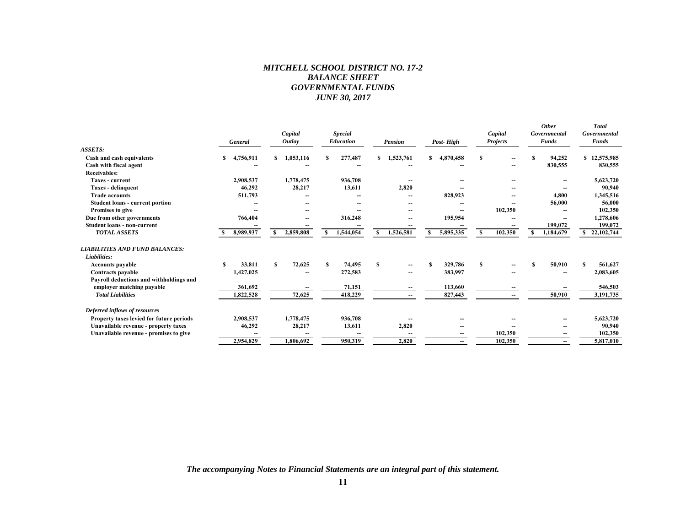## *MITCHELL SCHOOL DISTRICT NO. 17-2 BALANCE SHEET GOVERNMENTAL FUNDS JUNE 30, 2017*

|                                          | General   | Capital<br><b>Outlay</b> | <b>Special</b><br>Education | <b>Pension</b> | Post-High      | Capital<br><b>Projects</b> | <b>Other</b><br>Governmental<br>Funds | <b>Total</b><br>Governmental<br>Funds |
|------------------------------------------|-----------|--------------------------|-----------------------------|----------------|----------------|----------------------------|---------------------------------------|---------------------------------------|
| <b>ASSETS:</b>                           |           |                          |                             |                |                |                            |                                       |                                       |
| Cash and cash equivalents                | 4,756,911 | 1,053,116<br>\$.         | 277,487                     | 1,523,761<br>S | 4,870,458<br>S | S                          | 94,252<br>S                           | \$12,575,985                          |
| Cash with fiscal agent                   |           |                          |                             |                |                |                            | 830,555                               | 830,555                               |
| <b>Receivables:</b>                      |           |                          |                             |                |                |                            |                                       |                                       |
| <b>Taxes - current</b>                   | 2,908,537 | 1,778,475                | 936,708                     |                |                |                            |                                       | 5,623,720                             |
| Taxes - delinquent                       | 46,292    | 28,217                   | 13,611                      | 2,820          |                |                            |                                       | 90,940                                |
| <b>Trade accounts</b>                    | 511,793   |                          |                             |                | 828,923        |                            | 4,800                                 | 1,345,516                             |
| <b>Student loans - current portion</b>   |           |                          |                             |                |                |                            | 56,000                                | 56,000                                |
| Promises to give                         |           |                          |                             |                |                | 102,350                    |                                       | 102,350                               |
| Due from other governments               | 766,404   |                          | 316,248                     |                | 195,954        |                            |                                       | 1,278,606                             |
| Student loans - non-current              |           |                          |                             |                |                |                            | 199,072                               | 199,072                               |
| <b>TOTAL ASSETS</b>                      | 8,989,937 | 2,859,808                | 1,544,054                   | 1,526,581<br>S | 5,895,335<br>s | 102,350<br>S               | 1,184,679                             | 22,102,744                            |
| <b>LIABILITIES AND FUND BALANCES:</b>    |           |                          |                             |                |                |                            |                                       |                                       |
| Liabilities:                             |           |                          |                             |                |                |                            |                                       |                                       |
| <b>Accounts payable</b>                  | 33,811    | 72,625<br>s              | 74,495<br>s                 | S              | 329,786        | s                          | 50,910<br>S                           | 561,627<br>S                          |
| <b>Contracts payable</b>                 | 1,427,025 | --                       | 272,583                     |                | 383,997        |                            |                                       | 2,083,605                             |
| Payroll deductions and withholdings and  |           |                          |                             |                |                |                            |                                       |                                       |
| employer matching payable                | 361,692   |                          | 71,151                      | --             | 113.660        |                            |                                       | 546,503                               |
| <b>Total Liabilities</b>                 | 1,822,528 | 72,625                   | 418,229                     | --             | 827,443        |                            | 50,910                                | 3,191,735                             |
|                                          |           |                          |                             |                |                |                            |                                       |                                       |
| Deferred inflows of resources            |           |                          |                             |                |                |                            |                                       |                                       |
| Property taxes levied for future periods | 2,908,537 | 1,778,475                | 936,708                     |                |                |                            |                                       | 5,623,720                             |
| Unavailable revenue - property taxes     | 46,292    | 28,217                   | 13,611                      | 2,820          |                |                            |                                       | 90,940                                |
| Unavailable revenue - promises to give   |           |                          |                             |                |                | 102,350                    |                                       | 102,350                               |
|                                          | 2,954,829 | 1,806,692                | 950.319                     | 2.820          | --             | 102,350                    |                                       | 5,817,010                             |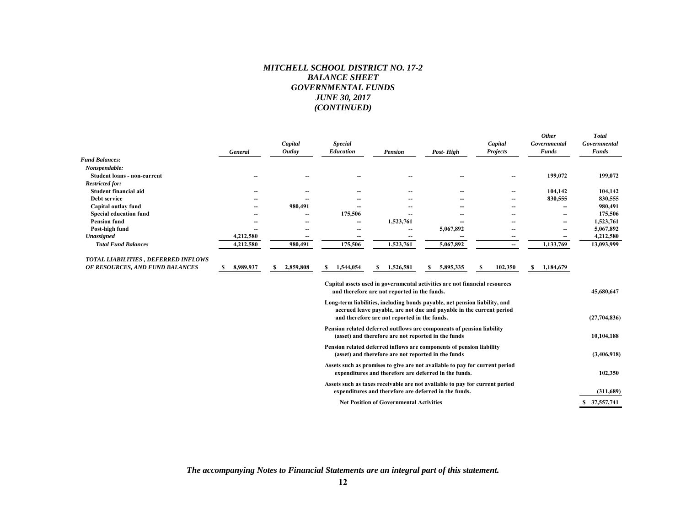#### *MITCHELL SCHOOL DISTRICT NO. 17-2 BALANCE SHEET GOVERNMENTAL FUNDS JUNE 30, 2017 (CONTINUED)*

|                                     | General        | Capital<br>Outlay | <b>Special</b><br>Education                                                                                                          | <b>Pension</b>                                                                                                                                                                                     | Post-High | Capital<br><b>Projects</b> | <b>Other</b><br>Governmental<br><b>Funds</b> | <b>Total</b><br>Governmental<br><b>Funds</b> |
|-------------------------------------|----------------|-------------------|--------------------------------------------------------------------------------------------------------------------------------------|----------------------------------------------------------------------------------------------------------------------------------------------------------------------------------------------------|-----------|----------------------------|----------------------------------------------|----------------------------------------------|
| <b>Fund Balances:</b>               |                |                   |                                                                                                                                      |                                                                                                                                                                                                    |           |                            |                                              |                                              |
| Nonspendable:                       |                |                   |                                                                                                                                      |                                                                                                                                                                                                    |           |                            |                                              |                                              |
| <b>Student loans - non-current</b>  |                |                   |                                                                                                                                      |                                                                                                                                                                                                    |           | --                         | 199,072                                      | 199,072                                      |
| <b>Restricted for:</b>              |                |                   |                                                                                                                                      |                                                                                                                                                                                                    |           |                            |                                              |                                              |
| Student financial aid               |                |                   |                                                                                                                                      |                                                                                                                                                                                                    |           | --                         | 104,142                                      | 104,142                                      |
| Debt service                        |                |                   |                                                                                                                                      |                                                                                                                                                                                                    |           | --                         | 830,555                                      | 830,555                                      |
| Capital outlay fund                 |                | 980,491           |                                                                                                                                      |                                                                                                                                                                                                    |           |                            |                                              | 980,491                                      |
| <b>Special education fund</b>       |                |                   | 175,506                                                                                                                              |                                                                                                                                                                                                    |           |                            | --                                           | 175,506                                      |
| <b>Pension fund</b>                 |                |                   |                                                                                                                                      | 1,523,761                                                                                                                                                                                          |           |                            | --                                           | 1,523,761                                    |
| Post-high fund                      |                |                   |                                                                                                                                      |                                                                                                                                                                                                    | 5,067,892 |                            | ۰.                                           | 5,067,892                                    |
| Unassigned                          | 4,212,580      |                   | --                                                                                                                                   |                                                                                                                                                                                                    |           | --                         | --                                           | 4,212,580                                    |
| <b>Total Fund Balances</b>          | 4,212,580      | 980,491           | 175,506                                                                                                                              | 1,523,761                                                                                                                                                                                          | 5,067,892 | --                         | 1,133,769                                    | 13,093,999                                   |
| TOTAL LIABILITIES, DEFERRED INFLOWS |                |                   |                                                                                                                                      |                                                                                                                                                                                                    |           |                            |                                              |                                              |
| OF RESOURCES, AND FUND BALANCES     | 8,989,937<br>S | 2,859,808<br>S    | 1,544,054<br>s                                                                                                                       | 1,526,581                                                                                                                                                                                          | 5,895,335 | 102,350<br>S               | 1,184,679<br>S                               |                                              |
|                                     |                |                   |                                                                                                                                      | Capital assets used in governmental activities are not financial resources<br>and therefore are not reported in the funds.                                                                         |           |                            |                                              | 45,680,647                                   |
|                                     |                |                   |                                                                                                                                      | Long-term liabilities, including bonds payable, net pension liability, and<br>accrued leave payable, are not due and payable in the current period<br>and therefore are not reported in the funds. |           |                            |                                              | (27,704,836)                                 |
|                                     |                |                   |                                                                                                                                      | Pension related deferred outflows are components of pension liability<br>(asset) and therefore are not reported in the funds                                                                       |           |                            |                                              | 10,104,188                                   |
|                                     |                |                   |                                                                                                                                      | Pension related deferred inflows are components of pension liability<br>(asset) and therefore are not reported in the funds                                                                        |           |                            |                                              | (3,406,918)                                  |
|                                     |                |                   | Assets such as promises to give are not available to pay for current period<br>expenditures and therefore are deferred in the funds. |                                                                                                                                                                                                    |           |                            |                                              | 102,350                                      |
|                                     |                |                   |                                                                                                                                      | Assets such as taxes receivable are not available to pay for current period<br>expenditures and therefore are deferred in the funds.                                                               |           |                            |                                              | (311,689)                                    |
|                                     |                |                   |                                                                                                                                      | <b>Net Position of Governmental Activities</b>                                                                                                                                                     |           |                            |                                              | \$ 37,557,741                                |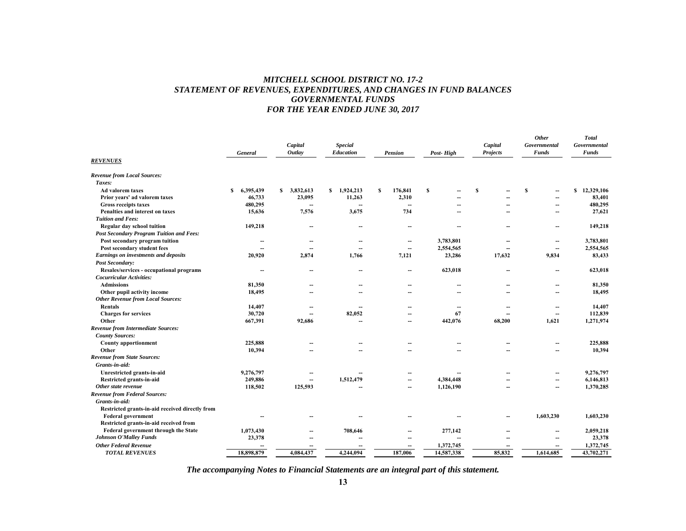## *MITCHELL SCHOOL DISTRICT NO. 17-2 STATEMENT OF REVENUES, EXPENDITURES, AND CHANGES IN FUND BALANCES GOVERNMENTAL FUNDS FOR THE YEAR ENDED JUNE 30, 2017*

| <b>REVENUES</b>                                                      | General                  | Capital<br>Outlay | <b>Special</b><br><b>Education</b> | <b>Pension</b>           | Post-High  | Capital<br><b>Projects</b> | <b>Other</b><br>Governmental<br><b>Funds</b> | <b>Total</b><br>Governmental<br><b>Funds</b> |
|----------------------------------------------------------------------|--------------------------|-------------------|------------------------------------|--------------------------|------------|----------------------------|----------------------------------------------|----------------------------------------------|
| <b>Revenue from Local Sources:</b>                                   |                          |                   |                                    |                          |            |                            |                                              |                                              |
| Taxes:                                                               |                          |                   |                                    |                          |            |                            |                                              |                                              |
| Ad valorem taxes                                                     | 6,395,439<br>S           | 3,832,613<br>S    | 1,924,213<br>S.                    | S<br>176,841             | S          | S                          | S<br>--                                      | \$12,329,106                                 |
| Prior years' ad valorem taxes                                        | 46,733                   | 23,095            | 11,263                             | 2,310                    |            |                            | $\sim$                                       | 83,401                                       |
| Gross receipts taxes                                                 | 480,295                  |                   |                                    |                          |            |                            | --                                           | 480,295                                      |
| Penalties and interest on taxes                                      | 15,636                   | 7,576             | 3,675                              | 734                      | --         |                            | $\overline{\phantom{a}}$                     | 27,621                                       |
| <b>Tuition and Fees:</b>                                             |                          |                   |                                    |                          |            |                            |                                              |                                              |
| Regular day school tuition                                           | 149,218                  |                   |                                    |                          |            |                            |                                              | 149,218                                      |
| Post Secondary Program Tuition and Fees:                             |                          |                   |                                    |                          |            |                            |                                              |                                              |
| Post secondary program tuition                                       | $\overline{\phantom{m}}$ |                   |                                    | $\overline{\phantom{a}}$ | 3,783,801  |                            | --                                           | 3,783,801                                    |
| Post secondary student fees                                          |                          |                   | --                                 | $\overline{\phantom{a}}$ | 2,554,565  |                            | $\overline{\phantom{a}}$                     | 2,554,565                                    |
| Earnings on investments and deposits                                 | 20,920                   | 2,874             | 1,766                              | 7,121                    | 23,286     | 17,632                     | 9,834                                        | 83,433                                       |
| <b>Post Secondary:</b>                                               |                          |                   |                                    |                          |            |                            |                                              |                                              |
| Resales/services - occupational programs<br>Cocurricular Activities: | $\sim$                   |                   | --                                 | $\overline{\phantom{a}}$ | 623,018    |                            | --                                           | 623,018                                      |
| <b>Admissions</b>                                                    | 81,350                   |                   |                                    | --                       | --         |                            | $\overline{\phantom{a}}$                     | 81,350                                       |
| Other pupil activity income                                          | 18,495                   |                   | --                                 | --                       | --         | $\sim$                     | $\sim$                                       | 18,495                                       |
| <b>Other Revenue from Local Sources:</b>                             |                          |                   |                                    |                          |            |                            |                                              |                                              |
| Rentals                                                              | 14,407                   |                   |                                    | --                       | --         | --                         | --                                           | 14,407                                       |
| <b>Charges for services</b>                                          | 30,720                   |                   | 82,052                             | --                       | 67         |                            | $\overline{\phantom{a}}$                     | 112,839                                      |
| Other                                                                | 667,391                  | 92,686            |                                    | --                       | 442,076    | 68,200                     | 1,621                                        | 1,271,974                                    |
| <b>Revenue from Intermediate Sources:</b>                            |                          |                   |                                    |                          |            |                            |                                              |                                              |
| <b>County Sources:</b>                                               |                          |                   |                                    |                          |            |                            |                                              |                                              |
| <b>County apportionment</b>                                          | 225,888                  |                   | --                                 | --                       | --         |                            | --                                           | 225,888                                      |
| Other                                                                | 10,394                   |                   |                                    |                          |            |                            |                                              | 10,394                                       |
| <b>Revenue from State Sources:</b>                                   |                          |                   |                                    |                          |            |                            |                                              |                                              |
| Grants in aid:                                                       |                          |                   |                                    |                          |            |                            |                                              |                                              |
| Unrestricted grants-in-aid                                           | 9,276,797                |                   |                                    |                          |            |                            |                                              | 9,276,797                                    |
| Restricted grants-in-aid                                             | 249,886                  | $\sim$            | 1,512,479                          | --                       | 4,384,448  |                            | --                                           | 6,146,813                                    |
| Other state revenue                                                  | 118,502                  | 125,593           | --                                 | $\overline{a}$           | 1,126,190  | $\sim$                     | $\overline{a}$                               | 1,370,285                                    |
| <b>Revenue from Federal Sources:</b>                                 |                          |                   |                                    |                          |            |                            |                                              |                                              |
| Grants-in-aid:                                                       |                          |                   |                                    |                          |            |                            |                                              |                                              |
| Restricted grants-in-aid received directly from                      |                          |                   |                                    |                          |            |                            |                                              |                                              |
| <b>Federal government</b>                                            | --                       |                   |                                    |                          |            |                            | 1,603,230                                    | 1,603,230                                    |
| Restricted grants-in-aid received from                               |                          |                   |                                    |                          |            |                            |                                              |                                              |
| Federal government through the State                                 | 1,073,430                |                   | 708,646                            | --                       | 277,142    |                            | --                                           | 2,059,218                                    |
| <b>Johnson O'Malley Funds</b>                                        | 23,378                   |                   |                                    | --                       | --         |                            | $\overline{a}$                               | 23,378                                       |
| <b>Other Federal Revenue</b>                                         |                          |                   |                                    |                          | 1,372,745  |                            |                                              | 1,372,745                                    |
| <b>TOTAL REVENUES</b>                                                | 18,898,879               | 4,084,437         | 4,244,094                          | 187,006                  | 14,587,338 | 85,832                     | 1,614,685                                    | 43,702,271                                   |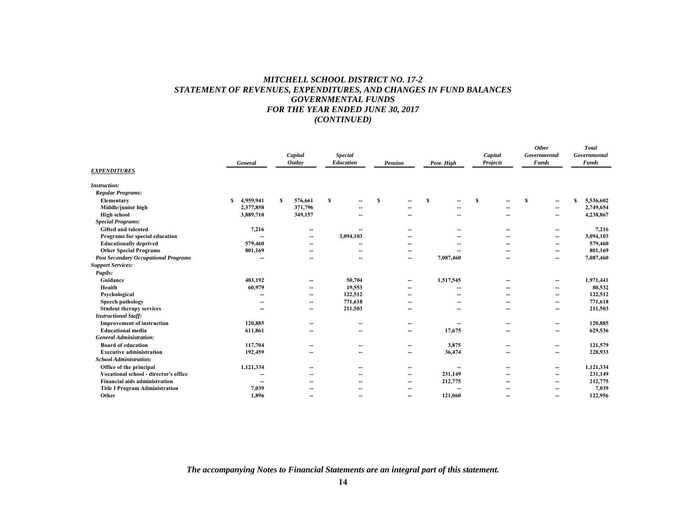## *MITCHELL SCHOOL DISTRICT NO. 17-2 STATEMENT OF REVENUES, EXPENDITURES, AND CHANGES IN FUND BALANCES GOVERNMENTAL FUNDS FOR THE YEAR ENDED JUNE 30, 2017 (CONTINUED)*

| <b>EXPENDITURES</b>                         | General        | Capital<br>Outlay        | <b>Special</b><br>Education | Pension                  | Post-High                | Capital<br>Projects | <b>Other</b><br>Governmental<br><b>Funds</b> | <b>Total</b><br>Governmental<br><b>Funds</b> |
|---------------------------------------------|----------------|--------------------------|-----------------------------|--------------------------|--------------------------|---------------------|----------------------------------------------|----------------------------------------------|
| <b>Instruction:</b>                         |                |                          |                             |                          |                          |                     |                                              |                                              |
| <b>Regular Programs:</b>                    |                |                          |                             |                          |                          |                     |                                              |                                              |
| Elementary                                  | 4,959,941<br>S | S<br>576,661             | S                           | S                        | S<br>--                  | S                   | <b>S</b><br>--                               | S<br>5,536,602                               |
| Middle/junior high                          | 2,377,858      | 371,796                  |                             |                          |                          |                     | --                                           | 2,749,654                                    |
| <b>High school</b>                          | 3,889,710      | 349,157                  |                             |                          |                          |                     | --                                           | 4,238,867                                    |
| <b>Special Programs:</b>                    |                |                          |                             |                          |                          |                     |                                              |                                              |
| <b>Gifted and talented</b>                  | 7,216          | --                       | $\overline{\phantom{m}}$    | $-$                      | --                       | --                  | --                                           | 7,216                                        |
| Programs for special education              | --             | --                       | 3,094,103                   |                          |                          |                     | --                                           | 3,094,103                                    |
| <b>Educationally deprived</b>               | 579,460        | --                       | --                          | --                       |                          |                     | --                                           | 579,460                                      |
| <b>Other Special Programs</b>               | 801,169        | --                       | -                           | -                        |                          |                     | --                                           | 801,169                                      |
| <b>Post Secondary Occupational Programs</b> | --             |                          | $\overline{\phantom{a}}$    | $\overline{\phantom{a}}$ | 7,087,460                |                     | --                                           | 7,087,460                                    |
| <b>Support Services:</b>                    |                |                          |                             |                          |                          |                     |                                              |                                              |
| Pupils:                                     |                |                          |                             |                          |                          |                     |                                              |                                              |
| Guidance                                    | 403.192        | --                       | 50,704                      | $\overline{\phantom{a}}$ | 1,517,545                |                     | --                                           | 1,971,441                                    |
| Health                                      | 60,979         | --                       | 19,553                      | $\overline{\phantom{a}}$ |                          |                     | --                                           | 80,532                                       |
| Psychological                               |                | $\overline{\phantom{a}}$ | 122,512                     |                          |                          |                     | --                                           | 122,512                                      |
| Speech pathology                            |                | --                       | 771,618                     |                          |                          |                     | --                                           | 771,618                                      |
| <b>Student therapy services</b>             | --             | $\overline{a}$           | 211,503                     | $\overline{\phantom{a}}$ | $\overline{\phantom{a}}$ |                     | --                                           | 211,503                                      |
| <b>Instructional Staff:</b>                 |                |                          |                             |                          |                          |                     |                                              |                                              |
| <b>Improvement of instruction</b>           | 120,885        |                          | --                          | --                       |                          |                     | --                                           | 120,885                                      |
| <b>Educational media</b>                    | 611,861        |                          | $\overline{\phantom{a}}$    | $\overline{\phantom{a}}$ | 17,675                   |                     | --                                           | 629,536                                      |
| <b>General Administration:</b>              |                |                          |                             |                          |                          |                     |                                              |                                              |
| <b>Board of education</b>                   | 117,704        | --                       | --                          | --                       | 3,875                    |                     | --                                           | 121,579                                      |
| <b>Executive administration</b>             | 192,459        | $\overline{\phantom{a}}$ | $\overline{\phantom{a}}$    | $\overline{\phantom{a}}$ | 36,474                   | --                  | --                                           | 228,933                                      |
| <b>School Administration:</b>               |                |                          |                             |                          |                          |                     |                                              |                                              |
| Office of the principal                     | 1,121,334      | --                       | --                          | $-$                      | --                       |                     | --                                           | 1,121,334                                    |
| Vocational school - director's office       |                |                          |                             |                          | 231,149                  |                     | --                                           | 231,149                                      |
| <b>Financial aids administration</b>        |                |                          |                             | $\overline{\phantom{a}}$ | 212,775                  |                     | --                                           | 212,775                                      |
| <b>Title I Program Administration</b>       | 7,039          |                          |                             |                          |                          |                     |                                              | 7,039                                        |
| Other                                       | 1,896          |                          | -                           |                          | 121,060                  |                     |                                              | 122,956                                      |
|                                             |                |                          |                             |                          |                          |                     |                                              |                                              |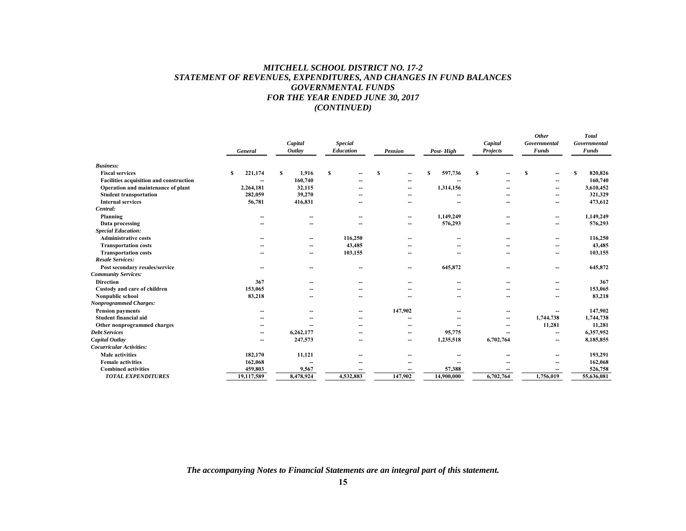## *MITCHELL SCHOOL DISTRICT NO. 17-2 STATEMENT OF REVENUES, EXPENDITURES, AND CHANGES IN FUND BALANCES GOVERNMENTAL FUNDS FOR THE YEAR ENDED JUNE 30, 2017 (CONTINUED)*

|                                         | General      | Capital<br>Outlay        | <b>Special</b><br>Education | <b>Pension</b>           | Post-High                | Capital<br><b>Projects</b> | <b>Other</b><br>Governmental<br><b>Funds</b> | <b>Total</b><br>Governmental<br><b>Funds</b> |
|-----------------------------------------|--------------|--------------------------|-----------------------------|--------------------------|--------------------------|----------------------------|----------------------------------------------|----------------------------------------------|
| <b>Business:</b>                        |              |                          |                             |                          |                          |                            |                                              |                                              |
| <b>Fiscal services</b>                  | 221,174<br>S | 1,916<br>S               | \$                          | S<br>٠.                  | 597,736<br>S             | S                          | S<br>--                                      | 820,826<br>S                                 |
| Facilities acquisition and construction | --           | 160,740                  |                             |                          |                          |                            | --                                           | 160,740                                      |
| Operation and maintenance of plant      | 2,264,181    | 32,115                   |                             | -                        | 1,314,156                |                            | --                                           | 3,610,452                                    |
| <b>Student transportation</b>           | 282,059      | 39,270                   |                             |                          |                          |                            | --                                           | 321,329                                      |
| <b>Internal services</b>                | 56,781       | 416,831                  |                             | --                       | --                       |                            | --                                           | 473,612                                      |
| Central:                                |              |                          |                             |                          |                          |                            |                                              |                                              |
| Planning                                |              |                          | --                          | --                       | 1,149,249                |                            | --                                           | 1,149,249                                    |
| Data processing                         |              |                          | --                          | --                       | 576,293                  |                            | --                                           | 576,293                                      |
| <b>Special Education:</b>               |              |                          |                             |                          |                          |                            |                                              |                                              |
| <b>Administrative costs</b>             |              | $\overline{\phantom{a}}$ | 116,250                     | --                       | $\overline{\phantom{a}}$ |                            | --                                           | 116,250                                      |
| <b>Transportation costs</b>             |              | --                       | 43,485                      |                          |                          |                            | --                                           | 43,485                                       |
| <b>Transportation costs</b>             |              | $\overline{\phantom{a}}$ | 103,155                     | --                       | --                       |                            | --                                           | 103,155                                      |
| <b>Resale Services:</b>                 |              |                          |                             |                          |                          |                            |                                              |                                              |
| Post secondary resales/service          |              | --                       | --                          | --                       | 645,872                  |                            |                                              | 645,872                                      |
| <b>Community Services:</b>              |              |                          |                             |                          |                          |                            |                                              |                                              |
| <b>Direction</b>                        | 367          | --                       | --                          |                          | --                       |                            | --                                           | 367                                          |
| Custody and care of children            | 153,065      |                          | --                          |                          |                          |                            | --                                           | 153,065                                      |
| Nonpublic school                        | 83,218       | --                       | --                          |                          |                          |                            | --                                           | 83,218                                       |
| <b>Nonprogrammed Charges:</b>           |              |                          |                             |                          |                          |                            |                                              |                                              |
| <b>Pension payments</b>                 |              |                          | --                          | 147,902                  |                          |                            |                                              | 147,902                                      |
| Student financial aid                   |              |                          | --                          |                          |                          |                            | 1,744,738                                    | 1,744,738                                    |
| Other nonprogrammed charges             |              |                          |                             |                          |                          |                            | 11,281                                       | 11,281                                       |
| <b>Debt Services</b>                    | --           | 6,262,177                | --                          | $\overline{\phantom{a}}$ | 95,775                   |                            | --                                           | 6,357,952                                    |
| Capital Outlay                          | --           | 247,573                  | --                          | --                       | 1,235,518                | 6,702,764                  | --                                           | 8,185,855                                    |
| <b>Cocurricular Activities:</b>         |              |                          |                             |                          |                          |                            |                                              |                                              |
| <b>Male</b> activities                  | 182,170      | 11,121                   |                             |                          |                          |                            |                                              | 193,291                                      |
| <b>Female activities</b>                | 162,068      | $\overline{a}$           |                             |                          |                          |                            |                                              | 162,068                                      |
| <b>Combined activities</b>              | 459,803      | 9,567                    |                             |                          | 57,388                   |                            |                                              | 526,758                                      |
| <b>TOTAL EXPENDITURES</b>               | 19,117,589   | 8,478,924                | 4,532,883                   | 147,902                  | 14,900,000               | 6,702,764                  | 1,756,019                                    | 55,636,081                                   |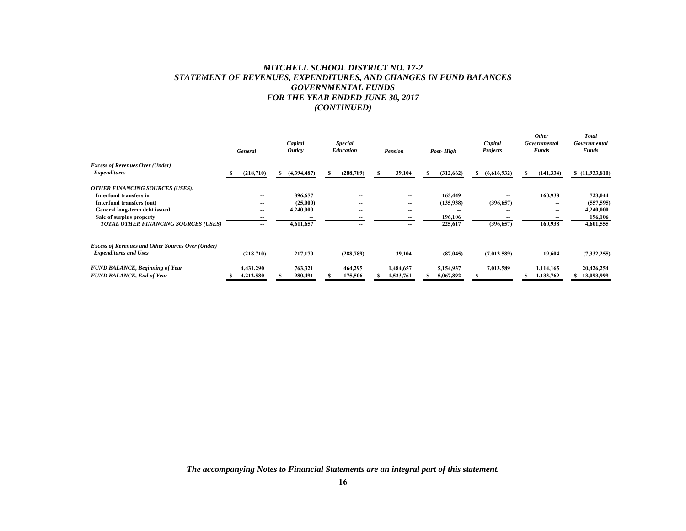# *MITCHELL SCHOOL DISTRICT NO. 17-2 STATEMENT OF REVENUES, EXPENDITURES, AND CHANGES IN FUND BALANCES GOVERNMENTAL FUNDS FOR THE YEAR ENDED JUNE 30, 2017 (CONTINUED)*

|                                                               | General   | Capital<br><i>Outlay</i> | <b>Special</b><br><b>Education</b> | <b>Pension</b>           | Post-High        | Capital<br><b>Projects</b> | <b>Other</b><br>Governmental<br><b>Funds</b> | Total<br>Governmental<br><b>Funds</b> |
|---------------------------------------------------------------|-----------|--------------------------|------------------------------------|--------------------------|------------------|----------------------------|----------------------------------------------|---------------------------------------|
| <b>Excess of Revenues Over (Under)</b><br><b>Expenditures</b> | (218,710) | (4,394,487)<br>S.        | (288, 789)<br>S                    | 39,104<br>ъ.             | (312, 662)<br>S. | (6,616,932)<br>S.          | (141, 334)<br>s                              | \$(11,933,810)                        |
|                                                               |           |                          |                                    |                          |                  |                            |                                              |                                       |
| <b>OTHER FINANCING SOURCES (USES):</b>                        |           |                          |                                    |                          |                  |                            |                                              |                                       |
| Interfund transfers in                                        | --        | 396,657                  | --                                 |                          | 165,449          |                            | 160,938                                      | 723,044                               |
| Interfund transfers (out)                                     | --        | (25,000)                 |                                    | $\overline{\phantom{a}}$ | (135,938)        | (396, 657)                 | --                                           | (557, 595)                            |
| General long-term debt issued                                 | --        | 4,240,000                | --                                 | --                       |                  |                            | $-$                                          | 4,240,000                             |
| Sale of surplus property                                      |           |                          |                                    |                          | 196,106          |                            |                                              | 196,106                               |
| TOTAL OTHER FINANCING SOURCES (USES)                          | --        | 4,611,657                |                                    |                          | 225,617          | (396, 657)                 | 160,938                                      | 4,601,555                             |
| <b>Excess of Revenues and Other Sources Over (Under)</b>      |           |                          |                                    |                          |                  |                            |                                              |                                       |
| <b>Expenditures and Uses</b>                                  | (218,710) | 217,170                  | (288, 789)                         | 39,104                   | (87, 045)        | (7,013,589)                | 19,604                                       | (7,332,255)                           |
| <b>FUND BALANCE, Beginning of Year</b>                        | 4,431,290 | 763,321                  | 464,295                            | 1,484,657                | 5,154,937        | 7,013,589                  | 1,114,165                                    | 20,426,254                            |
| <b>FUND BALANCE, End of Year</b>                              | 4,212,580 | 980,491                  | 175,506                            | 1,523,761                | 5,067,892        |                            | 1,133,769                                    | 13,093,999                            |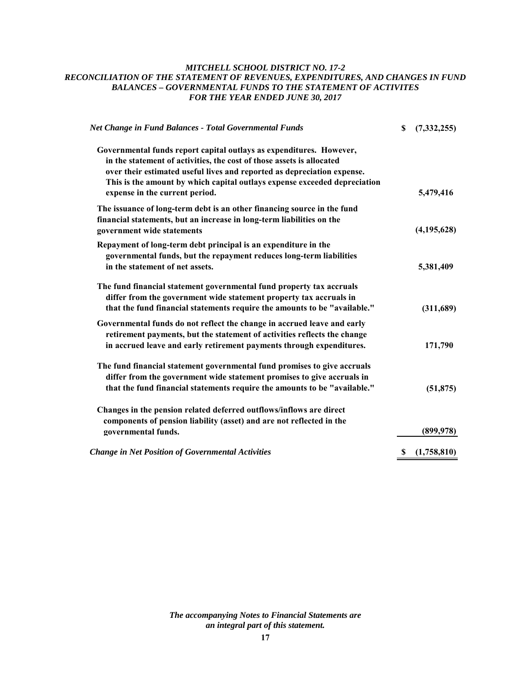# *MITCHELL SCHOOL DISTRICT NO. 17-2 RECONCILIATION OF THE STATEMENT OF REVENUES, EXPENDITURES, AND CHANGES IN FUND BALANCES – GOVERNMENTAL FUNDS TO THE STATEMENT OF ACTIVITES FOR THE YEAR ENDED JUNE 30, 2017*

| <b>Net Change in Fund Balances - Total Governmental Funds</b>                                                                                                                                                                                                                                                                          | S  | (7, 332, 255) |
|----------------------------------------------------------------------------------------------------------------------------------------------------------------------------------------------------------------------------------------------------------------------------------------------------------------------------------------|----|---------------|
| Governmental funds report capital outlays as expenditures. However,<br>in the statement of activities, the cost of those assets is allocated<br>over their estimated useful lives and reported as depreciation expense.<br>This is the amount by which capital outlays expense exceeded depreciation<br>expense in the current period. |    | 5,479,416     |
| The issuance of long-term debt is an other financing source in the fund<br>financial statements, but an increase in long-term liabilities on the<br>government wide statements                                                                                                                                                         |    | (4, 195, 628) |
| Repayment of long-term debt principal is an expenditure in the<br>governmental funds, but the repayment reduces long-term liabilities<br>in the statement of net assets.                                                                                                                                                               |    | 5,381,409     |
| The fund financial statement governmental fund property tax accruals<br>differ from the government wide statement property tax accruals in<br>that the fund financial statements require the amounts to be "available."                                                                                                                |    | (311,689)     |
| Governmental funds do not reflect the change in accrued leave and early<br>retirement payments, but the statement of activities reflects the change<br>in accrued leave and early retirement payments through expenditures.                                                                                                            |    | 171,790       |
| The fund financial statement governmental fund promises to give accruals<br>differ from the government wide statement promises to give accruals in<br>that the fund financial statements require the amounts to be "available."                                                                                                        |    | (51, 875)     |
| Changes in the pension related deferred outflows/inflows are direct<br>components of pension liability (asset) and are not reflected in the<br>governmental funds.                                                                                                                                                                     |    | (899, 978)    |
| <b>Change in Net Position of Governmental Activities</b>                                                                                                                                                                                                                                                                               | S, | (1,758,810)   |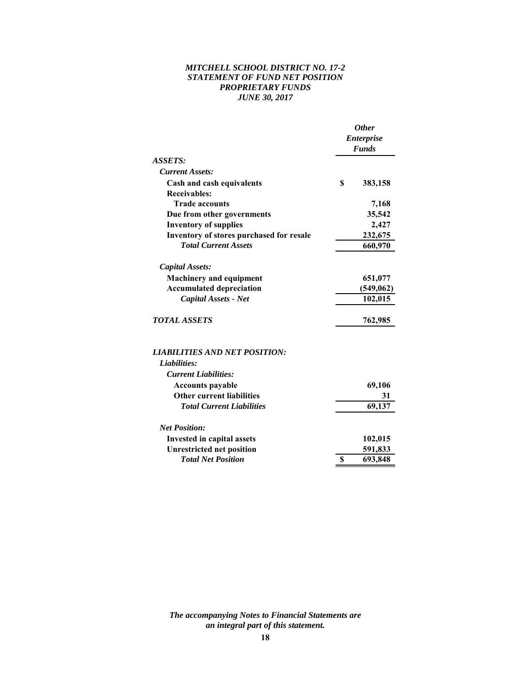# *MITCHELL SCHOOL DISTRICT NO. 17-2 STATEMENT OF FUND NET POSITION PROPRIETARY FUNDS JUNE 30, 2017*

|                                          | <b>Other</b><br><b>Enterprise</b><br><b>Funds</b> |            |  |
|------------------------------------------|---------------------------------------------------|------------|--|
| ASSETS:                                  |                                                   |            |  |
| <b>Current Assets:</b>                   |                                                   |            |  |
| Cash and cash equivalents                | \$                                                | 383,158    |  |
| <b>Receivables:</b>                      |                                                   |            |  |
| <b>Trade accounts</b>                    |                                                   | 7,168      |  |
| Due from other governments               |                                                   | 35,542     |  |
| <b>Inventory of supplies</b>             |                                                   | 2,427      |  |
| Inventory of stores purchased for resale |                                                   | 232,675    |  |
| <b>Total Current Assets</b>              | 660,970                                           |            |  |
| <b>Capital Assets:</b>                   |                                                   |            |  |
| <b>Machinery and equipment</b>           |                                                   | 651,077    |  |
| <b>Accumulated depreciation</b>          |                                                   | (549, 062) |  |
| Capital Assets - Net                     |                                                   | 102,015    |  |
| <b>TOTAL ASSETS</b>                      |                                                   | 762,985    |  |
| <b>LIABILITIES AND NET POSITION:</b>     |                                                   |            |  |
| Liabilities:                             |                                                   |            |  |
| <b>Current Liabilities:</b>              |                                                   |            |  |
| <b>Accounts payable</b>                  |                                                   | 69,106     |  |
| <b>Other current liabilities</b>         |                                                   | 31         |  |
| <b>Total Current Liabilities</b>         |                                                   | 69,137     |  |
| <b>Net Position:</b>                     |                                                   |            |  |
| Invested in capital assets               |                                                   | 102,015    |  |
| <b>Unrestricted net position</b>         |                                                   | 591,833    |  |
| <b>Total Net Position</b>                | \$                                                | 693,848    |  |
|                                          |                                                   |            |  |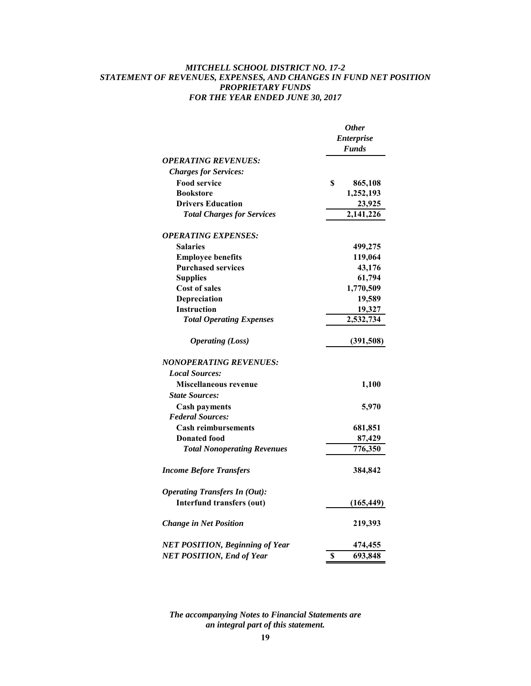# *MITCHELL SCHOOL DISTRICT NO. 17-2 STATEMENT OF REVENUES, EXPENSES, AND CHANGES IN FUND NET POSITION PROPRIETARY FUNDS FOR THE YEAR ENDED JUNE 30, 2017*

|                                        |                   | <b>Other</b> |
|----------------------------------------|-------------------|--------------|
|                                        | <b>Enterprise</b> |              |
|                                        |                   | <b>Funds</b> |
| <b>OPERATING REVENUES:</b>             |                   |              |
| <b>Charges for Services:</b>           |                   |              |
| <b>Food service</b>                    | \$                | 865,108      |
| <b>Bookstore</b>                       |                   | 1,252,193    |
| <b>Drivers Education</b>               |                   | 23,925       |
| <b>Total Charges for Services</b>      |                   | 2,141,226    |
| <b>OPERATING EXPENSES:</b>             |                   |              |
| <b>Salaries</b>                        |                   | 499,275      |
| <b>Employee benefits</b>               |                   | 119,064      |
| <b>Purchased services</b>              |                   | 43,176       |
| <b>Supplies</b>                        |                   | 61,794       |
| <b>Cost of sales</b>                   |                   | 1,770,509    |
| Depreciation                           |                   | 19,589       |
| <b>Instruction</b>                     |                   | 19,327       |
| <b>Total Operating Expenses</b>        |                   | 2,532,734    |
| <b>Operating (Loss)</b>                |                   | (391,508)    |
| NONOPERATING REVENUES:                 |                   |              |
| <b>Local Sources:</b>                  |                   |              |
| Miscellaneous revenue                  |                   | 1,100        |
| <b>State Sources:</b>                  |                   |              |
| <b>Cash payments</b>                   |                   | 5,970        |
| <b>Federal Sources:</b>                |                   |              |
| <b>Cash reimbursements</b>             |                   | 681,851      |
| <b>Donated food</b>                    |                   | 87,429       |
| <b>Total Nonoperating Revenues</b>     |                   | 776,350      |
| <b>Income Before Transfers</b>         |                   | 384,842      |
| <b>Operating Transfers In (Out):</b>   |                   |              |
| <b>Interfund transfers (out)</b>       |                   | (165, 449)   |
| <b>Change in Net Position</b>          |                   | 219,393      |
| <b>NET POSITION, Beginning of Year</b> |                   | 474,455      |
| <b>NET POSITION, End of Year</b>       | \$                | 693,848      |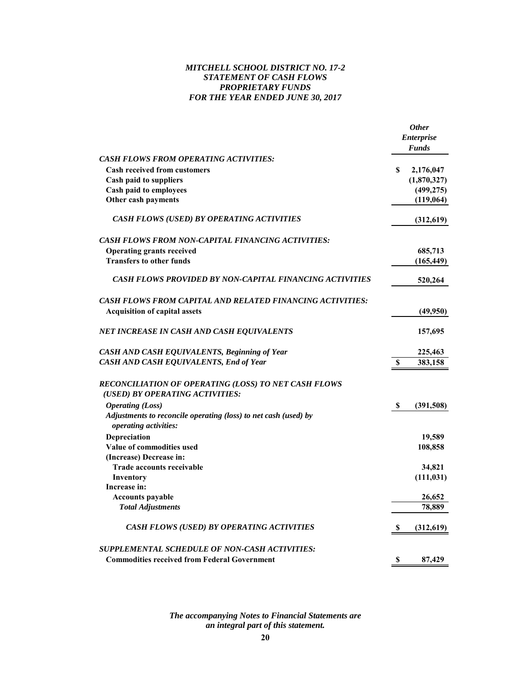# *MITCHELL SCHOOL DISTRICT NO. 17-2 STATEMENT OF CASH FLOWS PROPRIETARY FUNDS FOR THE YEAR ENDED JUNE 30, 2017*

|                                                                                                 |                           | <b>Other</b>      |
|-------------------------------------------------------------------------------------------------|---------------------------|-------------------|
|                                                                                                 |                           | <b>Enterprise</b> |
|                                                                                                 |                           | <b>Funds</b>      |
| <b>CASH FLOWS FROM OPERATING ACTIVITIES:</b>                                                    |                           |                   |
| <b>Cash received from customers</b>                                                             | S                         | 2,176,047         |
| <b>Cash paid to suppliers</b>                                                                   |                           | (1,870,327)       |
| Cash paid to employees                                                                          |                           | (499, 275)        |
| Other cash payments                                                                             |                           | (119,064)         |
| <b>CASH FLOWS (USED) BY OPERATING ACTIVITIES</b>                                                |                           | (312, 619)        |
| <b>CASH FLOWS FROM NON-CAPITAL FINANCING ACTIVITIES:</b>                                        |                           |                   |
| <b>Operating grants received</b>                                                                |                           | 685,713           |
| <b>Transfers to other funds</b>                                                                 |                           | (165, 449)        |
| CASH FLOWS PROVIDED BY NON-CAPITAL FINANCING ACTIVITIES                                         |                           | 520,264           |
| <b>CASH FLOWS FROM CAPITAL AND RELATED FINANCING ACTIVITIES:</b>                                |                           |                   |
| <b>Acquisition of capital assets</b>                                                            |                           | (49,950)          |
| NET INCREASE IN CASH AND CASH EQUIVALENTS                                                       |                           | 157,695           |
| CASH AND CASH EQUIVALENTS, Beginning of Year                                                    |                           | 225,463           |
| CASH AND CASH EQUIVALENTS, End of Year                                                          | S                         | 383,158           |
| RECONCILIATION OF OPERATING (LOSS) TO NET CASH FLOWS<br>(USED) BY OPERATING ACTIVITIES:         |                           |                   |
| <b>Operating (Loss)</b>                                                                         | S                         | (391, 508)        |
| Adjustments to reconcile operating (loss) to net cash (used) by<br><i>operating activities:</i> |                           |                   |
| Depreciation                                                                                    |                           | 19,589            |
| Value of commodities used                                                                       |                           | 108,858           |
| (Increase) Decrease in:                                                                         |                           |                   |
| <b>Trade accounts receivable</b>                                                                |                           | 34,821            |
| Inventory                                                                                       |                           | (111, 031)        |
| Increase in:                                                                                    |                           |                   |
| <b>Accounts payable</b>                                                                         |                           | 26,652            |
| <b>Total Adjustments</b>                                                                        |                           | 78,889            |
| <b>CASH FLOWS (USED) BY OPERATING ACTIVITIES</b>                                                | S                         | (312,619)         |
| SUPPLEMENTAL SCHEDULE OF NON-CASH ACTIVITIES:                                                   |                           |                   |
| <b>Commodities received from Federal Government</b>                                             | $\boldsymbol{\mathsf{S}}$ | 87,429            |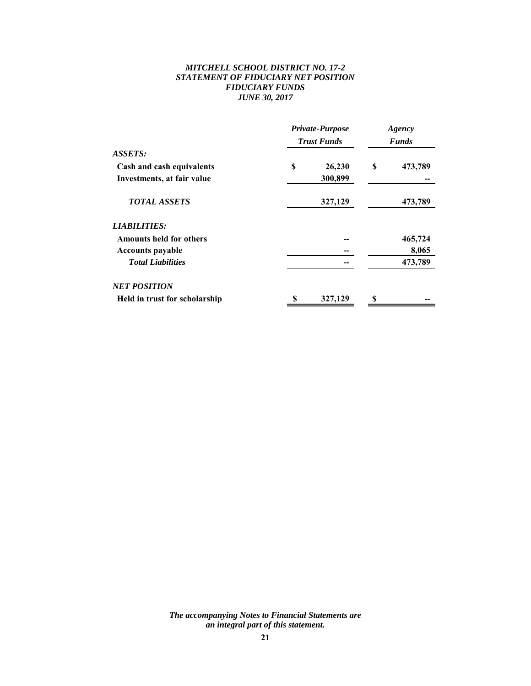# *MITCHELL SCHOOL DISTRICT NO. 17-2 STATEMENT OF FIDUCIARY NET POSITION FIDUCIARY FUNDS JUNE 30, 2017*

|                                | Private-Purpose<br><b>Trust Funds</b> |         | Agency<br><b>Funds</b> |         |
|--------------------------------|---------------------------------------|---------|------------------------|---------|
| ASSETS:                        |                                       |         |                        |         |
| Cash and cash equivalents      | S                                     | 26,230  | S                      | 473,789 |
| Investments, at fair value     |                                       | 300,899 |                        |         |
| <b>TOTAL ASSETS</b>            |                                       | 327,129 |                        | 473,789 |
| <i><b>LIABILITIES:</b></i>     |                                       |         |                        |         |
| <b>Amounts held for others</b> |                                       |         |                        | 465,724 |
| <b>Accounts payable</b>        |                                       |         |                        | 8,065   |
| <b>Total Liabilities</b>       |                                       |         |                        | 473,789 |
| <b>NET POSITION</b>            |                                       |         |                        |         |
| Held in trust for scholarship  |                                       | 327,129 |                        |         |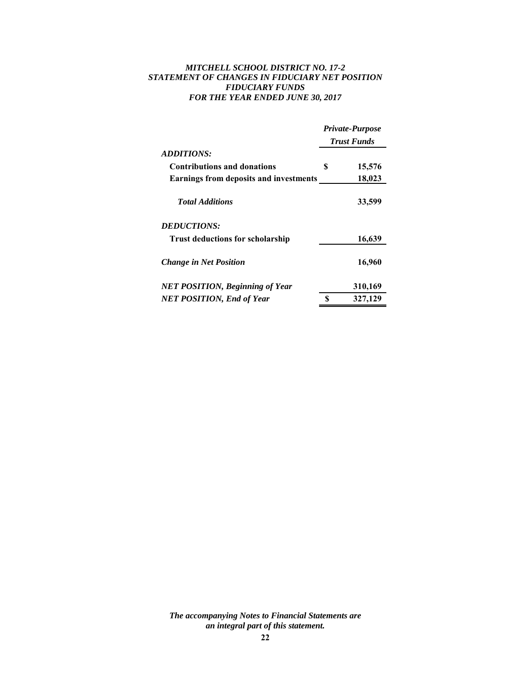# *MITCHELL SCHOOL DISTRICT NO. 17-2 STATEMENT OF CHANGES IN FIDUCIARY NET POSITION FIDUCIARY FUNDS FOR THE YEAR ENDED JUNE 30, 2017*

|                                               | <b>Private-Purpose</b><br><b>Trust Funds</b> |         |  |
|-----------------------------------------------|----------------------------------------------|---------|--|
| <i><b>ADDITIONS:</b></i>                      |                                              |         |  |
| <b>Contributions and donations</b>            | S                                            | 15,576  |  |
| <b>Earnings from deposits and investments</b> |                                              | 18,023  |  |
| <b>Total Additions</b>                        |                                              | 33,599  |  |
| <b>DEDUCTIONS:</b>                            |                                              |         |  |
| <b>Trust deductions for scholarship</b>       |                                              | 16,639  |  |
| <b>Change in Net Position</b>                 |                                              | 16,960  |  |
| <b>NET POSITION, Beginning of Year</b>        |                                              | 310,169 |  |
| <b>NET POSITION, End of Year</b>              | S                                            | 327,129 |  |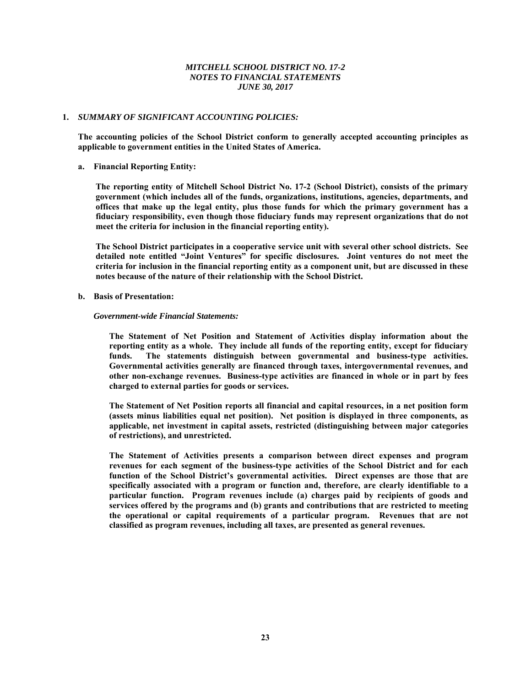#### **1.** *SUMMARY OF SIGNIFICANT ACCOUNTING POLICIES:*

**The accounting policies of the School District conform to generally accepted accounting principles as applicable to government entities in the United States of America.** 

#### **a. Financial Reporting Entity:**

**The reporting entity of Mitchell School District No. 17-2 (School District), consists of the primary government (which includes all of the funds, organizations, institutions, agencies, departments, and offices that make up the legal entity, plus those funds for which the primary government has a fiduciary responsibility, even though those fiduciary funds may represent organizations that do not meet the criteria for inclusion in the financial reporting entity).** 

**The School District participates in a cooperative service unit with several other school districts. See detailed note entitled "Joint Ventures" for specific disclosures. Joint ventures do not meet the criteria for inclusion in the financial reporting entity as a component unit, but are discussed in these notes because of the nature of their relationship with the School District.** 

#### **b. Basis of Presentation:**

#### *Government-wide Financial Statements:*

**The Statement of Net Position and Statement of Activities display information about the reporting entity as a whole. They include all funds of the reporting entity, except for fiduciary funds. The statements distinguish between governmental and business-type activities. Governmental activities generally are financed through taxes, intergovernmental revenues, and other non-exchange revenues. Business-type activities are financed in whole or in part by fees charged to external parties for goods or services.** 

**The Statement of Net Position reports all financial and capital resources, in a net position form (assets minus liabilities equal net position). Net position is displayed in three components, as applicable, net investment in capital assets, restricted (distinguishing between major categories of restrictions), and unrestricted.** 

**The Statement of Activities presents a comparison between direct expenses and program revenues for each segment of the business-type activities of the School District and for each function of the School District's governmental activities. Direct expenses are those that are specifically associated with a program or function and, therefore, are clearly identifiable to a particular function. Program revenues include (a) charges paid by recipients of goods and services offered by the programs and (b) grants and contributions that are restricted to meeting the operational or capital requirements of a particular program. Revenues that are not classified as program revenues, including all taxes, are presented as general revenues.**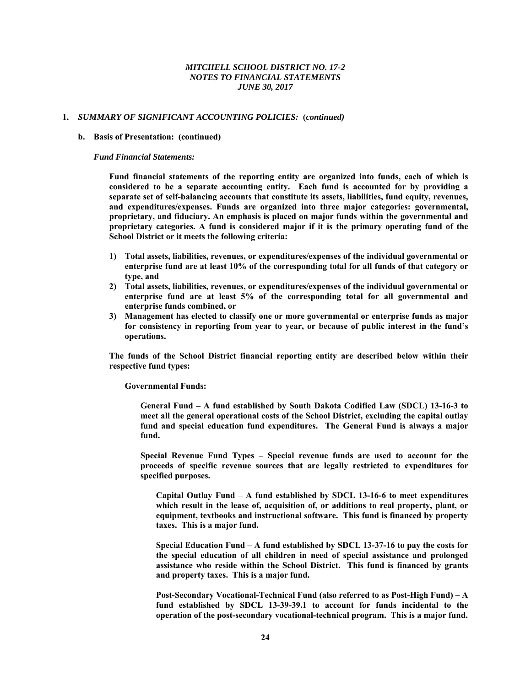#### **1.** *SUMMARY OF SIGNIFICANT ACCOUNTING POLICIES:* **(***continued)*

#### **b. Basis of Presentation: (continued)**

#### *Fund Financial Statements:*

**Fund financial statements of the reporting entity are organized into funds, each of which is considered to be a separate accounting entity. Each fund is accounted for by providing a separate set of self-balancing accounts that constitute its assets, liabilities, fund equity, revenues, and expenditures/expenses. Funds are organized into three major categories: governmental, proprietary, and fiduciary. An emphasis is placed on major funds within the governmental and proprietary categories. A fund is considered major if it is the primary operating fund of the School District or it meets the following criteria:** 

- **1) Total assets, liabilities, revenues, or expenditures/expenses of the individual governmental or enterprise fund are at least 10% of the corresponding total for all funds of that category or type, and**
- **2) Total assets, liabilities, revenues, or expenditures/expenses of the individual governmental or enterprise fund are at least 5% of the corresponding total for all governmental and enterprise funds combined, or**
- **3) Management has elected to classify one or more governmental or enterprise funds as major for consistency in reporting from year to year, or because of public interest in the fund's operations.**

**The funds of the School District financial reporting entity are described below within their respective fund types:** 

 **Governmental Funds:** 

**General Fund – A fund established by South Dakota Codified Law (SDCL) 13-16-3 to meet all the general operational costs of the School District, excluding the capital outlay fund and special education fund expenditures. The General Fund is always a major fund.** 

**Special Revenue Fund Types – Special revenue funds are used to account for the proceeds of specific revenue sources that are legally restricted to expenditures for specified purposes.** 

**Capital Outlay Fund – A fund established by SDCL 13-16-6 to meet expenditures which result in the lease of, acquisition of, or additions to real property, plant, or equipment, textbooks and instructional software. This fund is financed by property taxes. This is a major fund.** 

**Special Education Fund – A fund established by SDCL 13-37-16 to pay the costs for the special education of all children in need of special assistance and prolonged assistance who reside within the School District. This fund is financed by grants and property taxes. This is a major fund.** 

**Post-Secondary Vocational-Technical Fund (also referred to as Post-High Fund) – A fund established by SDCL 13-39-39.1 to account for funds incidental to the operation of the post-secondary vocational-technical program. This is a major fund.**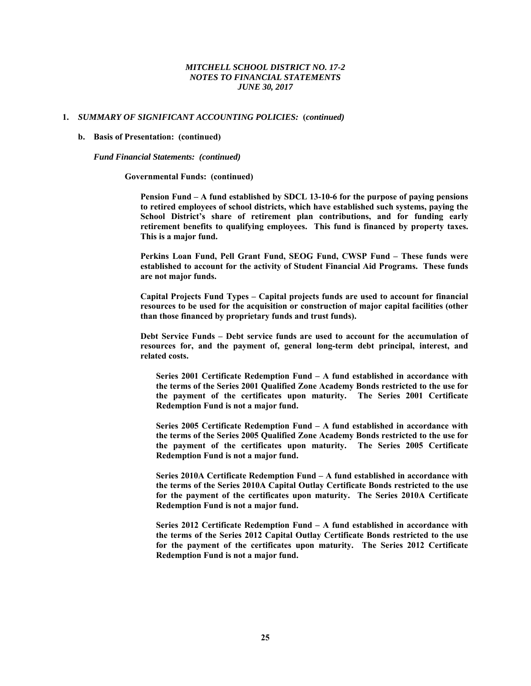#### **1.** *SUMMARY OF SIGNIFICANT ACCOUNTING POLICIES:* **(***continued)*

#### **b. Basis of Presentation: (continued)**

*Fund Financial Statements: (continued)* 

**Governmental Funds: (continued)** 

**Pension Fund – A fund established by SDCL 13-10-6 for the purpose of paying pensions to retired employees of school districts, which have established such systems, paying the School District's share of retirement plan contributions, and for funding early retirement benefits to qualifying employees. This fund is financed by property taxes. This is a major fund.** 

**Perkins Loan Fund, Pell Grant Fund, SEOG Fund, CWSP Fund – These funds were established to account for the activity of Student Financial Aid Programs. These funds are not major funds.** 

**Capital Projects Fund Types – Capital projects funds are used to account for financial resources to be used for the acquisition or construction of major capital facilities (other than those financed by proprietary funds and trust funds).** 

**Debt Service Funds – Debt service funds are used to account for the accumulation of resources for, and the payment of, general long-term debt principal, interest, and related costs.** 

**Series 2001 Certificate Redemption Fund – A fund established in accordance with the terms of the Series 2001 Qualified Zone Academy Bonds restricted to the use for the payment of the certificates upon maturity. The Series 2001 Certificate Redemption Fund is not a major fund.** 

**Series 2005 Certificate Redemption Fund – A fund established in accordance with the terms of the Series 2005 Qualified Zone Academy Bonds restricted to the use for the payment of the certificates upon maturity. The Series 2005 Certificate Redemption Fund is not a major fund.** 

**Series 2010A Certificate Redemption Fund – A fund established in accordance with the terms of the Series 2010A Capital Outlay Certificate Bonds restricted to the use for the payment of the certificates upon maturity. The Series 2010A Certificate Redemption Fund is not a major fund.** 

**Series 2012 Certificate Redemption Fund – A fund established in accordance with the terms of the Series 2012 Capital Outlay Certificate Bonds restricted to the use for the payment of the certificates upon maturity. The Series 2012 Certificate Redemption Fund is not a major fund.**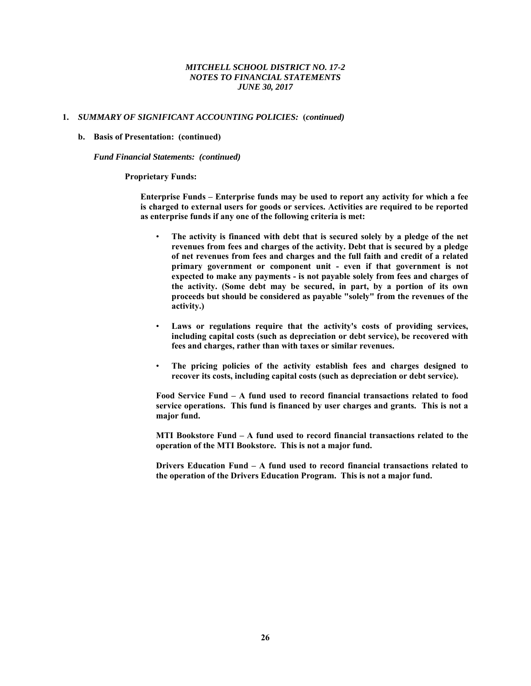#### **1.** *SUMMARY OF SIGNIFICANT ACCOUNTING POLICIES:* **(***continued)*

#### **b. Basis of Presentation: (continued)**

*Fund Financial Statements: (continued)* 

#### **Proprietary Funds:**

**Enterprise Funds – Enterprise funds may be used to report any activity for which a fee is charged to external users for goods or services. Activities are required to be reported as enterprise funds if any one of the following criteria is met:** 

- The activity is financed with debt that is secured solely by a pledge of the net **revenues from fees and charges of the activity. Debt that is secured by a pledge of net revenues from fees and charges and the full faith and credit of a related primary government or component unit - even if that government is not expected to make any payments - is not payable solely from fees and charges of the activity. (Some debt may be secured, in part, by a portion of its own proceeds but should be considered as payable "solely" from the revenues of the activity.)**
- **Laws or regulations require that the activity's costs of providing services, including capital costs (such as depreciation or debt service), be recovered with fees and charges, rather than with taxes or similar revenues.**
- **The pricing policies of the activity establish fees and charges designed to recover its costs, including capital costs (such as depreciation or debt service).**

**Food Service Fund – A fund used to record financial transactions related to food service operations. This fund is financed by user charges and grants. This is not a major fund.** 

**MTI Bookstore Fund – A fund used to record financial transactions related to the operation of the MTI Bookstore. This is not a major fund.** 

**Drivers Education Fund – A fund used to record financial transactions related to the operation of the Drivers Education Program. This is not a major fund.**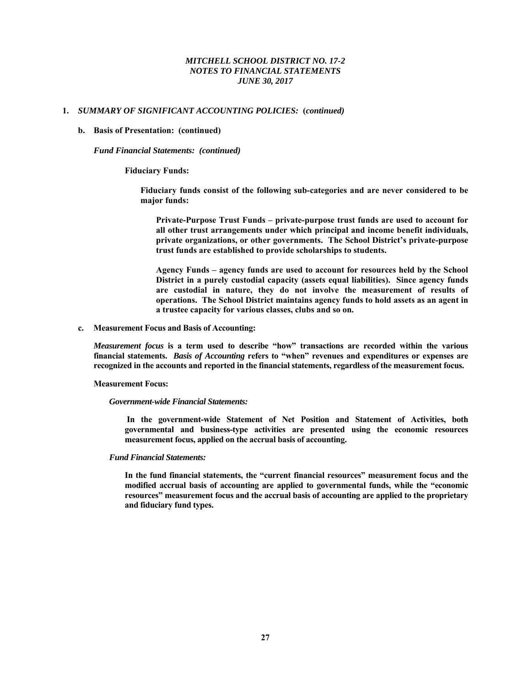## **1.** *SUMMARY OF SIGNIFICANT ACCOUNTING POLICIES:* **(***continued)*

#### **b. Basis of Presentation: (continued)**

*Fund Financial Statements: (continued)* 

 **Fiduciary Funds:** 

**Fiduciary funds consist of the following sub-categories and are never considered to be major funds:** 

**Private-Purpose Trust Funds – private-purpose trust funds are used to account for all other trust arrangements under which principal and income benefit individuals, private organizations, or other governments. The School District's private-purpose trust funds are established to provide scholarships to students.** 

**Agency Funds – agency funds are used to account for resources held by the School District in a purely custodial capacity (assets equal liabilities). Since agency funds are custodial in nature, they do not involve the measurement of results of operations. The School District maintains agency funds to hold assets as an agent in a trustee capacity for various classes, clubs and so on.** 

**c. Measurement Focus and Basis of Accounting:** 

*Measurement focus* **is a term used to describe "how" transactions are recorded within the various financial statements.** *Basis of Accounting* **refers to "when" revenues and expenditures or expenses are recognized in the accounts and reported in the financial statements, regardless of the measurement focus.** 

#### **Measurement Focus:**

#### *Government-wide Financial Statements:*

**In the government-wide Statement of Net Position and Statement of Activities, both governmental and business-type activities are presented using the economic resources measurement focus, applied on the accrual basis of accounting.** 

#### *Fund Financial Statements:*

**In the fund financial statements, the "current financial resources" measurement focus and the modified accrual basis of accounting are applied to governmental funds, while the "economic resources" measurement focus and the accrual basis of accounting are applied to the proprietary and fiduciary fund types.**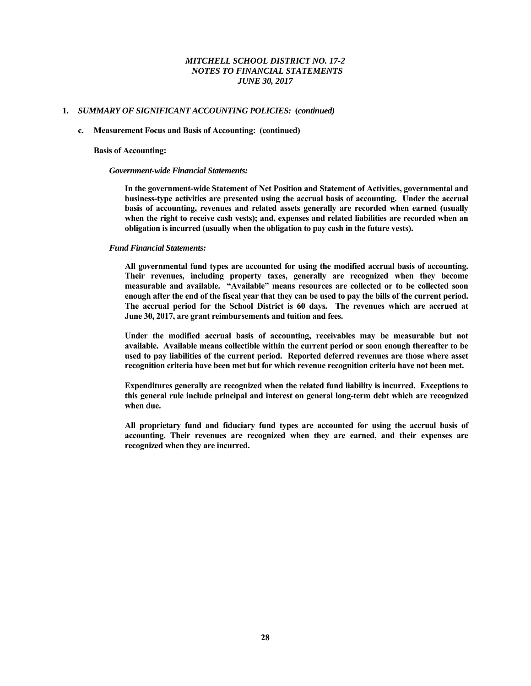## **1.** *SUMMARY OF SIGNIFICANT ACCOUNTING POLICIES:* **(***continued)*

#### **c. Measurement Focus and Basis of Accounting: (continued)**

#### **Basis of Accounting:**

#### *Government-wide Financial Statements:*

**In the government-wide Statement of Net Position and Statement of Activities, governmental and business-type activities are presented using the accrual basis of accounting. Under the accrual basis of accounting, revenues and related assets generally are recorded when earned (usually when the right to receive cash vests); and, expenses and related liabilities are recorded when an obligation is incurred (usually when the obligation to pay cash in the future vests).** 

#### *Fund Financial Statements:*

**All governmental fund types are accounted for using the modified accrual basis of accounting. Their revenues, including property taxes, generally are recognized when they become measurable and available. "Available" means resources are collected or to be collected soon enough after the end of the fiscal year that they can be used to pay the bills of the current period. The accrual period for the School District is 60 days. The revenues which are accrued at June 30, 2017, are grant reimbursements and tuition and fees.** 

**Under the modified accrual basis of accounting, receivables may be measurable but not available. Available means collectible within the current period or soon enough thereafter to be used to pay liabilities of the current period. Reported deferred revenues are those where asset recognition criteria have been met but for which revenue recognition criteria have not been met.** 

**Expenditures generally are recognized when the related fund liability is incurred. Exceptions to this general rule include principal and interest on general long-term debt which are recognized when due.** 

**All proprietary fund and fiduciary fund types are accounted for using the accrual basis of accounting. Their revenues are recognized when they are earned, and their expenses are recognized when they are incurred.**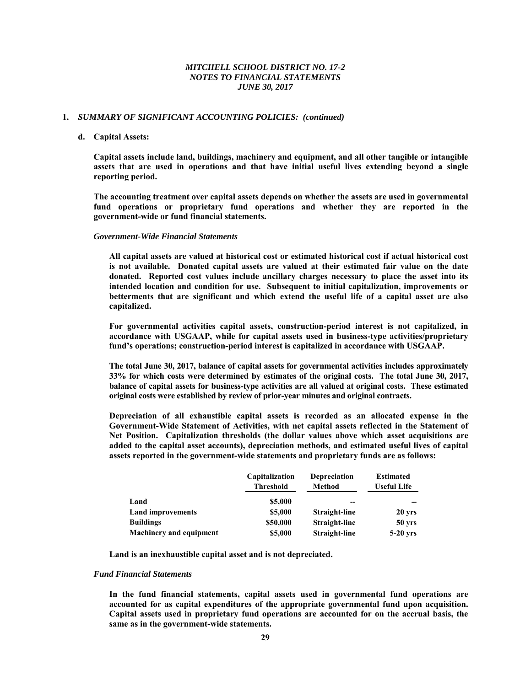#### **1.** *SUMMARY OF SIGNIFICANT ACCOUNTING POLICIES: (continued)*

#### **d. Capital Assets:**

 **Capital assets include land, buildings, machinery and equipment, and all other tangible or intangible assets that are used in operations and that have initial useful lives extending beyond a single reporting period.** 

 **The accounting treatment over capital assets depends on whether the assets are used in governmental fund operations or proprietary fund operations and whether they are reported in the government-wide or fund financial statements.** 

#### *Government-Wide Financial Statements*

 **All capital assets are valued at historical cost or estimated historical cost if actual historical cost is not available. Donated capital assets are valued at their estimated fair value on the date donated. Reported cost values include ancillary charges necessary to place the asset into its intended location and condition for use. Subsequent to initial capitalization, improvements or betterments that are significant and which extend the useful life of a capital asset are also capitalized.** 

 **For governmental activities capital assets, construction-period interest is not capitalized, in accordance with USGAAP, while for capital assets used in business-type activities/proprietary fund's operations; construction-period interest is capitalized in accordance with USGAAP.** 

 **The total June 30, 2017, balance of capital assets for governmental activities includes approximately 33% for which costs were determined by estimates of the original costs. The total June 30, 2017, balance of capital assets for business-type activities are all valued at original costs. These estimated original costs were established by review of prior-year minutes and original contracts.** 

 **Depreciation of all exhaustible capital assets is recorded as an allocated expense in the Government-Wide Statement of Activities, with net capital assets reflected in the Statement of Net Position. Capitalization thresholds (the dollar values above which asset acquisitions are added to the capital asset accounts), depreciation methods, and estimated useful lives of capital assets reported in the government-wide statements and proprietary funds are as follows:** 

|                                | Capitalization | <b>Depreciation</b> | <b>Estimated</b>   |
|--------------------------------|----------------|---------------------|--------------------|
|                                | Threshold      | Method              | <b>Useful Life</b> |
| Land                           | \$5,000        | --                  |                    |
| <b>Land improvements</b>       | \$5,000        | Straight-line       | 20 yrs             |
| <b>Buildings</b>               | \$50,000       | Straight-line       | 50 <sub>yrs</sub>  |
| <b>Machinery and equipment</b> | \$5,000        | Straight-line       | $5-20$ yrs         |

 **Land is an inexhaustible capital asset and is not depreciated.**

#### *Fund Financial Statements*

 **In the fund financial statements, capital assets used in governmental fund operations are accounted for as capital expenditures of the appropriate governmental fund upon acquisition. Capital assets used in proprietary fund operations are accounted for on the accrual basis, the same as in the government-wide statements.**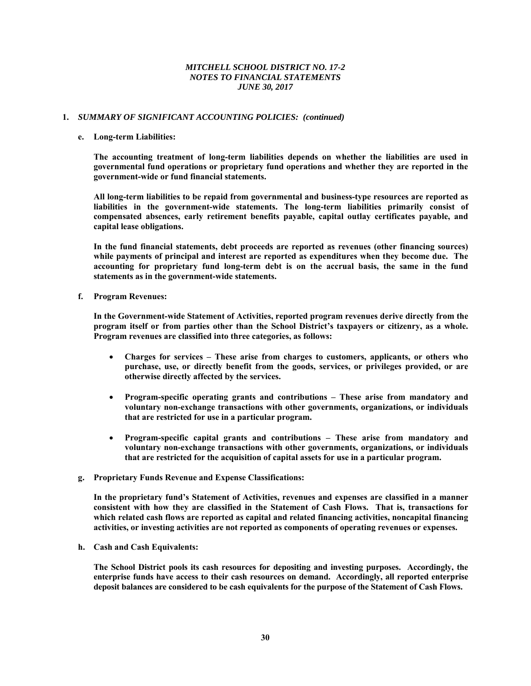## **1.** *SUMMARY OF SIGNIFICANT ACCOUNTING POLICIES:**(continued)*

#### **e. Long-term Liabilities:**

 **The accounting treatment of long-term liabilities depends on whether the liabilities are used in governmental fund operations or proprietary fund operations and whether they are reported in the government-wide or fund financial statements.** 

 **All long-term liabilities to be repaid from governmental and business-type resources are reported as liabilities in the government-wide statements. The long-term liabilities primarily consist of compensated absences, early retirement benefits payable, capital outlay certificates payable, and capital lease obligations.** 

 **In the fund financial statements, debt proceeds are reported as revenues (other financing sources) while payments of principal and interest are reported as expenditures when they become due. The accounting for proprietary fund long-term debt is on the accrual basis, the same in the fund statements as in the government-wide statements.** 

**f. Program Revenues:** 

 **In the Government-wide Statement of Activities, reported program revenues derive directly from the program itself or from parties other than the School District's taxpayers or citizenry, as a whole. Program revenues are classified into three categories, as follows:** 

- **Charges for services These arise from charges to customers, applicants, or others who purchase, use, or directly benefit from the goods, services, or privileges provided, or are otherwise directly affected by the services.**
- **Program-specific operating grants and contributions These arise from mandatory and voluntary non-exchange transactions with other governments, organizations, or individuals that are restricted for use in a particular program.**
- **Program-specific capital grants and contributions These arise from mandatory and voluntary non-exchange transactions with other governments, organizations, or individuals that are restricted for the acquisition of capital assets for use in a particular program.**
- **g. Proprietary Funds Revenue and Expense Classifications:**

**In the proprietary fund's Statement of Activities, revenues and expenses are classified in a manner consistent with how they are classified in the Statement of Cash Flows. That is, transactions for which related cash flows are reported as capital and related financing activities, noncapital financing activities, or investing activities are not reported as components of operating revenues or expenses.** 

**h. Cash and Cash Equivalents:** 

**The School District pools its cash resources for depositing and investing purposes. Accordingly, the enterprise funds have access to their cash resources on demand. Accordingly, all reported enterprise deposit balances are considered to be cash equivalents for the purpose of the Statement of Cash Flows.**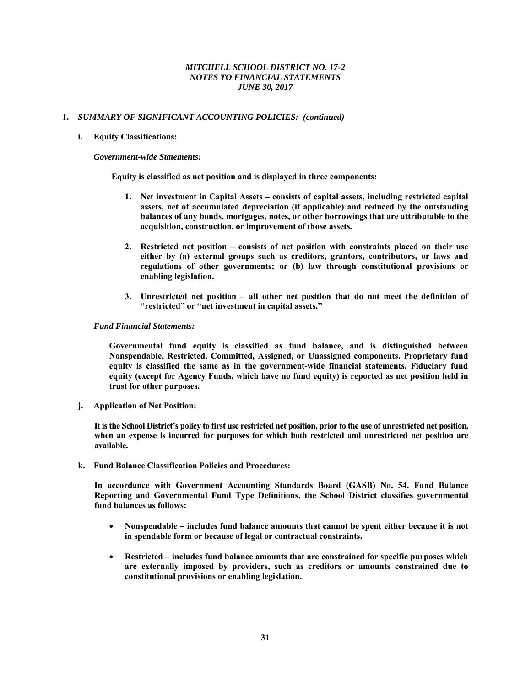## **1.** *SUMMARY OF SIGNIFICANT ACCOUNTING POLICIES:**(continued)*

#### **i. Equity Classifications:**

#### *Government-wide Statements:*

 **Equity is classified as net position and is displayed in three components:** 

- **1. Net investment in Capital Assets consists of capital assets, including restricted capital assets, net of accumulated depreciation (if applicable) and reduced by the outstanding balances of any bonds, mortgages, notes, or other borrowings that are attributable to the acquisition, construction, or improvement of those assets.**
- **2. Restricted net position consists of net position with constraints placed on their use either by (a) external groups such as creditors, grantors, contributors, or laws and regulations of other governments; or (b) law through constitutional provisions or enabling legislation.**
- **3. Unrestricted net position all other net position that do not meet the definition of "restricted" or "net investment in capital assets."**

#### *Fund Financial Statements:*

 **Governmental fund equity is classified as fund balance, and is distinguished between Nonspendable, Restricted, Committed, Assigned, or Unassigned components. Proprietary fund equity is classified the same as in the government-wide financial statements. Fiduciary fund equity (except for Agency Funds, which have no fund equity) is reported as net position held in trust for other purposes.** 

**j. Application of Net Position:** 

**It is the School District's policy to first use restricted net position, prior to the use of unrestricted net position, when an expense is incurred for purposes for which both restricted and unrestricted net position are available.** 

**k. Fund Balance Classification Policies and Procedures:** 

**In accordance with Government Accounting Standards Board (GASB) No. 54, Fund Balance Reporting and Governmental Fund Type Definitions, the School District classifies governmental fund balances as follows:** 

- **Nonspendable includes fund balance amounts that cannot be spent either because it is not in spendable form or because of legal or contractual constraints.**
- **Restricted includes fund balance amounts that are constrained for specific purposes which are externally imposed by providers, such as creditors or amounts constrained due to constitutional provisions or enabling legislation.**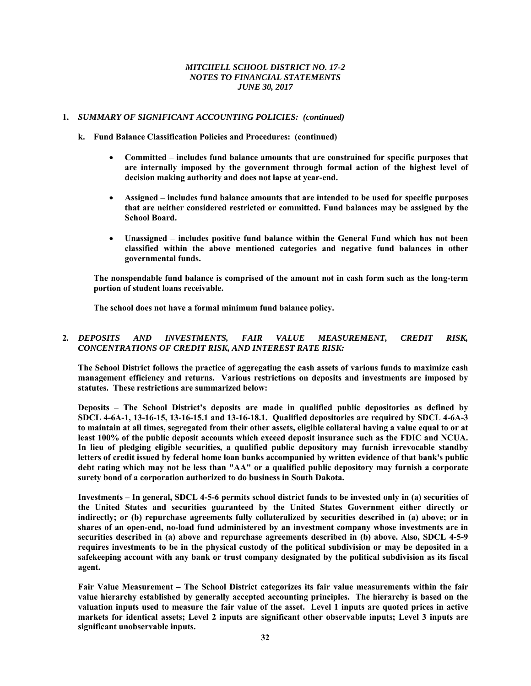## **1.** *SUMMARY OF SIGNIFICANT ACCOUNTING POLICIES:**(continued)*

- **k. Fund Balance Classification Policies and Procedures: (continued)** 
	- **Committed includes fund balance amounts that are constrained for specific purposes that are internally imposed by the government through formal action of the highest level of decision making authority and does not lapse at year-end.**
	- **Assigned includes fund balance amounts that are intended to be used for specific purposes that are neither considered restricted or committed. Fund balances may be assigned by the School Board.**
	- **Unassigned includes positive fund balance within the General Fund which has not been classified within the above mentioned categories and negative fund balances in other governmental funds.**

**The nonspendable fund balance is comprised of the amount not in cash form such as the long-term portion of student loans receivable.** 

**The school does not have a formal minimum fund balance policy.** 

# **2***. DEPOSITS AND INVESTMENTS, FAIR VALUE MEASUREMENT, CREDIT RISK, CONCENTRATIONS OF CREDIT RISK, AND INTEREST RATE RISK:*

**The School District follows the practice of aggregating the cash assets of various funds to maximize cash management efficiency and returns. Various restrictions on deposits and investments are imposed by statutes. These restrictions are summarized below:** 

**Deposits – The School District's deposits are made in qualified public depositories as defined by SDCL 4-6A-1, 13-16-15, 13-16-15.1 and 13-16-18.1. Qualified depositories are required by SDCL 4-6A-3 to maintain at all times, segregated from their other assets, eligible collateral having a value equal to or at least 100% of the public deposit accounts which exceed deposit insurance such as the FDIC and NCUA. In lieu of pledging eligible securities, a qualified public depository may furnish irrevocable standby letters of credit issued by federal home loan banks accompanied by written evidence of that bank's public debt rating which may not be less than "AA" or a qualified public depository may furnish a corporate surety bond of a corporation authorized to do business in South Dakota.** 

**Investments – In general, SDCL 4-5-6 permits school district funds to be invested only in (a) securities of the United States and securities guaranteed by the United States Government either directly or indirectly; or (b) repurchase agreements fully collateralized by securities described in (a) above; or in shares of an open-end, no-load fund administered by an investment company whose investments are in securities described in (a) above and repurchase agreements described in (b) above. Also, SDCL 4-5-9 requires investments to be in the physical custody of the political subdivision or may be deposited in a safekeeping account with any bank or trust company designated by the political subdivision as its fiscal agent.** 

**Fair Value Measurement – The School District categorizes its fair value measurements within the fair value hierarchy established by generally accepted accounting principles. The hierarchy is based on the valuation inputs used to measure the fair value of the asset. Level 1 inputs are quoted prices in active markets for identical assets; Level 2 inputs are significant other observable inputs; Level 3 inputs are significant unobservable inputs.**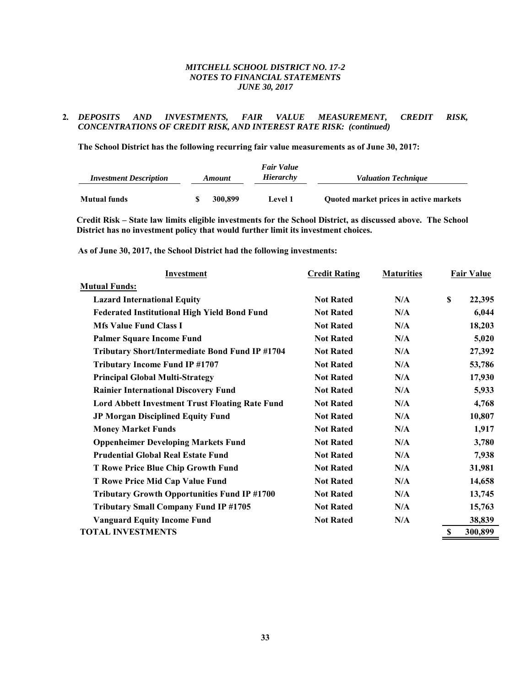# **2***. DEPOSITS AND INVESTMENTS, FAIR VALUE MEASUREMENT, CREDIT RISK, CONCENTRATIONS OF CREDIT RISK, AND INTEREST RATE RISK: (continued)*

**The School District has the following recurring fair value measurements as of June 30, 2017:** 

|                               |               | <b>Fair Value</b> |                                        |
|-------------------------------|---------------|-------------------|----------------------------------------|
| <b>Investment Description</b> | <b>Amount</b> | Hierarchy         | <b>Valuation Technique</b>             |
|                               |               |                   |                                        |
| <b>Mutual funds</b>           | 300.899       | Level 1           | Quoted market prices in active markets |

**Credit Risk – State law limits eligible investments for the School District, as discussed above. The School District has no investment policy that would further limit its investment choices.** 

**As of June 30, 2017, the School District had the following investments:** 

| Investment                                             | <b>Credit Rating</b> | <b>Maturities</b> | <b>Fair Value</b> |
|--------------------------------------------------------|----------------------|-------------------|-------------------|
| <b>Mutual Funds:</b>                                   |                      |                   |                   |
| <b>Lazard International Equity</b>                     | <b>Not Rated</b>     | N/A               | \$<br>22,395      |
| <b>Federated Institutional High Yield Bond Fund</b>    | <b>Not Rated</b>     | N/A               | 6,044             |
| <b>Mfs Value Fund Class I</b>                          | <b>Not Rated</b>     | N/A               | 18,203            |
| <b>Palmer Square Income Fund</b>                       | <b>Not Rated</b>     | N/A               | 5,020             |
| Tributary Short/Intermediate Bond Fund IP #1704        | <b>Not Rated</b>     | N/A               | 27,392            |
| <b>Tributary Income Fund IP #1707</b>                  | <b>Not Rated</b>     | N/A               | 53,786            |
| <b>Principal Global Multi-Strategy</b>                 | <b>Not Rated</b>     | N/A               | 17,930            |
| <b>Rainier International Discovery Fund</b>            | <b>Not Rated</b>     | N/A               | 5,933             |
| <b>Lord Abbett Investment Trust Floating Rate Fund</b> | <b>Not Rated</b>     | N/A               | 4,768             |
| JP Morgan Disciplined Equity Fund                      | <b>Not Rated</b>     | N/A               | 10,807            |
| <b>Money Market Funds</b>                              | <b>Not Rated</b>     | N/A               | 1,917             |
| <b>Oppenheimer Developing Markets Fund</b>             | <b>Not Rated</b>     | N/A               | 3,780             |
| <b>Prudential Global Real Estate Fund</b>              | <b>Not Rated</b>     | N/A               | 7,938             |
| <b>T Rowe Price Blue Chip Growth Fund</b>              | <b>Not Rated</b>     | N/A               | 31,981            |
| T Rowe Price Mid Cap Value Fund                        | <b>Not Rated</b>     | N/A               | 14,658            |
| <b>Tributary Growth Opportunities Fund IP #1700</b>    | <b>Not Rated</b>     | N/A               | 13,745            |
| <b>Tributary Small Company Fund IP #1705</b>           | <b>Not Rated</b>     | N/A               | 15,763            |
| <b>Vanguard Equity Income Fund</b>                     | <b>Not Rated</b>     | N/A               | 38,839            |
| <b>TOTAL INVESTMENTS</b>                               |                      |                   | \$<br>300,899     |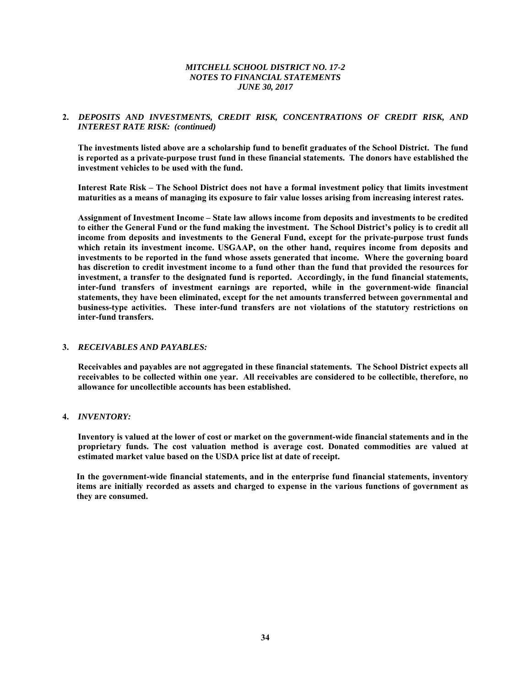# **2.** *DEPOSITS AND INVESTMENTS, CREDIT RISK, CONCENTRATIONS OF CREDIT RISK, AND INTEREST RATE RISK: (continued)*

**The investments listed above are a scholarship fund to benefit graduates of the School District. The fund is reported as a private-purpose trust fund in these financial statements. The donors have established the investment vehicles to be used with the fund.** 

**Interest Rate Risk – The School District does not have a formal investment policy that limits investment maturities as a means of managing its exposure to fair value losses arising from increasing interest rates.** 

**Assignment of Investment Income – State law allows income from deposits and investments to be credited to either the General Fund or the fund making the investment. The School District's policy is to credit all income from deposits and investments to the General Fund, except for the private-purpose trust funds which retain its investment income. USGAAP, on the other hand, requires income from deposits and investments to be reported in the fund whose assets generated that income. Where the governing board has discretion to credit investment income to a fund other than the fund that provided the resources for investment, a transfer to the designated fund is reported. Accordingly, in the fund financial statements, inter-fund transfers of investment earnings are reported, while in the government-wide financial statements, they have been eliminated, except for the net amounts transferred between governmental and business-type activities. These inter-fund transfers are not violations of the statutory restrictions on inter-fund transfers.** 

#### **3.** *RECEIVABLES AND PAYABLES:*

**Receivables and payables are not aggregated in these financial statements. The School District expects all receivables to be collected within one year. All receivables are considered to be collectible, therefore, no allowance for uncollectible accounts has been established.** 

#### **4.** *INVENTORY:*

**Inventory is valued at the lower of cost or market on the government-wide financial statements and in the proprietary funds. The cost valuation method is average cost. Donated commodities are valued at estimated market value based on the USDA price list at date of receipt.** 

**In the government-wide financial statements, and in the enterprise fund financial statements, inventory items are initially recorded as assets and charged to expense in the various functions of government as they are consumed.**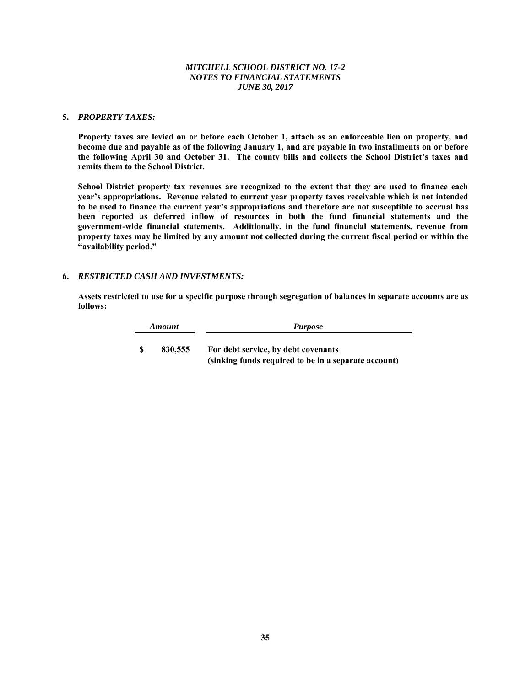## **5.** *PROPERTY TAXES:*

**Property taxes are levied on or before each October 1, attach as an enforceable lien on property, and become due and payable as of the following January 1, and are payable in two installments on or before the following April 30 and October 31. The county bills and collects the School District's taxes and remits them to the School District.** 

**School District property tax revenues are recognized to the extent that they are used to finance each year's appropriations. Revenue related to current year property taxes receivable which is not intended to be used to finance the current year's appropriations and therefore are not susceptible to accrual has been reported as deferred inflow of resources in both the fund financial statements and the government-wide financial statements. Additionally, in the fund financial statements, revenue from property taxes may be limited by any amount not collected during the current fiscal period or within the "availability period."** 

## **6.** *RESTRICTED CASH AND INVESTMENTS:*

**Assets restricted to use for a specific purpose through segregation of balances in separate accounts are as follows:** 

|    | <b>Amount</b> | <i>Purpose</i>                                                                              |
|----|---------------|---------------------------------------------------------------------------------------------|
| -S | 830,555       | For debt service, by debt covenants<br>(sinking funds required to be in a separate account) |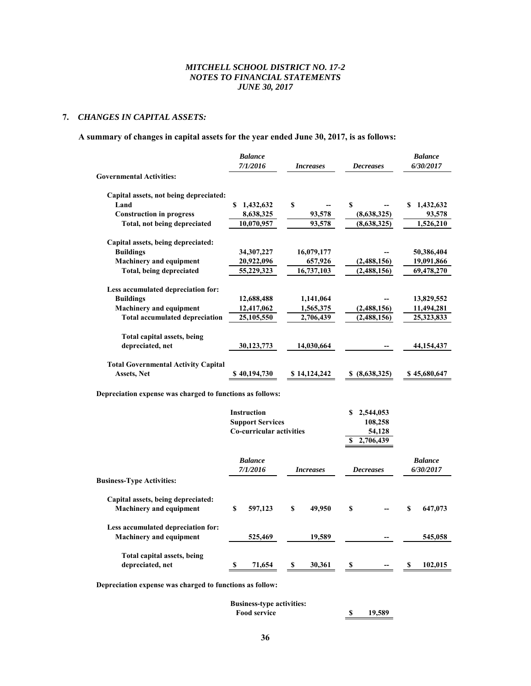# **7.** *CHANGES IN CAPITAL ASSETS:*

# **A summary of changes in capital assets for the year ended June 30, 2017, is as follows:**

|                                                           | <b>Balance</b><br>7/1/2016 | <i>Increases</i> | <b>Decreases</b> | <b>Balance</b><br>6/30/2017 |  |
|-----------------------------------------------------------|----------------------------|------------------|------------------|-----------------------------|--|
| <b>Governmental Activities:</b>                           |                            |                  |                  |                             |  |
| Capital assets, not being depreciated:                    |                            |                  |                  |                             |  |
| Land                                                      | S<br>1,432,632             | \$               | S                | 1,432,632<br>\$             |  |
| <b>Construction in progress</b>                           | 8,638,325                  | 93,578           | (8,638,325)      | 93,578                      |  |
| Total, not being depreciated                              | 10,070,957                 | 93,578           | (8,638,325)      | 1,526,210                   |  |
| Capital assets, being depreciated:                        |                            |                  |                  |                             |  |
| <b>Buildings</b>                                          | 34,307,227                 | 16,079,177       |                  | 50,386,404                  |  |
| <b>Machinery and equipment</b>                            | 20,922,096                 | 657,926          | (2,488,156)      | 19,091,866                  |  |
| Total, being depreciated                                  | 55,229,323                 | 16,737,103       | (2,488,156)      | 69,478,270                  |  |
| Less accumulated depreciation for:                        |                            |                  |                  |                             |  |
| <b>Buildings</b>                                          | 12,688,488                 | 1,141,064        |                  | 13,829,552                  |  |
| <b>Machinery and equipment</b>                            | 12,417,062                 | 1,565,375        | (2,488,156)      | 11,494,281<br>25,323,833    |  |
| <b>Total accumulated depreciation</b>                     | 25,105,550                 | 2,706,439        | (2,488,156)      |                             |  |
| Total capital assets, being                               |                            |                  |                  |                             |  |
| depreciated, net                                          | 30,123,773                 | 14,030,664       |                  | 44,154,437                  |  |
| <b>Total Governmental Activity Capital</b>                |                            |                  |                  |                             |  |
| <b>Assets, Net</b>                                        | \$40,194,730               | \$14,124,242     | \$ (8,638,325)   | \$45,680,647                |  |
| Depreciation expense was charged to functions as follows: |                            |                  |                  |                             |  |
|                                                           | <b>Instruction</b>         |                  | 2,544,053<br>S   |                             |  |
|                                                           | <b>Support Services</b>    |                  | 108,258          |                             |  |
|                                                           | Co-curricular activities   |                  | 54,128           |                             |  |
|                                                           |                            |                  | 2,706,439<br>\$  |                             |  |
|                                                           | <b>Balance</b>             |                  |                  | <b>Balance</b>              |  |
|                                                           | 7/1/2016                   | <i>Increases</i> | <b>Decreases</b> | 6/30/2017                   |  |
| <b>Business-Type Activities:</b>                          |                            |                  |                  |                             |  |
| Capital assets, being depreciated:                        |                            |                  |                  |                             |  |
| <b>Machinery and equipment</b>                            | S<br>597,123               | \$<br>49,950     | S                | S<br>647,073                |  |
| Less accumulated depreciation for:                        |                            |                  |                  |                             |  |
| <b>Machinery and equipment</b>                            | 525,469                    | 19,589           |                  | 545,058                     |  |

**Depreciation expense was charged to functions as follow:**

**Total capital assets, being** 

| 19.589 |
|--------|
|        |

**depreciated, net 8 11,654 \$ 30,361 \$ \$ 102,015**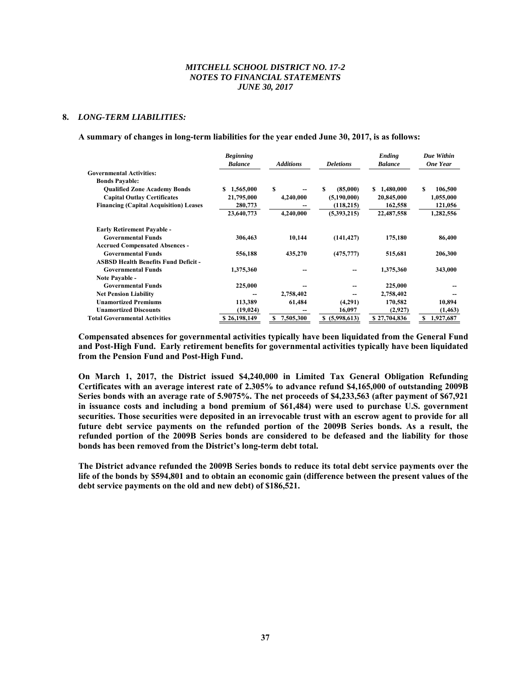#### **8.** *LONG-TERM LIABILITIES:*

#### **A summary of changes in long-term liabilities for the year ended June 30, 2017, is as follows:**

|                                               | <b>Beginning</b><br><b>Balance</b> | <b>Additions</b> | <b>Deletions</b>  | Ending<br><b>Balance</b> | Due Within<br><b>One Year</b> |
|-----------------------------------------------|------------------------------------|------------------|-------------------|--------------------------|-------------------------------|
| <b>Governmental Activities:</b>               |                                    |                  |                   |                          |                               |
| <b>Bonds Payable:</b>                         |                                    |                  |                   |                          |                               |
| <b>Qualified Zone Academy Bonds</b>           | 1,565,000<br>S                     | S                | \$<br>(85,000)    | 1,480,000<br>S.          | \$<br>106,500                 |
| <b>Capital Outlay Certificates</b>            | 21,795,000                         | 4,240,000        | (5,190,000)       | 20,845,000               | 1,055,000                     |
| <b>Financing (Capital Acquisition) Leases</b> | 280,773                            |                  | (118, 215)        | 162,558                  | 121,056                       |
|                                               | 23,640,773                         | 4,240,000        | (5,393,215)       | 22,487,558               | 1,282,556                     |
| <b>Early Retirement Payable -</b>             |                                    |                  |                   |                          |                               |
| <b>Governmental Funds</b>                     | 306,463                            | 10,144           | (141, 427)        | 175,180                  | 86,400                        |
| <b>Accrued Compensated Absences -</b>         |                                    |                  |                   |                          |                               |
| <b>Governmental Funds</b>                     | 556,188                            | 435,270          | (475, 777)        | 515,681                  | 206,300                       |
| <b>ASBSD Health Benefits Fund Deficit -</b>   |                                    |                  |                   |                          |                               |
| <b>Governmental Funds</b>                     | 1,375,360                          |                  |                   | 1,375,360                | 343,000                       |
| Note Payable -                                |                                    |                  |                   |                          |                               |
| <b>Governmental Funds</b>                     | 225,000                            |                  |                   | 225,000                  |                               |
| <b>Net Pension Liability</b>                  |                                    | 2,758,402        | --                | 2,758,402                |                               |
| <b>Unamortized Premiums</b>                   | 113,389                            | 61,484           | (4,291)           | 170,582                  | 10,894                        |
| <b>Unamortized Discounts</b>                  | (19, 024)                          |                  | 16,097            | (2,927)                  | (1, 463)                      |
| <b>Total Governmental Activities</b>          | \$26,198,149                       | 7,505,300<br>\$  | (5,998,613)<br>\$ | \$27,704,836             | 1,927,687<br>\$               |

**Compensated absences for governmental activities typically have been liquidated from the General Fund and Post-High Fund. Early retirement benefits for governmental activities typically have been liquidated from the Pension Fund and Post-High Fund.** 

**On March 1, 2017, the District issued \$4,240,000 in Limited Tax General Obligation Refunding Certificates with an average interest rate of 2.305% to advance refund \$4,165,000 of outstanding 2009B Series bonds with an average rate of 5.9075%. The net proceeds of \$4,233,563 (after payment of \$67,921 in issuance costs and including a bond premium of \$61,484) were used to purchase U.S. government securities. Those securities were deposited in an irrevocable trust with an escrow agent to provide for all future debt service payments on the refunded portion of the 2009B Series bonds. As a result, the refunded portion of the 2009B Series bonds are considered to be defeased and the liability for those bonds has been removed from the District's long-term debt total.** 

**The District advance refunded the 2009B Series bonds to reduce its total debt service payments over the life of the bonds by \$594,801 and to obtain an economic gain (difference between the present values of the debt service payments on the old and new debt) of \$186,521.**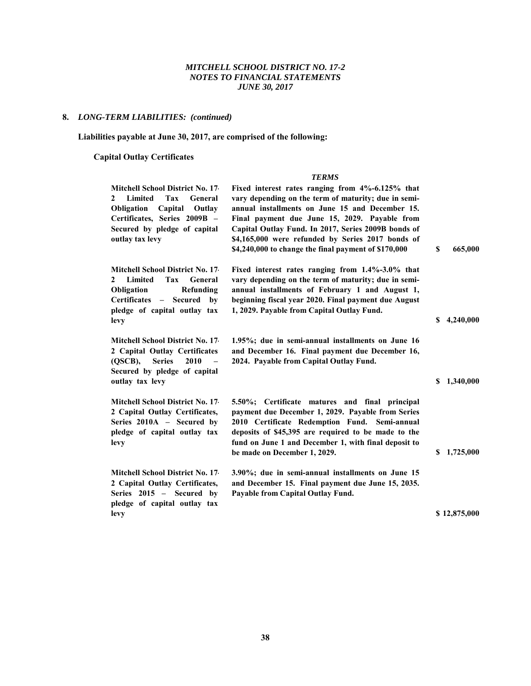# **8.** *LONG-TERM LIABILITIES: (continued)*

# **Liabilities payable at June 30, 2017, are comprised of the following:**

# **Capital Outlay Certificates**

# *TERMS*

| Mitchell School District No. 17<br><b>Limited</b><br>Tax<br>General<br>2<br>Capital<br>Obligation<br>Outlay<br>Certificates, Series 2009B -<br>Secured by pledge of capital<br>outlay tax levy | Fixed interest rates ranging from 4%-6.125% that<br>vary depending on the term of maturity; due in semi-<br>annual installments on June 15 and December 15.<br>Final payment due June 15, 2029. Payable from<br>Capital Outlay Fund. In 2017, Series 2009B bonds of<br>\$4,165,000 were refunded by Series 2017 bonds of<br>\$4,240,000 to change the final payment of \$170,000 | \$ | 665,000      |
|------------------------------------------------------------------------------------------------------------------------------------------------------------------------------------------------|----------------------------------------------------------------------------------------------------------------------------------------------------------------------------------------------------------------------------------------------------------------------------------------------------------------------------------------------------------------------------------|----|--------------|
| <b>Mitchell School District No. 17-</b><br><b>Limited</b><br>Tax<br>General<br>2<br>Obligation<br>Refunding<br>Certificates - Secured by<br>pledge of capital outlay tax<br>levy               | Fixed interest rates ranging from 1.4%-3.0% that<br>vary depending on the term of maturity; due in semi-<br>annual installments of February 1 and August 1,<br>beginning fiscal year 2020. Final payment due August<br>1, 2029. Payable from Capital Outlay Fund.                                                                                                                | S. | 4,240,000    |
| <b>Mitchell School District No. 17</b><br>2 Capital Outlay Certificates<br><b>Series</b><br>$(OSCB)$ ,<br>2010<br>$\overline{\phantom{0}}$<br>Secured by pledge of capital<br>outlay tax levy  | 1.95%; due in semi-annual installments on June 16<br>and December 16. Final payment due December 16,<br>2024. Payable from Capital Outlay Fund.                                                                                                                                                                                                                                  | S. | 1,340,000    |
| <b>Mitchell School District No. 17-</b><br>2 Capital Outlay Certificates,<br>Series 2010A - Secured by<br>pledge of capital outlay tax<br>levy                                                 | 5.50%; Certificate matures and final principal<br>payment due December 1, 2029. Payable from Series<br>2010 Certificate Redemption Fund. Semi-annual<br>deposits of \$45,395 are required to be made to the<br>fund on June 1 and December 1, with final deposit to<br>be made on December 1, 2029.                                                                              | S. | 1,725,000    |
| <b>Mitchell School District No. 17</b><br>2 Capital Outlay Certificates,<br>Series 2015 - Secured by<br>pledge of capital outlay tax<br>levy                                                   | 3.90%; due in semi-annual installments on June 15<br>and December 15. Final payment due June 15, 2035.<br>Payable from Capital Outlay Fund.                                                                                                                                                                                                                                      |    | \$12,875,000 |
|                                                                                                                                                                                                |                                                                                                                                                                                                                                                                                                                                                                                  |    |              |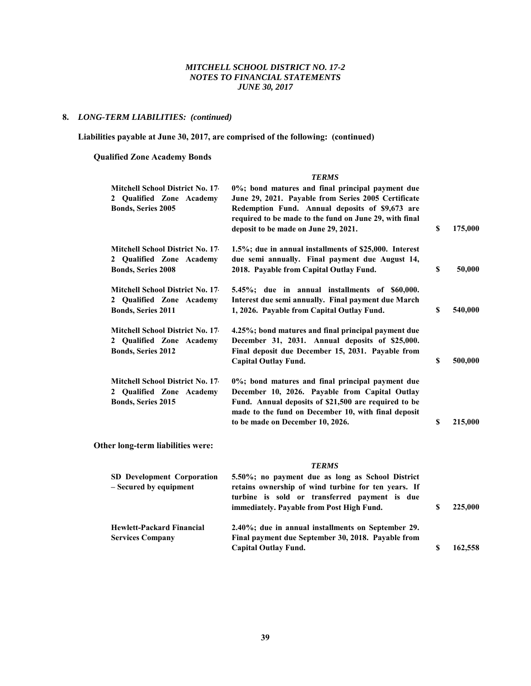#### **8.** *LONG-TERM LIABILITIES: (continued)*

 **Liabilities payable at June 30, 2017, are comprised of the following: (continued)** 

 **Qualified Zone Academy Bonds** 

**Hewlett-Packard Financial** 

**Services Company**

#### *TERMS* **Mitchell School District No. 17- 2 Qualified Zone Academy Bonds, Series 2005 0%; bond matures and final principal payment due June 29, 2021. Payable from Series 2005 Certificate Redemption Fund. Annual deposits of \$9,673 are required to be made to the fund on June 29, with final deposit to be made on June 29, 2021. \$ 175,000 Mitchell School District No. 17- 2 Qualified Zone Academy Bonds, Series 2008 1.5%; due in annual installments of \$25,000. Interest due semi annually. Final payment due August 14, 2018. Payable from Capital Outlay Fund. \$ 50,000 Mitchell School District No. 17- 2 Qualified Zone Academy Bonds, Series 2011 5.45%; due in annual installments of \$60,000. Interest due semi annually. Final payment due March 1, 2026. Payable from Capital Outlay Fund. \$ 540,000 Mitchell School District No. 17- 2 Qualified Zone Academy Bonds, Series 2012 4.25%; bond matures and final principal payment due December 31, 2031. Annual deposits of \$25,000. Final deposit due December 15, 2031. Payable from Capital Outlay Fund. \$ 500,000 Mitchell School District No. 17- 2 Qualified Zone Academy Bonds, Series 2015 0%; bond matures and final principal payment due December 10, 2026. Payable from Capital Outlay Fund. Annual deposits of \$21,500 are required to be made to the fund on December 10, with final deposit to be made on December 10, 2026. \$ 215,000 Other long-term liabilities were:**  *TERMS* **SD Development Corporation – Secured by equipment 5.50%; no payment due as long as School District retains ownership of wind turbine for ten years. If**

**turbine is sold or transferred payment is due**

**2.40%; due in annual installments on September 29. Final payment due September 30, 2018. Payable from**

**immediately. Payable from Post High Fund. \$ 225,000**

**Capital Outlay Fund. \$ 162,558**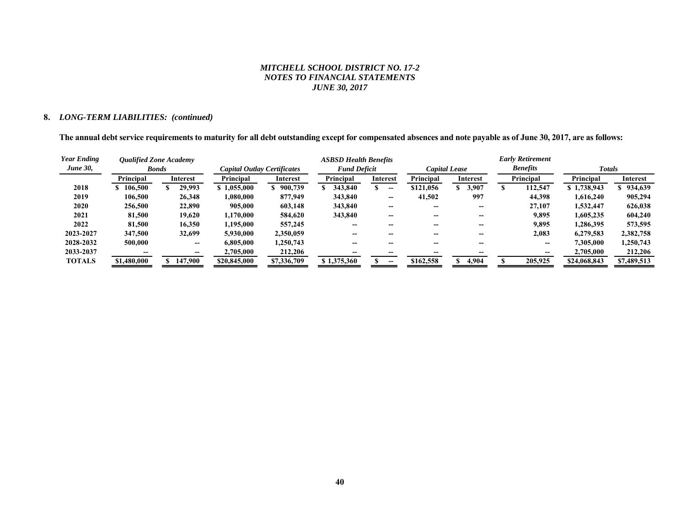#### **8.** *LONG-TERM LIABILITIES: (continued)*

**The annual debt service requirements to maturity for all debt outstanding except for compensated absences and note payable as of June 30, 2017, are as follows:** 

| <b>Year Ending</b> | <b>Oualified Zone Academy</b> |                 |                             |                 | <b>ASBSD Health Benefits</b>         |                 |                          |                 |                          |   | <b>Early Retirement</b> |              |             |
|--------------------|-------------------------------|-----------------|-----------------------------|-----------------|--------------------------------------|-----------------|--------------------------|-----------------|--------------------------|---|-------------------------|--------------|-------------|
| <b>June 30,</b>    | <b>Bonds</b>                  |                 | Capital Outlay Certificates |                 | <b>Fund Deficit</b><br>Capital Lease |                 |                          | <b>Benefits</b> |                          |   | <b>Totals</b>           |              |             |
|                    | Principal                     | <b>Interest</b> | Principal                   | <b>Interest</b> | Principal                            | <b>Interest</b> |                          | Principal       | Interest                 |   | Principal               | Principal    | Interest    |
| 2018               | \$106,500                     | 29,993          | \$1.055,000                 | 900,739         | 343.840                              |                 | --                       | \$121,056       | 3.907                    | æ | 112,547                 | \$1,738,943  | \$934,639   |
| 2019               | 106,500                       | 26,348          | 1,080,000                   | 877,949         | 343,840                              |                 | $\overline{\phantom{a}}$ | 41,502          | 997                      |   | 44,398                  | 1,616,240    | 905,294     |
| 2020               | 256,500                       | 22,890          | 905,000                     | 603,148         | 343,840                              |                 | $- -$                    | --              | $\overline{\phantom{m}}$ |   | 27,107                  | 1,532,447    | 626,038     |
| 2021               | 81,500                        | 19.620          | 1,170,000                   | 584,620         | 343,840                              |                 | $- -$                    | --              | $- -$                    |   | 9,895                   | 1,605,235    | 604,240     |
| 2022               | 81,500                        | 16.350          | 1,195,000                   | 557,245         |                                      |                 | --                       | --              |                          |   | 9,895                   | 1.286.395    | 573,595     |
| 2023-2027          | 347,500                       | 32,699          | 5,930,000                   | 2,350,059       |                                      |                 |                          |                 |                          |   | 2,083                   | 6.279.583    | 2,382,758   |
| 2028-2032          | 500,000                       | --              | 6,805,000                   | 1,250,743       |                                      |                 |                          |                 |                          |   | --                      | 7,305,000    | 1,250,743   |
| 2033-2037          |                               |                 | 2,705,000                   | 212,206         |                                      |                 |                          |                 |                          |   |                         | 2,705,000    | 212,206     |
| <b>TOTALS</b>      | \$1,480,000                   | 147,900         | \$20,845,000                | \$7,336,709     | \$1,375,360                          |                 |                          | \$162,558       | 4,904                    |   | 205,925                 | \$24,068,843 | \$7,489,513 |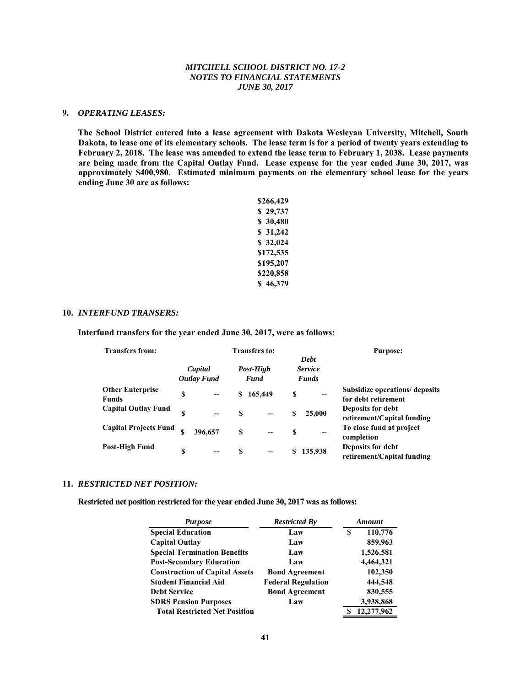#### **9.** *OPERATING LEASES:*

 **The School District entered into a lease agreement with Dakota Wesleyan University, Mitchell, South Dakota, to lease one of its elementary schools. The lease term is for a period of twenty years extending to February 2, 2018. The lease was amended to extend the lease term to February 1, 2038. Lease payments are being made from the Capital Outlay Fund. Lease expense for the year ended June 30, 2017, was approximately \$400,980. Estimated minimum payments on the elementary school lease for the years ending June 30 are as follows:** 

| \$266,429   |
|-------------|
| 29,737<br>S |
| \$ 30,480   |
| \$31,242    |
| \$32,024    |
| \$172,535   |
| \$195,207   |
| \$220,858   |
| \$46,379    |

#### **10.** *INTERFUND TRANSERS:*

 **Interfund transfers for the year ended June 30, 2017, were as follows:** 

| <b>Transfers from:</b>                  |                               | <b>Transfers to:</b>     | <b>Purpose:</b>                               |                                                       |  |
|-----------------------------------------|-------------------------------|--------------------------|-----------------------------------------------|-------------------------------------------------------|--|
|                                         | Capital<br><b>Outlay Fund</b> | Post-High<br><b>Fund</b> | <b>Debt</b><br><b>Service</b><br><b>Funds</b> |                                                       |  |
| <b>Other Enterprise</b><br><b>Funds</b> | S<br>$\qquad \qquad$          | 165,449<br>S             | S<br>--                                       | Subsidize operations/ deposits<br>for debt retirement |  |
| <b>Capital Outlay Fund</b>              | S<br>--                       | S                        | 25,000<br>S                                   | Deposits for debt<br>retirement/Capital funding       |  |
| <b>Capital Projects Fund</b>            | \$<br>396,657                 | S<br>$-$                 | \$<br>--                                      | To close fund at project<br>completion                |  |
| Post-High Fund                          | S<br>$\overline{\phantom{a}}$ | S<br>--                  | 135,938                                       | Deposits for debt<br>retirement/Capital funding       |  |

#### **11.** *RESTRICTED NET POSITION:*

 **Restricted net position restricted for the year ended June 30, 2017 was as follows:** 

| <b>Purpose</b>                        | <b>Restricted By</b>      |   | Amount     |  |  |  |
|---------------------------------------|---------------------------|---|------------|--|--|--|
| <b>Special Education</b>              | Law                       | S | 110,776    |  |  |  |
| <b>Capital Outlay</b>                 | Law                       |   | 859,963    |  |  |  |
| <b>Special Termination Benefits</b>   | Law                       |   | 1,526,581  |  |  |  |
| <b>Post-Secondary Education</b>       | Law                       |   | 4,464,321  |  |  |  |
| <b>Construction of Capital Assets</b> | <b>Bond Agreement</b>     |   | 102,350    |  |  |  |
| <b>Student Financial Aid</b>          | <b>Federal Regulation</b> |   | 444,548    |  |  |  |
| <b>Debt Service</b>                   | <b>Bond Agreement</b>     |   | 830,555    |  |  |  |
| <b>SDRS Pension Purposes</b>          | Law                       |   | 3,938,868  |  |  |  |
| <b>Total Restricted Net Position</b>  |                           | S | 12,277,962 |  |  |  |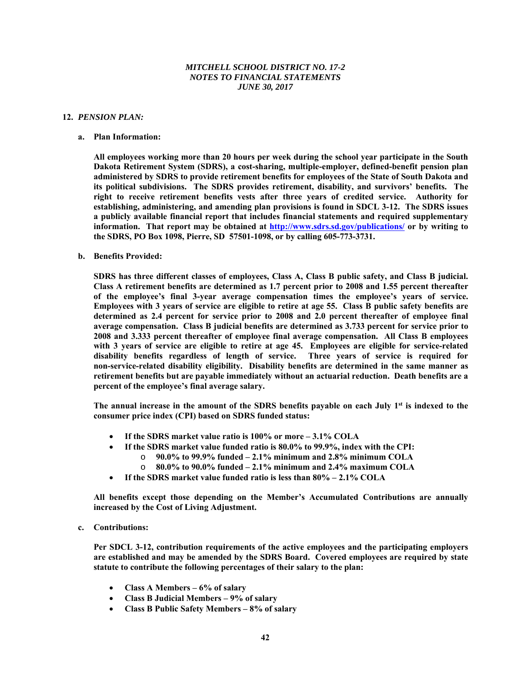#### **12.** *PENSION PLAN:*

#### **a. Plan Information:**

**All employees working more than 20 hours per week during the school year participate in the South Dakota Retirement System (SDRS), a cost-sharing, multiple-employer, defined-benefit pension plan administered by SDRS to provide retirement benefits for employees of the State of South Dakota and its political subdivisions. The SDRS provides retirement, disability, and survivors' benefits. The right to receive retirement benefits vests after three years of credited service. Authority for establishing, administering, and amending plan provisions is found in SDCL 3-12. The SDRS issues a publicly available financial report that includes financial statements and required supplementary information. That report may be obtained at http://www.sdrs.sd.gov/publications/ or by writing to the SDRS, PO Box 1098, Pierre, SD 57501-1098, or by calling 605-773-3731.** 

#### **b. Benefits Provided:**

**SDRS has three different classes of employees, Class A, Class B public safety, and Class B judicial. Class A retirement benefits are determined as 1.7 percent prior to 2008 and 1.55 percent thereafter of the employee's final 3-year average compensation times the employee's years of service. Employees with 3 years of service are eligible to retire at age 55. Class B public safety benefits are determined as 2.4 percent for service prior to 2008 and 2.0 percent thereafter of employee final average compensation. Class B judicial benefits are determined as 3.733 percent for service prior to 2008 and 3.333 percent thereafter of employee final average compensation. All Class B employees with 3 years of service are eligible to retire at age 45. Employees are eligible for service-related disability benefits regardless of length of service. Three years of service is required for non-service-related disability eligibility. Disability benefits are determined in the same manner as retirement benefits but are payable immediately without an actuarial reduction. Death benefits are a percent of the employee's final average salary.** 

The annual increase in the amount of the SDRS benefits payable on each July 1<sup>st</sup> is indexed to the **consumer price index (CPI) based on SDRS funded status:** 

- **If the SDRS market value ratio is 100% or more 3.1% COLA** 
	- **If the SDRS market value funded ratio is 80.0% to 99.9%, index with the CPI:** 
		- o **90.0% to 99.9% funded 2.1% minimum and 2.8% minimum COLA**
		- o **80.0% to 90.0% funded 2.1% minimum and 2.4% maximum COLA**
- **If the SDRS market value funded ratio is less than 80% 2.1% COLA**

**All benefits except those depending on the Member's Accumulated Contributions are annually increased by the Cost of Living Adjustment.** 

#### **c. Contributions:**

**Per SDCL 3-12, contribution requirements of the active employees and the participating employers are established and may be amended by the SDRS Board. Covered employees are required by state statute to contribute the following percentages of their salary to the plan:** 

- **Class A Members 6% of salary**
- **Class B Judicial Members 9% of salary**
- **Class B Public Safety Members 8% of salary**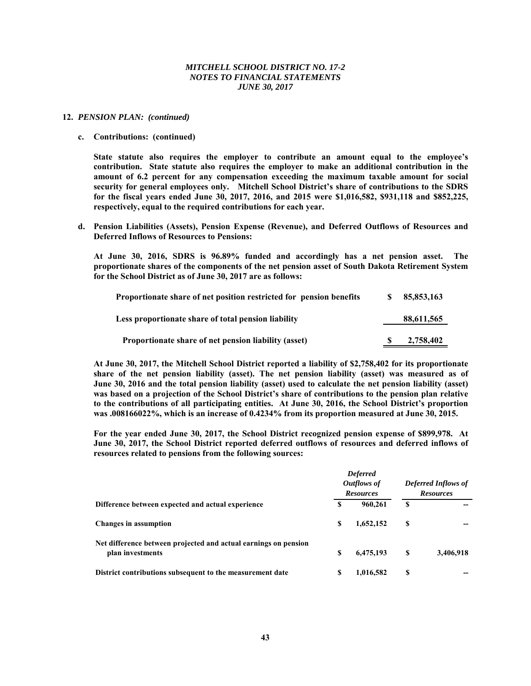#### **12.** *PENSION PLAN: (continued)*

#### **c. Contributions: (continued)**

**State statute also requires the employer to contribute an amount equal to the employee's contribution. State statute also requires the employer to make an additional contribution in the amount of 6.2 percent for any compensation exceeding the maximum taxable amount for social security for general employees only. Mitchell School District's share of contributions to the SDRS for the fiscal years ended June 30, 2017, 2016, and 2015 were \$1,016,582, \$931,118 and \$852,225, respectively, equal to the required contributions for each year.** 

**d. Pension Liabilities (Assets), Pension Expense (Revenue), and Deferred Outflows of Resources and Deferred Inflows of Resources to Pensions:** 

**At June 30, 2016, SDRS is 96.89% funded and accordingly has a net pension asset. The proportionate shares of the components of the net pension asset of South Dakota Retirement System for the School District as of June 30, 2017 are as follows:** 

| Proportionate share of net position restricted for pension benefits | S.  | 85,853,163 |
|---------------------------------------------------------------------|-----|------------|
| Less proportionate share of total pension liability                 |     | 88,611,565 |
| Proportionate share of net pension liability (asset)                | SS. | 2,758,402  |

**At June 30, 2017, the Mitchell School District reported a liability of \$2,758,402 for its proportionate share of the net pension liability (asset). The net pension liability (asset) was measured as of June 30, 2016 and the total pension liability (asset) used to calculate the net pension liability (asset) was based on a projection of the School District's share of contributions to the pension plan relative to the contributions of all participating entities. At June 30, 2016, the School District's proportion was .008166022%, which is an increase of 0.4234% from its proportion measured at June 30, 2015.** 

**For the year ended June 30, 2017, the School District recognized pension expense of \$899,978. At June 30, 2017, the School District reported deferred outflows of resources and deferred inflows of resources related to pensions from the following sources:** 

|                                                                                     |   | <b>Deferred</b><br>Outflows of<br><b>Resources</b> |    | <b>Deferred Inflows of</b><br><b>Resources</b> |
|-------------------------------------------------------------------------------------|---|----------------------------------------------------|----|------------------------------------------------|
| Difference between expected and actual experience                                   | S | 960,261                                            | S  |                                                |
| <b>Changes</b> in assumption                                                        | S | 1,652,152                                          | \$ |                                                |
| Net difference between projected and actual earnings on pension<br>plan investments | S | 6,475,193                                          | S  | 3,406,918                                      |
| District contributions subsequent to the measurement date                           | S | 1,016,582                                          | S  |                                                |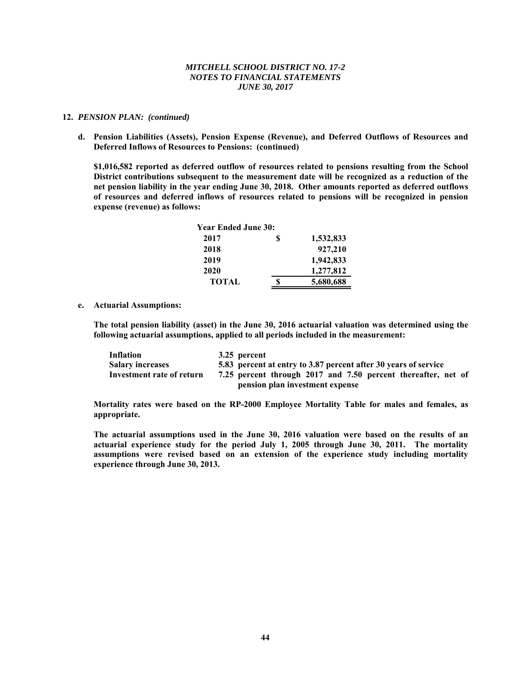#### **12.** *PENSION PLAN: (continued)*

**d. Pension Liabilities (Assets), Pension Expense (Revenue), and Deferred Outflows of Resources and Deferred Inflows of Resources to Pensions: (continued)** 

**\$1,016,582 reported as deferred outflow of resources related to pensions resulting from the School District contributions subsequent to the measurement date will be recognized as a reduction of the net pension liability in the year ending June 30, 2018. Other amounts reported as deferred outflows of resources and deferred inflows of resources related to pensions will be recognized in pension expense (revenue) as follows:** 

| <b>Year Ended June 30:</b> |                 |
|----------------------------|-----------------|
| 2017                       | \$<br>1,532,833 |
| 2018                       | 927,210         |
| 2019                       | 1,942,833       |
| 2020                       | 1,277,812       |
| <b>TOTAL</b>               | 5,680,688       |

**e. Actuarial Assumptions:** 

**The total pension liability (asset) in the June 30, 2016 actuarial valuation was determined using the following actuarial assumptions, applied to all periods included in the measurement:** 

| Inflation                 | 3.25 percent                                                    |
|---------------------------|-----------------------------------------------------------------|
| <b>Salary increases</b>   | 5.83 percent at entry to 3.87 percent after 30 years of service |
| Investment rate of return | 7.25 percent through 2017 and 7.50 percent thereafter, net of   |
|                           | pension plan investment expense                                 |

**Mortality rates were based on the RP-2000 Employee Mortality Table for males and females, as appropriate.** 

**The actuarial assumptions used in the June 30, 2016 valuation were based on the results of an actuarial experience study for the period July 1, 2005 through June 30, 2011. The mortality assumptions were revised based on an extension of the experience study including mortality experience through June 30, 2013.**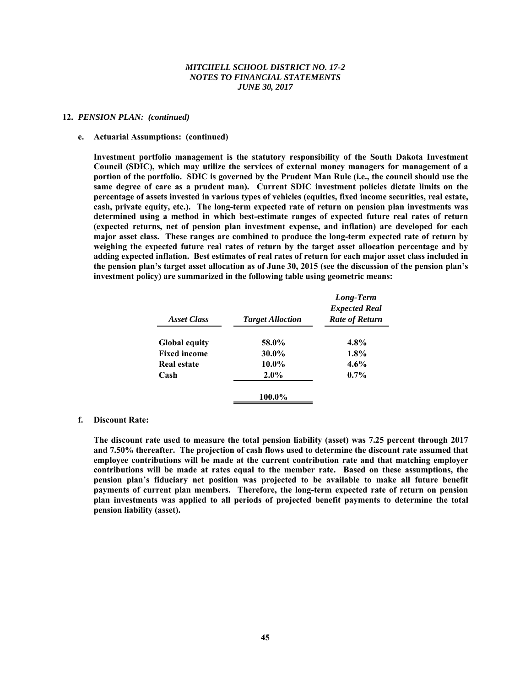#### **12.** *PENSION PLAN: (continued)*

#### **e. Actuarial Assumptions: (continued)**

**Investment portfolio management is the statutory responsibility of the South Dakota Investment Council (SDIC), which may utilize the services of external money managers for management of a portion of the portfolio. SDIC is governed by the Prudent Man Rule (i.e., the council should use the same degree of care as a prudent man). Current SDIC investment policies dictate limits on the percentage of assets invested in various types of vehicles (equities, fixed income securities, real estate, cash, private equity, etc.). The long-term expected rate of return on pension plan investments was determined using a method in which best-estimate ranges of expected future real rates of return (expected returns, net of pension plan investment expense, and inflation) are developed for each major asset class. These ranges are combined to produce the long-term expected rate of return by weighing the expected future real rates of return by the target asset allocation percentage and by adding expected inflation. Best estimates of real rates of return for each major asset class included in the pension plan's target asset allocation as of June 30, 2015 (see the discussion of the pension plan's investment policy) are summarized in the following table using geometric means:** 

| <b>Asset Class</b>   | <b>Target Alloction</b> | Long-Term<br><b>Expected Real</b><br><b>Rate of Return</b> |
|----------------------|-------------------------|------------------------------------------------------------|
| <b>Global equity</b> | 58.0%                   | $4.8\%$                                                    |
| <b>Fixed income</b>  | $30.0\%$                | 1.8%                                                       |
| <b>Real estate</b>   | $10.0\%$                | $4.6\%$                                                    |
| Cash                 | $2.0\%$                 | $0.7\%$                                                    |
|                      | 100.0%                  |                                                            |

#### **f. Discount Rate:**

**The discount rate used to measure the total pension liability (asset) was 7.25 percent through 2017 and 7.50% thereafter. The projection of cash flows used to determine the discount rate assumed that employee contributions will be made at the current contribution rate and that matching employer contributions will be made at rates equal to the member rate. Based on these assumptions, the pension plan's fiduciary net position was projected to be available to make all future benefit payments of current plan members. Therefore, the long-term expected rate of return on pension plan investments was applied to all periods of projected benefit payments to determine the total pension liability (asset).**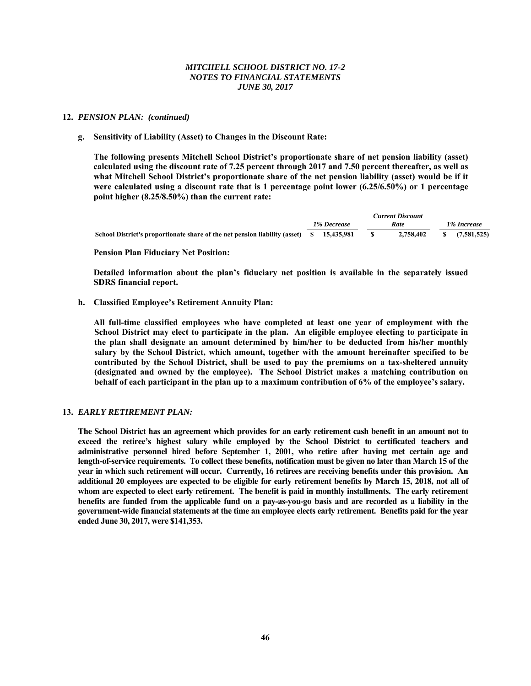#### **12.** *PENSION PLAN: (continued)*

## **g. Sensitivity of Liability (Asset) to Changes in the Discount Rate:**

**The following presents Mitchell School District's proportionate share of net pension liability (asset) calculated using the discount rate of 7.25 percent through 2017 and 7.50 percent thereafter, as well as what Mitchell School District's proportionate share of the net pension liability (asset) would be if it were calculated using a discount rate that is 1 percentage point lower (6.25/6.50%) or 1 percentage point higher (8.25/8.50%) than the current rate:** 

|                                                                                          |             | <b>Current Discount</b> |      |             |
|------------------------------------------------------------------------------------------|-------------|-------------------------|------|-------------|
|                                                                                          | 1% Decrease | Rate                    |      | 1% Increase |
| School District's proportionate share of the net pension liability (asset) \$ 15,435,981 |             | 2,758,402               | -SS- | (7,581,525) |

## **Pension Plan Fiduciary Net Position:**

**Detailed information about the plan's fiduciary net position is available in the separately issued SDRS financial report.** 

## **h. Classified Employee's Retirement Annuity Plan:**

 **All full-time classified employees who have completed at least one year of employment with the School District may elect to participate in the plan. An eligible employee electing to participate in the plan shall designate an amount determined by him/her to be deducted from his/her monthly salary by the School District, which amount, together with the amount hereinafter specified to be contributed by the School District, shall be used to pay the premiums on a tax-sheltered annuity (designated and owned by the employee). The School District makes a matching contribution on behalf of each participant in the plan up to a maximum contribution of 6% of the employee's salary.** 

# **13.** *EARLY RETIREMENT PLAN:*

**The School District has an agreement which provides for an early retirement cash benefit in an amount not to exceed the retiree's highest salary while employed by the School District to certificated teachers and administrative personnel hired before September 1, 2001, who retire after having met certain age and length-of-service requirements. To collect these benefits, notification must be given no later than March 15 of the year in which such retirement will occur. Currently, 16 retirees are receiving benefits under this provision. An additional 20 employees are expected to be eligible for early retirement benefits by March 15, 2018, not all of whom are expected to elect early retirement. The benefit is paid in monthly installments. The early retirement benefits are funded from the applicable fund on a pay-as-you-go basis and are recorded as a liability in the government-wide financial statements at the time an employee elects early retirement. Benefits paid for the year ended June 30, 2017, were \$141,353.**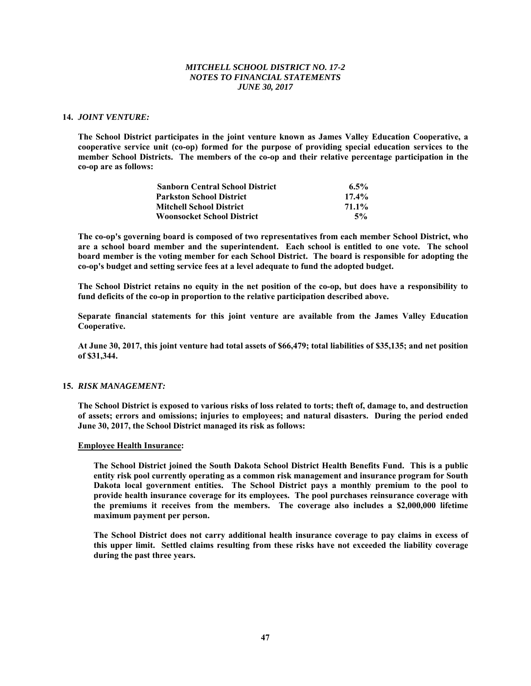## **14.** *JOINT VENTURE:*

**The School District participates in the joint venture known as James Valley Education Cooperative, a cooperative service unit (co-op) formed for the purpose of providing special education services to the member School Districts. The members of the co-op and their relative percentage participation in the co-op are as follows:** 

| <b>Sanborn Central School District</b> | $6.5\%$  |
|----------------------------------------|----------|
| <b>Parkston School District</b>        | $17.4\%$ |
| <b>Mitchell School District</b>        | 71.1%    |
| <b>Woonsocket School District</b>      | 5%       |

**The co-op's governing board is composed of two representatives from each member School District, who are a school board member and the superintendent. Each school is entitled to one vote. The school board member is the voting member for each School District. The board is responsible for adopting the co-op's budget and setting service fees at a level adequate to fund the adopted budget.** 

**The School District retains no equity in the net position of the co-op, but does have a responsibility to fund deficits of the co-op in proportion to the relative participation described above.** 

**Separate financial statements for this joint venture are available from the James Valley Education Cooperative.** 

**At June 30, 2017, this joint venture had total assets of \$66,479; total liabilities of \$35,135; and net position of \$31,344.** 

## **15.** *RISK MANAGEMENT:*

**The School District is exposed to various risks of loss related to torts; theft of, damage to, and destruction of assets; errors and omissions; injuries to employees; and natural disasters. During the period ended June 30, 2017, the School District managed its risk as follows:**

#### **Employee Health Insurance:**

**The School District joined the South Dakota School District Health Benefits Fund. This is a public entity risk pool currently operating as a common risk management and insurance program for South Dakota local government entities. The School District pays a monthly premium to the pool to provide health insurance coverage for its employees. The pool purchases reinsurance coverage with the premiums it receives from the members. The coverage also includes a \$2,000,000 lifetime maximum payment per person.** 

**The School District does not carry additional health insurance coverage to pay claims in excess of this upper limit. Settled claims resulting from these risks have not exceeded the liability coverage during the past three years.**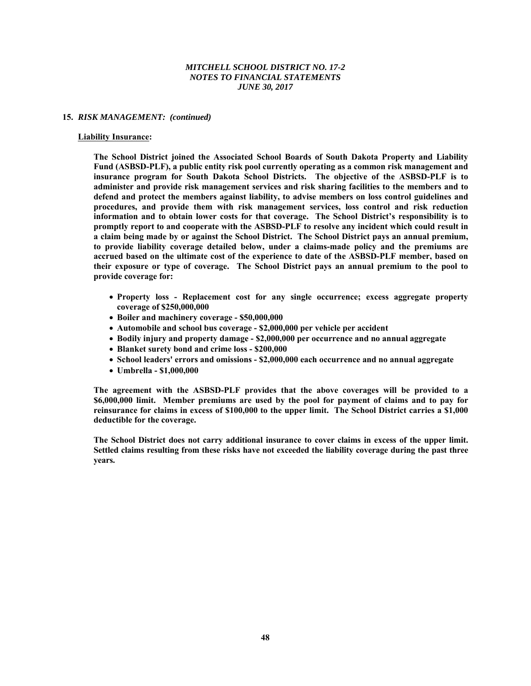#### **15.** *RISK MANAGEMENT: (continued)*

#### **Liability Insurance:**

 **The School District joined the Associated School Boards of South Dakota Property and Liability Fund (ASBSD-PLF), a public entity risk pool currently operating as a common risk management and insurance program for South Dakota School Districts. The objective of the ASBSD-PLF is to administer and provide risk management services and risk sharing facilities to the members and to defend and protect the members against liability, to advise members on loss control guidelines and procedures, and provide them with risk management services, loss control and risk reduction information and to obtain lower costs for that coverage. The School District's responsibility is to promptly report to and cooperate with the ASBSD-PLF to resolve any incident which could result in a claim being made by or against the School District. The School District pays an annual premium, to provide liability coverage detailed below, under a claims-made policy and the premiums are accrued based on the ultimate cost of the experience to date of the ASBSD-PLF member, based on their exposure or type of coverage. The School District pays an annual premium to the pool to provide coverage for:** 

- **Property loss Replacement cost for any single occurrence; excess aggregate property coverage of \$250,000,000**
- **Boiler and machinery coverage \$50,000,000**
- **Automobile and school bus coverage \$2,000,000 per vehicle per accident**
- **Bodily injury and property damage \$2,000,000 per occurrence and no annual aggregate**
- **Blanket surety bond and crime loss \$200,000**
- **School leaders' errors and omissions \$2,000,000 each occurrence and no annual aggregate**
- **Umbrella \$1,000,000**

**The agreement with the ASBSD-PLF provides that the above coverages will be provided to a \$6,000,000 limit. Member premiums are used by the pool for payment of claims and to pay for reinsurance for claims in excess of \$100,000 to the upper limit. The School District carries a \$1,000 deductible for the coverage.** 

**The School District does not carry additional insurance to cover claims in excess of the upper limit. Settled claims resulting from these risks have not exceeded the liability coverage during the past three years.**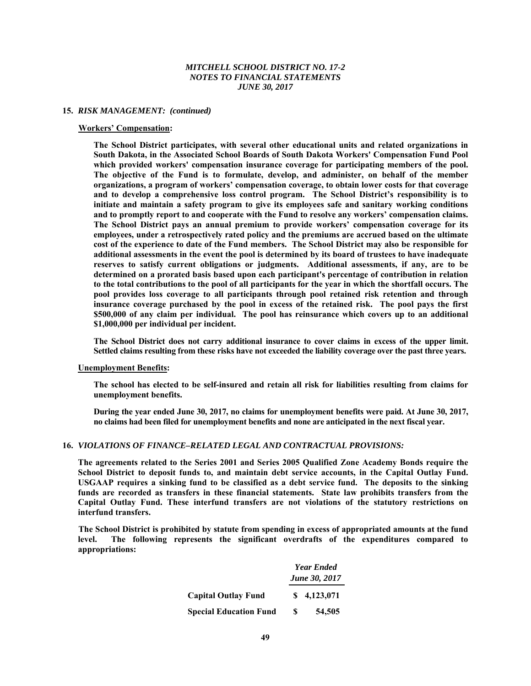#### **15.** *RISK MANAGEMENT: (continued)*

#### **Workers' Compensation:**

**The School District participates, with several other educational units and related organizations in South Dakota, in the Associated School Boards of South Dakota Workers' Compensation Fund Pool which provided workers' compensation insurance coverage for participating members of the pool. The objective of the Fund is to formulate, develop, and administer, on behalf of the member organizations, a program of workers' compensation coverage, to obtain lower costs for that coverage and to develop a comprehensive loss control program. The School District's responsibility is to initiate and maintain a safety program to give its employees safe and sanitary working conditions and to promptly report to and cooperate with the Fund to resolve any workers' compensation claims. The School District pays an annual premium to provide workers' compensation coverage for its employees, under a retrospectively rated policy and the premiums are accrued based on the ultimate cost of the experience to date of the Fund members. The School District may also be responsible for additional assessments in the event the pool is determined by its board of trustees to have inadequate reserves to satisfy current obligations or judgments. Additional assessments, if any, are to be determined on a prorated basis based upon each participant's percentage of contribution in relation to the total contributions to the pool of all participants for the year in which the shortfall occurs. The pool provides loss coverage to all participants through pool retained risk retention and through insurance coverage purchased by the pool in excess of the retained risk. The pool pays the first \$500,000 of any claim per individual. The pool has reinsurance which covers up to an additional \$1,000,000 per individual per incident.** 

**The School District does not carry additional insurance to cover claims in excess of the upper limit. Settled claims resulting from these risks have not exceeded the liability coverage over the past three years.** 

#### **Unemployment Benefits:**

**The school has elected to be self-insured and retain all risk for liabilities resulting from claims for unemployment benefits.** 

**During the year ended June 30, 2017, no claims for unemployment benefits were paid. At June 30, 2017, no claims had been filed for unemployment benefits and none are anticipated in the next fiscal year.** 

#### **16.** *VIOLATIONS OF FINANCE–RELATED LEGAL AND CONTRACTUAL PROVISIONS:*

**The agreements related to the Series 2001 and Series 2005 Qualified Zone Academy Bonds require the School District to deposit funds to, and maintain debt service accounts, in the Capital Outlay Fund. USGAAP requires a sinking fund to be classified as a debt service fund. The deposits to the sinking funds are recorded as transfers in these financial statements. State law prohibits transfers from the Capital Outlay Fund. These interfund transfers are not violations of the statutory restrictions on interfund transfers.** 

 **The School District is prohibited by statute from spending in excess of appropriated amounts at the fund level. The following represents the significant overdrafts of the expenditures compared to appropriations:** 

|                               |     | <b>Year Ended</b>    |  |  |  |
|-------------------------------|-----|----------------------|--|--|--|
|                               |     | <b>June 30, 2017</b> |  |  |  |
| <b>Capital Outlay Fund</b>    | SS. | 4.123.071            |  |  |  |
| <b>Special Education Fund</b> | S   | 54,505               |  |  |  |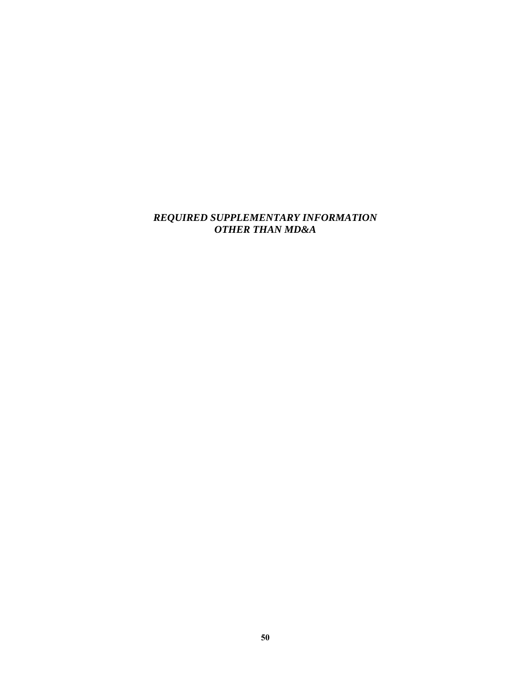# *REQUIRED SUPPLEMENTARY INFORMATION OTHER THAN MD&A*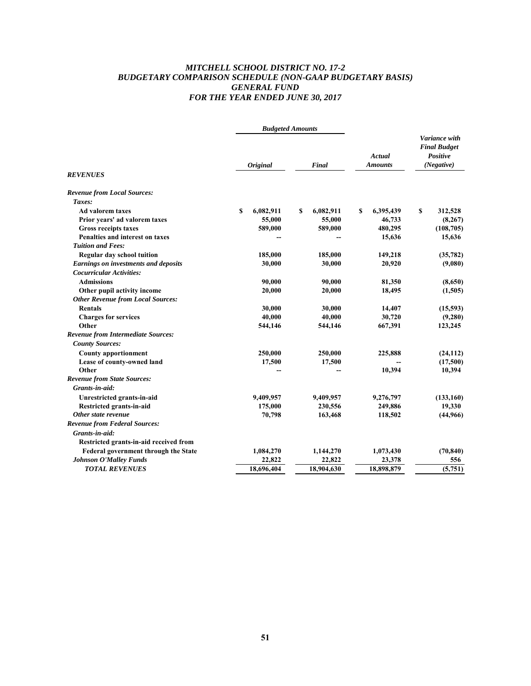# *MITCHELL SCHOOL DISTRICT NO. 17-2 BUDGETARY COMPARISON SCHEDULE (NON-GAAP BUDGETARY BASIS) GENERAL FUND FOR THE YEAR ENDED JUNE 30, 2017*

| Variance with<br><b>Final Budget</b><br>Positive<br>Actual<br><b>Amounts</b><br>(Negative)<br>Final<br><i><b>Original</b></i><br><b>Revenue from Local Sources:</b><br>Taxes:<br>Ad valorem taxes<br>S<br>6,082,911<br>S<br>6,082,911<br>6,395,439<br>\$<br>312,528<br>S<br>Prior years' ad valorem taxes<br>55,000<br>55,000<br>46,733<br>(8, 267)<br>589,000<br>589,000<br>480,295<br><b>Gross receipts taxes</b><br>(108, 705)<br>Penalties and interest on taxes<br>15,636<br>15,636<br><b>Tuition and Fees:</b><br>Regular day school tuition<br>185,000<br>149,218<br>(35, 782)<br>185,000<br><b>Earnings on investments and deposits</b><br>30,000<br>30,000<br>20,920<br>(9,080)<br><b>Cocurricular Activities:</b><br>90,000<br><b>Admissions</b><br>90,000<br>81,350<br>(8,650)<br>Other pupil activity income<br>20,000<br>20,000<br>18,495<br>(1,505)<br><b>Other Revenue from Local Sources:</b><br><b>Rentals</b><br>30,000<br>30,000<br>14,407<br>(15, 593)<br><b>Charges for services</b><br>40,000<br>40,000<br>30,720<br>(9,280)<br>Other<br>544,146<br>667,391<br>123,245<br>544,146<br><b>County Sources:</b><br><b>County apportionment</b><br>250,000<br>250,000<br>225,888<br>(17,500)<br>Lease of county-owned land<br>17,500<br>17,500<br>Other<br>10,394<br>10,394<br>Grants-in-aid:<br>(133, 160)<br>Unrestricted grants-in-aid<br>9,409,957<br>9,409,957<br>9,276,797<br>Restricted grants-in-aid<br>175,000<br>230,556<br>249,886<br>19,330<br>118,502<br>(44,966)<br>Other state revenue<br>70,798<br>163,468<br>Grants-in-aid:<br>Restricted grants-in-aid received from<br>Federal government through the State<br>1,084,270<br>1,144,270<br>1,073,430<br><b>Johnson O'Malley Funds</b><br>22,822<br>22,822<br>23,378<br>556<br><b>TOTAL REVENUES</b><br>18,696,404<br>18,904,630<br>18,898,879<br>(5,751) |                                           | <b>Budgeted Amounts</b> |  |           |  |
|--------------------------------------------------------------------------------------------------------------------------------------------------------------------------------------------------------------------------------------------------------------------------------------------------------------------------------------------------------------------------------------------------------------------------------------------------------------------------------------------------------------------------------------------------------------------------------------------------------------------------------------------------------------------------------------------------------------------------------------------------------------------------------------------------------------------------------------------------------------------------------------------------------------------------------------------------------------------------------------------------------------------------------------------------------------------------------------------------------------------------------------------------------------------------------------------------------------------------------------------------------------------------------------------------------------------------------------------------------------------------------------------------------------------------------------------------------------------------------------------------------------------------------------------------------------------------------------------------------------------------------------------------------------------------------------------------------------------------------------------------------------------------------------------------------------------------------------------|-------------------------------------------|-------------------------|--|-----------|--|
|                                                                                                                                                                                                                                                                                                                                                                                                                                                                                                                                                                                                                                                                                                                                                                                                                                                                                                                                                                                                                                                                                                                                                                                                                                                                                                                                                                                                                                                                                                                                                                                                                                                                                                                                                                                                                                            | <b>REVENUES</b>                           |                         |  |           |  |
|                                                                                                                                                                                                                                                                                                                                                                                                                                                                                                                                                                                                                                                                                                                                                                                                                                                                                                                                                                                                                                                                                                                                                                                                                                                                                                                                                                                                                                                                                                                                                                                                                                                                                                                                                                                                                                            |                                           |                         |  |           |  |
|                                                                                                                                                                                                                                                                                                                                                                                                                                                                                                                                                                                                                                                                                                                                                                                                                                                                                                                                                                                                                                                                                                                                                                                                                                                                                                                                                                                                                                                                                                                                                                                                                                                                                                                                                                                                                                            |                                           |                         |  |           |  |
|                                                                                                                                                                                                                                                                                                                                                                                                                                                                                                                                                                                                                                                                                                                                                                                                                                                                                                                                                                                                                                                                                                                                                                                                                                                                                                                                                                                                                                                                                                                                                                                                                                                                                                                                                                                                                                            |                                           |                         |  |           |  |
|                                                                                                                                                                                                                                                                                                                                                                                                                                                                                                                                                                                                                                                                                                                                                                                                                                                                                                                                                                                                                                                                                                                                                                                                                                                                                                                                                                                                                                                                                                                                                                                                                                                                                                                                                                                                                                            |                                           |                         |  |           |  |
|                                                                                                                                                                                                                                                                                                                                                                                                                                                                                                                                                                                                                                                                                                                                                                                                                                                                                                                                                                                                                                                                                                                                                                                                                                                                                                                                                                                                                                                                                                                                                                                                                                                                                                                                                                                                                                            |                                           |                         |  |           |  |
|                                                                                                                                                                                                                                                                                                                                                                                                                                                                                                                                                                                                                                                                                                                                                                                                                                                                                                                                                                                                                                                                                                                                                                                                                                                                                                                                                                                                                                                                                                                                                                                                                                                                                                                                                                                                                                            |                                           |                         |  |           |  |
|                                                                                                                                                                                                                                                                                                                                                                                                                                                                                                                                                                                                                                                                                                                                                                                                                                                                                                                                                                                                                                                                                                                                                                                                                                                                                                                                                                                                                                                                                                                                                                                                                                                                                                                                                                                                                                            |                                           |                         |  |           |  |
|                                                                                                                                                                                                                                                                                                                                                                                                                                                                                                                                                                                                                                                                                                                                                                                                                                                                                                                                                                                                                                                                                                                                                                                                                                                                                                                                                                                                                                                                                                                                                                                                                                                                                                                                                                                                                                            |                                           |                         |  |           |  |
|                                                                                                                                                                                                                                                                                                                                                                                                                                                                                                                                                                                                                                                                                                                                                                                                                                                                                                                                                                                                                                                                                                                                                                                                                                                                                                                                                                                                                                                                                                                                                                                                                                                                                                                                                                                                                                            |                                           |                         |  |           |  |
|                                                                                                                                                                                                                                                                                                                                                                                                                                                                                                                                                                                                                                                                                                                                                                                                                                                                                                                                                                                                                                                                                                                                                                                                                                                                                                                                                                                                                                                                                                                                                                                                                                                                                                                                                                                                                                            |                                           |                         |  |           |  |
|                                                                                                                                                                                                                                                                                                                                                                                                                                                                                                                                                                                                                                                                                                                                                                                                                                                                                                                                                                                                                                                                                                                                                                                                                                                                                                                                                                                                                                                                                                                                                                                                                                                                                                                                                                                                                                            |                                           |                         |  |           |  |
|                                                                                                                                                                                                                                                                                                                                                                                                                                                                                                                                                                                                                                                                                                                                                                                                                                                                                                                                                                                                                                                                                                                                                                                                                                                                                                                                                                                                                                                                                                                                                                                                                                                                                                                                                                                                                                            |                                           |                         |  |           |  |
|                                                                                                                                                                                                                                                                                                                                                                                                                                                                                                                                                                                                                                                                                                                                                                                                                                                                                                                                                                                                                                                                                                                                                                                                                                                                                                                                                                                                                                                                                                                                                                                                                                                                                                                                                                                                                                            |                                           |                         |  |           |  |
|                                                                                                                                                                                                                                                                                                                                                                                                                                                                                                                                                                                                                                                                                                                                                                                                                                                                                                                                                                                                                                                                                                                                                                                                                                                                                                                                                                                                                                                                                                                                                                                                                                                                                                                                                                                                                                            |                                           |                         |  |           |  |
|                                                                                                                                                                                                                                                                                                                                                                                                                                                                                                                                                                                                                                                                                                                                                                                                                                                                                                                                                                                                                                                                                                                                                                                                                                                                                                                                                                                                                                                                                                                                                                                                                                                                                                                                                                                                                                            |                                           |                         |  |           |  |
|                                                                                                                                                                                                                                                                                                                                                                                                                                                                                                                                                                                                                                                                                                                                                                                                                                                                                                                                                                                                                                                                                                                                                                                                                                                                                                                                                                                                                                                                                                                                                                                                                                                                                                                                                                                                                                            |                                           |                         |  |           |  |
|                                                                                                                                                                                                                                                                                                                                                                                                                                                                                                                                                                                                                                                                                                                                                                                                                                                                                                                                                                                                                                                                                                                                                                                                                                                                                                                                                                                                                                                                                                                                                                                                                                                                                                                                                                                                                                            | <b>Revenue from Intermediate Sources:</b> |                         |  |           |  |
|                                                                                                                                                                                                                                                                                                                                                                                                                                                                                                                                                                                                                                                                                                                                                                                                                                                                                                                                                                                                                                                                                                                                                                                                                                                                                                                                                                                                                                                                                                                                                                                                                                                                                                                                                                                                                                            |                                           |                         |  |           |  |
|                                                                                                                                                                                                                                                                                                                                                                                                                                                                                                                                                                                                                                                                                                                                                                                                                                                                                                                                                                                                                                                                                                                                                                                                                                                                                                                                                                                                                                                                                                                                                                                                                                                                                                                                                                                                                                            |                                           |                         |  | (24, 112) |  |
|                                                                                                                                                                                                                                                                                                                                                                                                                                                                                                                                                                                                                                                                                                                                                                                                                                                                                                                                                                                                                                                                                                                                                                                                                                                                                                                                                                                                                                                                                                                                                                                                                                                                                                                                                                                                                                            |                                           |                         |  |           |  |
|                                                                                                                                                                                                                                                                                                                                                                                                                                                                                                                                                                                                                                                                                                                                                                                                                                                                                                                                                                                                                                                                                                                                                                                                                                                                                                                                                                                                                                                                                                                                                                                                                                                                                                                                                                                                                                            |                                           |                         |  |           |  |
|                                                                                                                                                                                                                                                                                                                                                                                                                                                                                                                                                                                                                                                                                                                                                                                                                                                                                                                                                                                                                                                                                                                                                                                                                                                                                                                                                                                                                                                                                                                                                                                                                                                                                                                                                                                                                                            | <b>Revenue from State Sources:</b>        |                         |  |           |  |
|                                                                                                                                                                                                                                                                                                                                                                                                                                                                                                                                                                                                                                                                                                                                                                                                                                                                                                                                                                                                                                                                                                                                                                                                                                                                                                                                                                                                                                                                                                                                                                                                                                                                                                                                                                                                                                            |                                           |                         |  |           |  |
|                                                                                                                                                                                                                                                                                                                                                                                                                                                                                                                                                                                                                                                                                                                                                                                                                                                                                                                                                                                                                                                                                                                                                                                                                                                                                                                                                                                                                                                                                                                                                                                                                                                                                                                                                                                                                                            |                                           |                         |  |           |  |
|                                                                                                                                                                                                                                                                                                                                                                                                                                                                                                                                                                                                                                                                                                                                                                                                                                                                                                                                                                                                                                                                                                                                                                                                                                                                                                                                                                                                                                                                                                                                                                                                                                                                                                                                                                                                                                            |                                           |                         |  |           |  |
|                                                                                                                                                                                                                                                                                                                                                                                                                                                                                                                                                                                                                                                                                                                                                                                                                                                                                                                                                                                                                                                                                                                                                                                                                                                                                                                                                                                                                                                                                                                                                                                                                                                                                                                                                                                                                                            |                                           |                         |  |           |  |
|                                                                                                                                                                                                                                                                                                                                                                                                                                                                                                                                                                                                                                                                                                                                                                                                                                                                                                                                                                                                                                                                                                                                                                                                                                                                                                                                                                                                                                                                                                                                                                                                                                                                                                                                                                                                                                            | <b>Revenue from Federal Sources:</b>      |                         |  |           |  |
|                                                                                                                                                                                                                                                                                                                                                                                                                                                                                                                                                                                                                                                                                                                                                                                                                                                                                                                                                                                                                                                                                                                                                                                                                                                                                                                                                                                                                                                                                                                                                                                                                                                                                                                                                                                                                                            |                                           |                         |  |           |  |
|                                                                                                                                                                                                                                                                                                                                                                                                                                                                                                                                                                                                                                                                                                                                                                                                                                                                                                                                                                                                                                                                                                                                                                                                                                                                                                                                                                                                                                                                                                                                                                                                                                                                                                                                                                                                                                            |                                           |                         |  |           |  |
|                                                                                                                                                                                                                                                                                                                                                                                                                                                                                                                                                                                                                                                                                                                                                                                                                                                                                                                                                                                                                                                                                                                                                                                                                                                                                                                                                                                                                                                                                                                                                                                                                                                                                                                                                                                                                                            |                                           |                         |  | (70, 840) |  |
|                                                                                                                                                                                                                                                                                                                                                                                                                                                                                                                                                                                                                                                                                                                                                                                                                                                                                                                                                                                                                                                                                                                                                                                                                                                                                                                                                                                                                                                                                                                                                                                                                                                                                                                                                                                                                                            |                                           |                         |  |           |  |
|                                                                                                                                                                                                                                                                                                                                                                                                                                                                                                                                                                                                                                                                                                                                                                                                                                                                                                                                                                                                                                                                                                                                                                                                                                                                                                                                                                                                                                                                                                                                                                                                                                                                                                                                                                                                                                            |                                           |                         |  |           |  |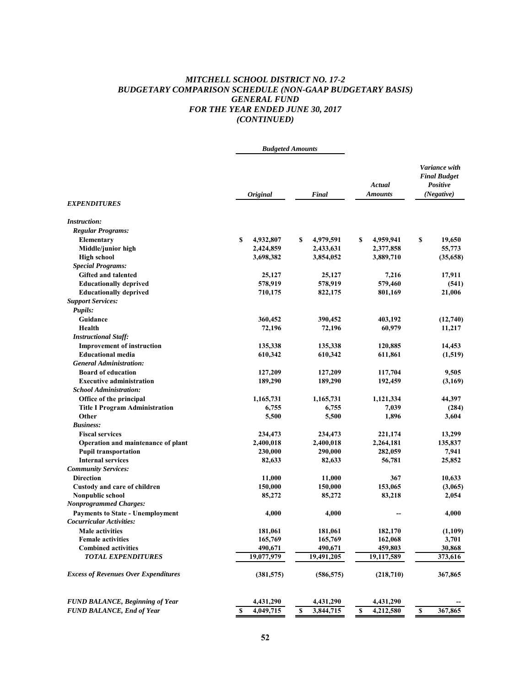# *MITCHELL SCHOOL DISTRICT NO. 17-2 BUDGETARY COMPARISON SCHEDULE (NON-GAAP BUDGETARY BASIS) GENERAL FUND FOR THE YEAR ENDED JUNE 30, 2017 (CONTINUED)*

|                                                                  | <b>Budgeted Amounts</b> |                    |                   |                                                                |  |
|------------------------------------------------------------------|-------------------------|--------------------|-------------------|----------------------------------------------------------------|--|
| <b>EXPENDITURES</b>                                              | <b>Original</b>         | Final              | Actual<br>Amounts | Variance with<br><b>Final Budget</b><br>Positive<br>(Negative) |  |
|                                                                  |                         |                    |                   |                                                                |  |
| <b>Instruction:</b>                                              |                         |                    |                   |                                                                |  |
| <b>Regular Programs:</b>                                         |                         |                    |                   |                                                                |  |
| Elementary                                                       | \$<br>4,932,807         | 4,979,591<br>\$    | 4,959,941<br>\$   | \$<br>19,650                                                   |  |
| Middle/junior high                                               | 2,424,859               | 2,433,631          | 2,377,858         | 55,773                                                         |  |
| <b>High school</b>                                               | 3,698,382               | 3,854,052          | 3,889,710         | (35,658)                                                       |  |
| <b>Special Programs:</b>                                         |                         |                    |                   |                                                                |  |
| <b>Gifted and talented</b>                                       | 25,127                  | 25,127             | 7,216             | 17,911                                                         |  |
| <b>Educationally deprived</b>                                    | 578,919                 | 578,919            | 579,460           | (541)                                                          |  |
| <b>Educationally deprived</b>                                    | 710,175                 | 822,175            | 801,169           | 21,006                                                         |  |
| <b>Support Services:</b>                                         |                         |                    |                   |                                                                |  |
| <b>Pupils:</b>                                                   |                         |                    |                   |                                                                |  |
| Guidance                                                         | 360,452                 | 390,452            | 403,192           | (12,740)                                                       |  |
| Health                                                           | 72,196                  | 72,196             | 60,979            | 11,217                                                         |  |
| <b>Instructional Staff:</b><br><b>Improvement of instruction</b> | 135,338                 |                    | 120,885           | 14,453                                                         |  |
| <b>Educational media</b>                                         | 610,342                 | 135,338<br>610,342 | 611,861           | (1,519)                                                        |  |
| <b>General Administration:</b>                                   |                         |                    |                   |                                                                |  |
| <b>Board of education</b>                                        | 127,209                 | 127,209            | 117,704           | 9,505                                                          |  |
| <b>Executive administration</b>                                  | 189,290                 | 189,290            | 192,459           | (3,169)                                                        |  |
| <b>School Administration:</b>                                    |                         |                    |                   |                                                                |  |
| Office of the principal                                          | 1,165,731               | 1,165,731          | 1,121,334         | 44,397                                                         |  |
| <b>Title I Program Administration</b>                            | 6,755                   | 6,755              | 7,039             | (284)                                                          |  |
| Other                                                            | 5,500                   | 5,500              | 1,896             | 3,604                                                          |  |
| <b>Business:</b>                                                 |                         |                    |                   |                                                                |  |
| <b>Fiscal services</b>                                           | 234,473                 | 234,473            | 221,174           | 13,299                                                         |  |
| Operation and maintenance of plant                               | 2,400,018               | 2,400,018          | 2,264,181         | 135,837                                                        |  |
| <b>Pupil transportation</b>                                      | 230,000                 | 290,000            | 282,059           | 7,941                                                          |  |
| <b>Internal services</b>                                         | 82,633                  | 82,633             | 56,781            | 25,852                                                         |  |
| <b>Community Services:</b>                                       |                         |                    |                   |                                                                |  |
| <b>Direction</b>                                                 | 11,000                  | 11,000             | 367               | 10,633                                                         |  |
| Custody and care of children                                     | 150,000                 | 150,000            | 153,065           | (3,065)                                                        |  |
| Nonpublic school                                                 | 85,272                  | 85,272             | 83,218            | 2,054                                                          |  |
| <b>Nonprogrammed Charges:</b>                                    |                         |                    |                   |                                                                |  |
| <b>Payments to State - Unemployment</b>                          | 4,000                   | 4,000              |                   | 4,000                                                          |  |
| Cocurricular Activities:                                         |                         |                    |                   |                                                                |  |
| Male activities                                                  | 181,061                 | 181,061            | 182,170           | (1,109)                                                        |  |
| <b>Female activities</b>                                         | 165,769                 | 165,769            | 162,068           | 3,701                                                          |  |
| <b>Combined activities</b>                                       | 490,671                 | 490,671            | 459,803           | 30,868                                                         |  |
| <b>TOTAL EXPENDITURES</b>                                        | 19,077,979              | 19,491,205         | 19,117,589        | 373,616                                                        |  |
| <b>Excess of Revenues Over Expenditures</b>                      | (381, 575)              | (586, 575)         | (218,710)         | 367,865                                                        |  |
|                                                                  |                         |                    |                   |                                                                |  |
| <b>FUND BALANCE, Beginning of Year</b>                           | 4,431,290               | 4,431,290          | 4,431,290         |                                                                |  |
| <b>FUND BALANCE, End of Year</b>                                 | 4,049,715<br>S          | 3,844,715<br>S     | 4,212,580<br>S    | $\mathbf{s}$<br>367,865                                        |  |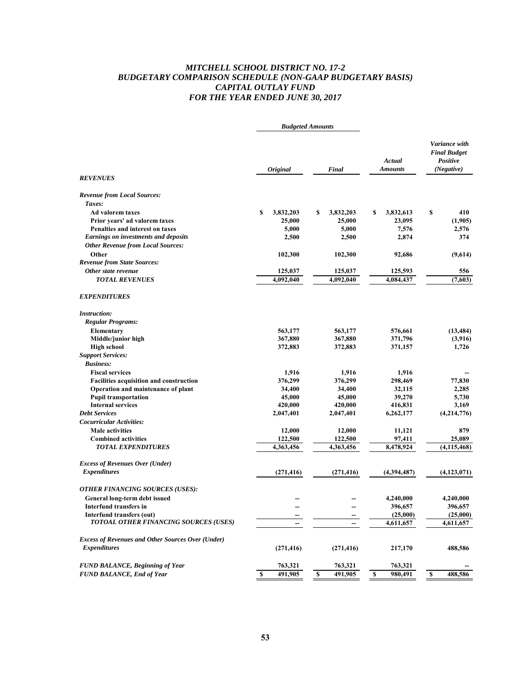# *MITCHELL SCHOOL DISTRICT NO. 17-2 BUDGETARY COMPARISON SCHEDULE (NON-GAAP BUDGETARY BASIS) CAPITAL OUTLAY FUND FOR THE YEAR ENDED JUNE 30, 2017*

| Variance with<br><b>Final Budget</b><br>Actual<br>Positive<br><b>Amounts</b><br>(Negative)<br><i><b>Original</b></i><br>Final<br><b>REVENUES</b><br><b>Revenue from Local Sources:</b><br>Taxes:<br><b>Ad valorem taxes</b><br>3,832,203<br>3,832,613<br>\$<br>410<br>\$<br>\$<br>3,832,203<br>S<br>25,000<br>25,000<br>23,095<br>(1,905)<br>Prior years' ad valorem taxes<br>5,000<br>7,576<br>Penalties and interest on taxes<br>5,000<br>2,576<br><b>Earnings on investments and deposits</b><br>2,500<br>2,874<br>374<br>2,500<br><b>Other Revenue from Local Sources:</b><br>Other<br>102,300<br>102,300<br>92,686<br>(9,614)<br><b>Revenue from State Sources:</b><br>Other state revenue<br>125,037<br>125,037<br>125,593<br>556<br><b>TOTAL REVENUES</b><br>4,092,040<br>4,092,040<br>4,084,437<br>(7,603)<br><b>EXPENDITURES</b><br><b>Instruction:</b><br><b>Regular Programs:</b><br>563,177<br>563,177<br><b>Elementary</b><br>576,661<br>367,880<br>367,880<br>371,796<br>Middle/junior high<br>1,726<br><b>High school</b><br>372,883<br>372,883<br>371,157<br><b>Support Services:</b><br><b>Business:</b><br>1,916<br>1,916<br><b>Fiscal services</b><br>1.916<br>376,299<br>376,299<br>298,469<br><b>Facilities acquisition and construction</b><br>77,830<br>Operation and maintenance of plant<br>34,400<br>34,400<br>32,115<br>2,285<br><b>Pupil transportation</b><br>45,000<br>45,000<br>39,270<br>5,730<br><b>Internal services</b><br>420,000<br>3,169<br>420,000<br>416,831<br><b>Debt Services</b><br>2,047,401<br>2,047,401<br>6,262,177<br>(4,214,776)<br>Cocurricular Activities:<br><b>Male activities</b><br>12,000<br>12,000<br>879<br>11,121<br>122,500<br>97,411<br>25,089<br><b>Combined activities</b><br>122,500<br><b>TOTAL EXPENDITURES</b><br>4,363,456<br>4,363,456<br>8,478,924<br>(4, 115, 468)<br><b>Excess of Revenues Over (Under)</b><br><b>Expenditures</b><br>(271, 416)<br>(271, 416)<br>(4,394,487)<br>(4, 123, 071)<br><b>OTHER FINANCING SOURCES (USES):</b><br>General long-term debt issued<br>4,240,000<br>4,240,000<br>Interfund transfers in<br>396,657<br>396,657<br>Interfund transfers (out)<br>(25,000)<br>(25,000)<br>TOTOAL OTHER FINANCING SOURCES (USES)<br>4,611,657<br>4,611,657<br><b>Excess of Revenues and Other Sources Over (Under)</b><br><b>Expenditures</b><br>(271, 416)<br>(271, 416)<br>217,170<br>488,586<br><b>FUND BALANCE, Beginning of Year</b><br>763,321<br>763,321<br>763,321<br>$\overline{\mathbf{s}}$<br>$\overline{\mathbf{s}}$<br>$\overline{\mathbf{s}}$<br><b>FUND BALANCE, End of Year</b><br>491,905<br>491,905<br>488,586<br>S<br>980,491 | <b>Budgeted Amounts</b> |  |           |
|--------------------------------------------------------------------------------------------------------------------------------------------------------------------------------------------------------------------------------------------------------------------------------------------------------------------------------------------------------------------------------------------------------------------------------------------------------------------------------------------------------------------------------------------------------------------------------------------------------------------------------------------------------------------------------------------------------------------------------------------------------------------------------------------------------------------------------------------------------------------------------------------------------------------------------------------------------------------------------------------------------------------------------------------------------------------------------------------------------------------------------------------------------------------------------------------------------------------------------------------------------------------------------------------------------------------------------------------------------------------------------------------------------------------------------------------------------------------------------------------------------------------------------------------------------------------------------------------------------------------------------------------------------------------------------------------------------------------------------------------------------------------------------------------------------------------------------------------------------------------------------------------------------------------------------------------------------------------------------------------------------------------------------------------------------------------------------------------------------------------------------------------------------------------------------------------------------------------------------------------------------------------------------------------------------------------------------------------------------------------------------------------------------------------------------------------------------------------------------------------------------------------------------------------------------------------------------------------------------------------------------------------|-------------------------|--|-----------|
|                                                                                                                                                                                                                                                                                                                                                                                                                                                                                                                                                                                                                                                                                                                                                                                                                                                                                                                                                                                                                                                                                                                                                                                                                                                                                                                                                                                                                                                                                                                                                                                                                                                                                                                                                                                                                                                                                                                                                                                                                                                                                                                                                                                                                                                                                                                                                                                                                                                                                                                                                                                                                                            |                         |  |           |
|                                                                                                                                                                                                                                                                                                                                                                                                                                                                                                                                                                                                                                                                                                                                                                                                                                                                                                                                                                                                                                                                                                                                                                                                                                                                                                                                                                                                                                                                                                                                                                                                                                                                                                                                                                                                                                                                                                                                                                                                                                                                                                                                                                                                                                                                                                                                                                                                                                                                                                                                                                                                                                            |                         |  |           |
|                                                                                                                                                                                                                                                                                                                                                                                                                                                                                                                                                                                                                                                                                                                                                                                                                                                                                                                                                                                                                                                                                                                                                                                                                                                                                                                                                                                                                                                                                                                                                                                                                                                                                                                                                                                                                                                                                                                                                                                                                                                                                                                                                                                                                                                                                                                                                                                                                                                                                                                                                                                                                                            |                         |  |           |
|                                                                                                                                                                                                                                                                                                                                                                                                                                                                                                                                                                                                                                                                                                                                                                                                                                                                                                                                                                                                                                                                                                                                                                                                                                                                                                                                                                                                                                                                                                                                                                                                                                                                                                                                                                                                                                                                                                                                                                                                                                                                                                                                                                                                                                                                                                                                                                                                                                                                                                                                                                                                                                            |                         |  |           |
|                                                                                                                                                                                                                                                                                                                                                                                                                                                                                                                                                                                                                                                                                                                                                                                                                                                                                                                                                                                                                                                                                                                                                                                                                                                                                                                                                                                                                                                                                                                                                                                                                                                                                                                                                                                                                                                                                                                                                                                                                                                                                                                                                                                                                                                                                                                                                                                                                                                                                                                                                                                                                                            |                         |  |           |
|                                                                                                                                                                                                                                                                                                                                                                                                                                                                                                                                                                                                                                                                                                                                                                                                                                                                                                                                                                                                                                                                                                                                                                                                                                                                                                                                                                                                                                                                                                                                                                                                                                                                                                                                                                                                                                                                                                                                                                                                                                                                                                                                                                                                                                                                                                                                                                                                                                                                                                                                                                                                                                            |                         |  |           |
|                                                                                                                                                                                                                                                                                                                                                                                                                                                                                                                                                                                                                                                                                                                                                                                                                                                                                                                                                                                                                                                                                                                                                                                                                                                                                                                                                                                                                                                                                                                                                                                                                                                                                                                                                                                                                                                                                                                                                                                                                                                                                                                                                                                                                                                                                                                                                                                                                                                                                                                                                                                                                                            |                         |  |           |
|                                                                                                                                                                                                                                                                                                                                                                                                                                                                                                                                                                                                                                                                                                                                                                                                                                                                                                                                                                                                                                                                                                                                                                                                                                                                                                                                                                                                                                                                                                                                                                                                                                                                                                                                                                                                                                                                                                                                                                                                                                                                                                                                                                                                                                                                                                                                                                                                                                                                                                                                                                                                                                            |                         |  |           |
|                                                                                                                                                                                                                                                                                                                                                                                                                                                                                                                                                                                                                                                                                                                                                                                                                                                                                                                                                                                                                                                                                                                                                                                                                                                                                                                                                                                                                                                                                                                                                                                                                                                                                                                                                                                                                                                                                                                                                                                                                                                                                                                                                                                                                                                                                                                                                                                                                                                                                                                                                                                                                                            |                         |  |           |
|                                                                                                                                                                                                                                                                                                                                                                                                                                                                                                                                                                                                                                                                                                                                                                                                                                                                                                                                                                                                                                                                                                                                                                                                                                                                                                                                                                                                                                                                                                                                                                                                                                                                                                                                                                                                                                                                                                                                                                                                                                                                                                                                                                                                                                                                                                                                                                                                                                                                                                                                                                                                                                            |                         |  |           |
|                                                                                                                                                                                                                                                                                                                                                                                                                                                                                                                                                                                                                                                                                                                                                                                                                                                                                                                                                                                                                                                                                                                                                                                                                                                                                                                                                                                                                                                                                                                                                                                                                                                                                                                                                                                                                                                                                                                                                                                                                                                                                                                                                                                                                                                                                                                                                                                                                                                                                                                                                                                                                                            |                         |  |           |
|                                                                                                                                                                                                                                                                                                                                                                                                                                                                                                                                                                                                                                                                                                                                                                                                                                                                                                                                                                                                                                                                                                                                                                                                                                                                                                                                                                                                                                                                                                                                                                                                                                                                                                                                                                                                                                                                                                                                                                                                                                                                                                                                                                                                                                                                                                                                                                                                                                                                                                                                                                                                                                            |                         |  |           |
|                                                                                                                                                                                                                                                                                                                                                                                                                                                                                                                                                                                                                                                                                                                                                                                                                                                                                                                                                                                                                                                                                                                                                                                                                                                                                                                                                                                                                                                                                                                                                                                                                                                                                                                                                                                                                                                                                                                                                                                                                                                                                                                                                                                                                                                                                                                                                                                                                                                                                                                                                                                                                                            |                         |  |           |
|                                                                                                                                                                                                                                                                                                                                                                                                                                                                                                                                                                                                                                                                                                                                                                                                                                                                                                                                                                                                                                                                                                                                                                                                                                                                                                                                                                                                                                                                                                                                                                                                                                                                                                                                                                                                                                                                                                                                                                                                                                                                                                                                                                                                                                                                                                                                                                                                                                                                                                                                                                                                                                            |                         |  |           |
|                                                                                                                                                                                                                                                                                                                                                                                                                                                                                                                                                                                                                                                                                                                                                                                                                                                                                                                                                                                                                                                                                                                                                                                                                                                                                                                                                                                                                                                                                                                                                                                                                                                                                                                                                                                                                                                                                                                                                                                                                                                                                                                                                                                                                                                                                                                                                                                                                                                                                                                                                                                                                                            |                         |  |           |
|                                                                                                                                                                                                                                                                                                                                                                                                                                                                                                                                                                                                                                                                                                                                                                                                                                                                                                                                                                                                                                                                                                                                                                                                                                                                                                                                                                                                                                                                                                                                                                                                                                                                                                                                                                                                                                                                                                                                                                                                                                                                                                                                                                                                                                                                                                                                                                                                                                                                                                                                                                                                                                            |                         |  |           |
|                                                                                                                                                                                                                                                                                                                                                                                                                                                                                                                                                                                                                                                                                                                                                                                                                                                                                                                                                                                                                                                                                                                                                                                                                                                                                                                                                                                                                                                                                                                                                                                                                                                                                                                                                                                                                                                                                                                                                                                                                                                                                                                                                                                                                                                                                                                                                                                                                                                                                                                                                                                                                                            |                         |  | (13, 484) |
|                                                                                                                                                                                                                                                                                                                                                                                                                                                                                                                                                                                                                                                                                                                                                                                                                                                                                                                                                                                                                                                                                                                                                                                                                                                                                                                                                                                                                                                                                                                                                                                                                                                                                                                                                                                                                                                                                                                                                                                                                                                                                                                                                                                                                                                                                                                                                                                                                                                                                                                                                                                                                                            |                         |  | (3,916)   |
|                                                                                                                                                                                                                                                                                                                                                                                                                                                                                                                                                                                                                                                                                                                                                                                                                                                                                                                                                                                                                                                                                                                                                                                                                                                                                                                                                                                                                                                                                                                                                                                                                                                                                                                                                                                                                                                                                                                                                                                                                                                                                                                                                                                                                                                                                                                                                                                                                                                                                                                                                                                                                                            |                         |  |           |
|                                                                                                                                                                                                                                                                                                                                                                                                                                                                                                                                                                                                                                                                                                                                                                                                                                                                                                                                                                                                                                                                                                                                                                                                                                                                                                                                                                                                                                                                                                                                                                                                                                                                                                                                                                                                                                                                                                                                                                                                                                                                                                                                                                                                                                                                                                                                                                                                                                                                                                                                                                                                                                            |                         |  |           |
|                                                                                                                                                                                                                                                                                                                                                                                                                                                                                                                                                                                                                                                                                                                                                                                                                                                                                                                                                                                                                                                                                                                                                                                                                                                                                                                                                                                                                                                                                                                                                                                                                                                                                                                                                                                                                                                                                                                                                                                                                                                                                                                                                                                                                                                                                                                                                                                                                                                                                                                                                                                                                                            |                         |  |           |
|                                                                                                                                                                                                                                                                                                                                                                                                                                                                                                                                                                                                                                                                                                                                                                                                                                                                                                                                                                                                                                                                                                                                                                                                                                                                                                                                                                                                                                                                                                                                                                                                                                                                                                                                                                                                                                                                                                                                                                                                                                                                                                                                                                                                                                                                                                                                                                                                                                                                                                                                                                                                                                            |                         |  |           |
|                                                                                                                                                                                                                                                                                                                                                                                                                                                                                                                                                                                                                                                                                                                                                                                                                                                                                                                                                                                                                                                                                                                                                                                                                                                                                                                                                                                                                                                                                                                                                                                                                                                                                                                                                                                                                                                                                                                                                                                                                                                                                                                                                                                                                                                                                                                                                                                                                                                                                                                                                                                                                                            |                         |  |           |
|                                                                                                                                                                                                                                                                                                                                                                                                                                                                                                                                                                                                                                                                                                                                                                                                                                                                                                                                                                                                                                                                                                                                                                                                                                                                                                                                                                                                                                                                                                                                                                                                                                                                                                                                                                                                                                                                                                                                                                                                                                                                                                                                                                                                                                                                                                                                                                                                                                                                                                                                                                                                                                            |                         |  |           |
|                                                                                                                                                                                                                                                                                                                                                                                                                                                                                                                                                                                                                                                                                                                                                                                                                                                                                                                                                                                                                                                                                                                                                                                                                                                                                                                                                                                                                                                                                                                                                                                                                                                                                                                                                                                                                                                                                                                                                                                                                                                                                                                                                                                                                                                                                                                                                                                                                                                                                                                                                                                                                                            |                         |  |           |
|                                                                                                                                                                                                                                                                                                                                                                                                                                                                                                                                                                                                                                                                                                                                                                                                                                                                                                                                                                                                                                                                                                                                                                                                                                                                                                                                                                                                                                                                                                                                                                                                                                                                                                                                                                                                                                                                                                                                                                                                                                                                                                                                                                                                                                                                                                                                                                                                                                                                                                                                                                                                                                            |                         |  |           |
|                                                                                                                                                                                                                                                                                                                                                                                                                                                                                                                                                                                                                                                                                                                                                                                                                                                                                                                                                                                                                                                                                                                                                                                                                                                                                                                                                                                                                                                                                                                                                                                                                                                                                                                                                                                                                                                                                                                                                                                                                                                                                                                                                                                                                                                                                                                                                                                                                                                                                                                                                                                                                                            |                         |  |           |
|                                                                                                                                                                                                                                                                                                                                                                                                                                                                                                                                                                                                                                                                                                                                                                                                                                                                                                                                                                                                                                                                                                                                                                                                                                                                                                                                                                                                                                                                                                                                                                                                                                                                                                                                                                                                                                                                                                                                                                                                                                                                                                                                                                                                                                                                                                                                                                                                                                                                                                                                                                                                                                            |                         |  |           |
|                                                                                                                                                                                                                                                                                                                                                                                                                                                                                                                                                                                                                                                                                                                                                                                                                                                                                                                                                                                                                                                                                                                                                                                                                                                                                                                                                                                                                                                                                                                                                                                                                                                                                                                                                                                                                                                                                                                                                                                                                                                                                                                                                                                                                                                                                                                                                                                                                                                                                                                                                                                                                                            |                         |  |           |
|                                                                                                                                                                                                                                                                                                                                                                                                                                                                                                                                                                                                                                                                                                                                                                                                                                                                                                                                                                                                                                                                                                                                                                                                                                                                                                                                                                                                                                                                                                                                                                                                                                                                                                                                                                                                                                                                                                                                                                                                                                                                                                                                                                                                                                                                                                                                                                                                                                                                                                                                                                                                                                            |                         |  |           |
|                                                                                                                                                                                                                                                                                                                                                                                                                                                                                                                                                                                                                                                                                                                                                                                                                                                                                                                                                                                                                                                                                                                                                                                                                                                                                                                                                                                                                                                                                                                                                                                                                                                                                                                                                                                                                                                                                                                                                                                                                                                                                                                                                                                                                                                                                                                                                                                                                                                                                                                                                                                                                                            |                         |  |           |
|                                                                                                                                                                                                                                                                                                                                                                                                                                                                                                                                                                                                                                                                                                                                                                                                                                                                                                                                                                                                                                                                                                                                                                                                                                                                                                                                                                                                                                                                                                                                                                                                                                                                                                                                                                                                                                                                                                                                                                                                                                                                                                                                                                                                                                                                                                                                                                                                                                                                                                                                                                                                                                            |                         |  |           |
|                                                                                                                                                                                                                                                                                                                                                                                                                                                                                                                                                                                                                                                                                                                                                                                                                                                                                                                                                                                                                                                                                                                                                                                                                                                                                                                                                                                                                                                                                                                                                                                                                                                                                                                                                                                                                                                                                                                                                                                                                                                                                                                                                                                                                                                                                                                                                                                                                                                                                                                                                                                                                                            |                         |  |           |
|                                                                                                                                                                                                                                                                                                                                                                                                                                                                                                                                                                                                                                                                                                                                                                                                                                                                                                                                                                                                                                                                                                                                                                                                                                                                                                                                                                                                                                                                                                                                                                                                                                                                                                                                                                                                                                                                                                                                                                                                                                                                                                                                                                                                                                                                                                                                                                                                                                                                                                                                                                                                                                            |                         |  |           |
|                                                                                                                                                                                                                                                                                                                                                                                                                                                                                                                                                                                                                                                                                                                                                                                                                                                                                                                                                                                                                                                                                                                                                                                                                                                                                                                                                                                                                                                                                                                                                                                                                                                                                                                                                                                                                                                                                                                                                                                                                                                                                                                                                                                                                                                                                                                                                                                                                                                                                                                                                                                                                                            |                         |  |           |
|                                                                                                                                                                                                                                                                                                                                                                                                                                                                                                                                                                                                                                                                                                                                                                                                                                                                                                                                                                                                                                                                                                                                                                                                                                                                                                                                                                                                                                                                                                                                                                                                                                                                                                                                                                                                                                                                                                                                                                                                                                                                                                                                                                                                                                                                                                                                                                                                                                                                                                                                                                                                                                            |                         |  |           |
|                                                                                                                                                                                                                                                                                                                                                                                                                                                                                                                                                                                                                                                                                                                                                                                                                                                                                                                                                                                                                                                                                                                                                                                                                                                                                                                                                                                                                                                                                                                                                                                                                                                                                                                                                                                                                                                                                                                                                                                                                                                                                                                                                                                                                                                                                                                                                                                                                                                                                                                                                                                                                                            |                         |  |           |
|                                                                                                                                                                                                                                                                                                                                                                                                                                                                                                                                                                                                                                                                                                                                                                                                                                                                                                                                                                                                                                                                                                                                                                                                                                                                                                                                                                                                                                                                                                                                                                                                                                                                                                                                                                                                                                                                                                                                                                                                                                                                                                                                                                                                                                                                                                                                                                                                                                                                                                                                                                                                                                            |                         |  |           |
|                                                                                                                                                                                                                                                                                                                                                                                                                                                                                                                                                                                                                                                                                                                                                                                                                                                                                                                                                                                                                                                                                                                                                                                                                                                                                                                                                                                                                                                                                                                                                                                                                                                                                                                                                                                                                                                                                                                                                                                                                                                                                                                                                                                                                                                                                                                                                                                                                                                                                                                                                                                                                                            |                         |  |           |
|                                                                                                                                                                                                                                                                                                                                                                                                                                                                                                                                                                                                                                                                                                                                                                                                                                                                                                                                                                                                                                                                                                                                                                                                                                                                                                                                                                                                                                                                                                                                                                                                                                                                                                                                                                                                                                                                                                                                                                                                                                                                                                                                                                                                                                                                                                                                                                                                                                                                                                                                                                                                                                            |                         |  |           |
|                                                                                                                                                                                                                                                                                                                                                                                                                                                                                                                                                                                                                                                                                                                                                                                                                                                                                                                                                                                                                                                                                                                                                                                                                                                                                                                                                                                                                                                                                                                                                                                                                                                                                                                                                                                                                                                                                                                                                                                                                                                                                                                                                                                                                                                                                                                                                                                                                                                                                                                                                                                                                                            |                         |  |           |
|                                                                                                                                                                                                                                                                                                                                                                                                                                                                                                                                                                                                                                                                                                                                                                                                                                                                                                                                                                                                                                                                                                                                                                                                                                                                                                                                                                                                                                                                                                                                                                                                                                                                                                                                                                                                                                                                                                                                                                                                                                                                                                                                                                                                                                                                                                                                                                                                                                                                                                                                                                                                                                            |                         |  |           |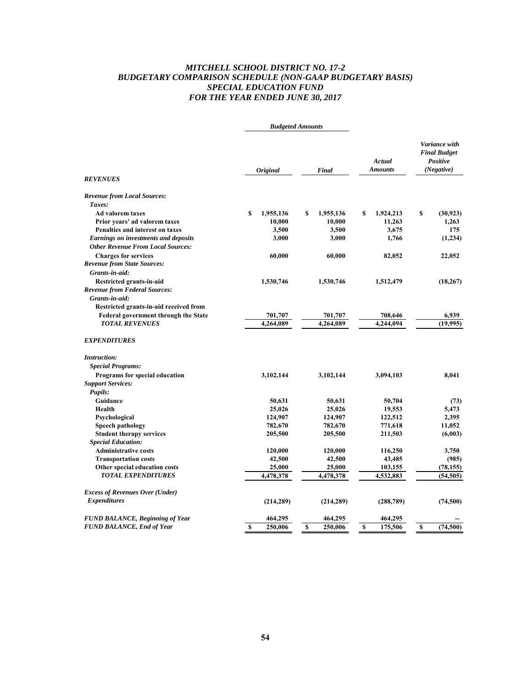# *MITCHELL SCHOOL DISTRICT NO. 17-2 BUDGETARY COMPARISON SCHEDULE (NON-GAAP BUDGETARY BASIS) SPECIAL EDUCATION FUND FOR THE YEAR ENDED JUNE 30, 2017*

|                                                                  | <b>Budgeted Amounts</b>   |                     |                          |                                                                |  |
|------------------------------------------------------------------|---------------------------|---------------------|--------------------------|----------------------------------------------------------------|--|
| <b>REVENUES</b>                                                  | <b>Original</b>           | Final               | Actual<br><b>Amounts</b> | Variance with<br><b>Final Budget</b><br>Positive<br>(Negative) |  |
|                                                                  |                           |                     |                          |                                                                |  |
| <b>Revenue from Local Sources:</b><br>Taxes:                     |                           |                     |                          |                                                                |  |
| Ad valorem taxes                                                 |                           | \$                  |                          | \$                                                             |  |
| Prior years' ad valorem taxes                                    | 1,955,136<br>\$<br>10,000 | 1,955,136<br>10,000 | S<br>1,924,213<br>11,263 | (30, 923)<br>1,263                                             |  |
| Penalties and interest on taxes                                  | 3,500                     | 3,500               | 3,675                    | 175                                                            |  |
| <b>Earnings on investments and deposits</b>                      | 3,000                     | 3,000               | 1,766                    | (1,234)                                                        |  |
| <b>Other Revenue From Local Sources:</b>                         |                           |                     |                          |                                                                |  |
| <b>Charges for services</b>                                      | 60,000                    | 60,000              |                          |                                                                |  |
| <b>Revenue from State Sources:</b>                               |                           |                     | 82,052                   | 22,052                                                         |  |
| Grants-in-aid:                                                   |                           |                     |                          |                                                                |  |
|                                                                  | 1,530,746                 | 1,530,746           | 1,512,479                | (18, 267)                                                      |  |
| Restricted grants-in-aid<br><b>Revenue from Federal Sources:</b> |                           |                     |                          |                                                                |  |
| Grants-in-aid:                                                   |                           |                     |                          |                                                                |  |
| Restricted grants-in-aid received from                           |                           |                     |                          |                                                                |  |
| <b>Federal government through the State</b>                      | 701,707                   | 701,707             | 708,646                  | 6,939                                                          |  |
| <b>TOTAL REVENUES</b>                                            | 4.264.089                 | 4,264,089           | 4,244,094                | (19,995)                                                       |  |
|                                                                  |                           |                     |                          |                                                                |  |
| <b>EXPENDITURES</b>                                              |                           |                     |                          |                                                                |  |
| <i>Instruction:</i>                                              |                           |                     |                          |                                                                |  |
| <b>Special Programs:</b>                                         |                           |                     |                          |                                                                |  |
| Programs for special education                                   | 3,102,144                 | 3,102,144           | 3,094,103                | 8,041                                                          |  |
| <b>Support Services:</b>                                         |                           |                     |                          |                                                                |  |
| <b>Pupils:</b>                                                   |                           |                     |                          |                                                                |  |
| Guidance                                                         | 50,631                    | 50,631              | 50,704                   | (73)                                                           |  |
| Health                                                           | 25,026                    | 25,026              | 19,553                   | 5,473                                                          |  |
| Psychological                                                    | 124,907                   | 124,907             | 122,512                  | 2,395                                                          |  |
| Speech pathology                                                 | 782,670                   | 782,670             | 771,618                  | 11,052                                                         |  |
| <b>Student therapy services</b>                                  | 205,500                   | 205,500             | 211,503                  | (6,003)                                                        |  |
| <b>Special Education:</b>                                        |                           |                     |                          |                                                                |  |
| <b>Administrative costs</b>                                      | 120,000                   | 120,000             | 116,250                  | 3,750                                                          |  |
| <b>Transportation costs</b>                                      | 42,500                    | 42,500              | 43,485                   | (985)                                                          |  |
| Other special education costs                                    | 25,000                    | 25,000              | 103,155                  | (78, 155)                                                      |  |
| <b>TOTAL EXPENDITURES</b>                                        | 4,478,378                 | 4,478,378           | 4,532,883                | (54, 505)                                                      |  |
| <b>Excess of Revenues Over (Under)</b>                           |                           |                     |                          |                                                                |  |
| <b>Expenditures</b>                                              | (214, 289)                | (214, 289)          | (288, 789)               | (74,500)                                                       |  |
|                                                                  |                           |                     |                          |                                                                |  |
| <b>FUND BALANCE, Beginning of Year</b>                           | 464,295                   | 464,295             | 464,295                  |                                                                |  |
| <b>FUND BALANCE, End of Year</b>                                 | <b>S</b><br>250,006       | \$<br>250,006       | S<br>175,506             | S<br>(74,500)                                                  |  |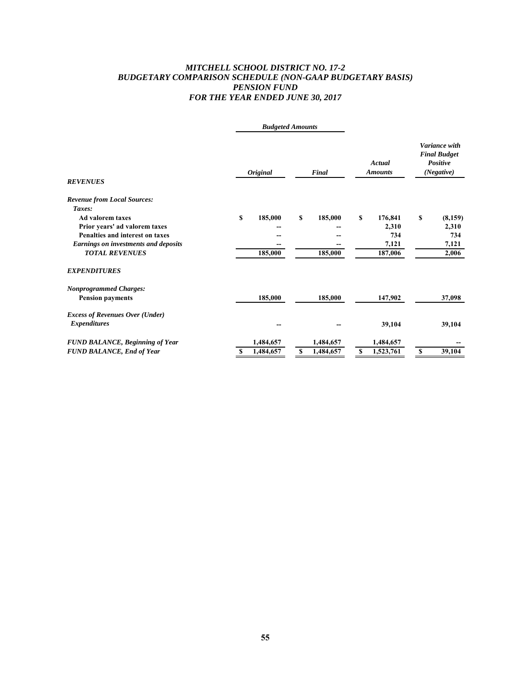# *MITCHELL SCHOOL DISTRICT NO. 17-2 BUDGETARY COMPARISON SCHEDULE (NON-GAAP BUDGETARY BASIS) PENSION FUND FOR THE YEAR ENDED JUNE 30, 2017*

|                                        | <b>Budgeted Amounts</b> |                 |                          |                                                                |  |
|----------------------------------------|-------------------------|-----------------|--------------------------|----------------------------------------------------------------|--|
| <b>REVENUES</b>                        | <b>Original</b>         | Final           | Actual<br><b>Amounts</b> | Variance with<br><b>Final Budget</b><br>Positive<br>(Negative) |  |
| <b>Revenue from Local Sources:</b>     |                         |                 |                          |                                                                |  |
| Taxes:                                 |                         |                 |                          |                                                                |  |
| <b>Ad valorem taxes</b>                | \$<br>185,000           | \$<br>185,000   | S<br>176,841             | \$<br>(8,159)                                                  |  |
| Prior years' ad valorem taxes          |                         |                 | 2,310                    | 2,310                                                          |  |
| Penalties and interest on taxes        |                         |                 | 734                      | 734                                                            |  |
| Earnings on investments and deposits   |                         |                 | 7,121                    | 7,121                                                          |  |
| <b>TOTAL REVENUES</b>                  | 185,000                 | 185,000         | 187,006                  | 2,006                                                          |  |
| <b>EXPENDITURES</b>                    |                         |                 |                          |                                                                |  |
| <b>Nonprogrammed Charges:</b>          |                         |                 |                          |                                                                |  |
| <b>Pension payments</b>                | 185,000                 | 185,000         | 147,902                  | 37,098                                                         |  |
| <b>Excess of Revenues Over (Under)</b> |                         |                 |                          |                                                                |  |
| <i>Expenditures</i>                    |                         |                 | 39,104                   | 39,104                                                         |  |
| <b>FUND BALANCE, Beginning of Year</b> | 1,484,657               | 1,484,657       | 1,484,657                |                                                                |  |
| <b>FUND BALANCE, End of Year</b>       | 1,484,657<br>s          | 1,484,657<br>\$ | 1,523,761<br>\$          | 39,104<br>\$                                                   |  |
|                                        |                         |                 |                          |                                                                |  |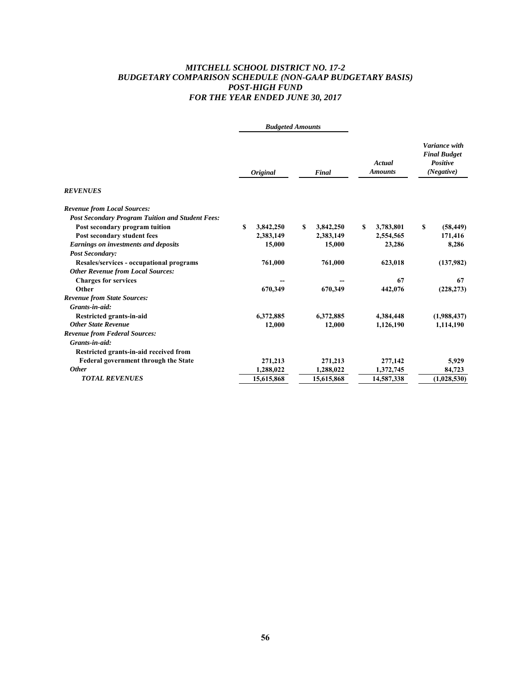# *MITCHELL SCHOOL DISTRICT NO. 17-2 BUDGETARY COMPARISON SCHEDULE (NON-GAAP BUDGETARY BASIS) POST-HIGH FUND FOR THE YEAR ENDED JUNE 30, 2017*

|                                                         | <b>Budgeted Amounts</b> |                 |    |            |   |                          |    |                                                                |  |
|---------------------------------------------------------|-------------------------|-----------------|----|------------|---|--------------------------|----|----------------------------------------------------------------|--|
|                                                         |                         | <b>Original</b> |    | Final      |   | Actual<br><b>Amounts</b> |    | Variance with<br><b>Final Budget</b><br>Positive<br>(Negative) |  |
| <b>REVENUES</b>                                         |                         |                 |    |            |   |                          |    |                                                                |  |
| <b>Revenue from Local Sources:</b>                      |                         |                 |    |            |   |                          |    |                                                                |  |
| <b>Post Secondary Program Tuition and Student Fees:</b> |                         |                 |    |            |   |                          |    |                                                                |  |
| Post secondary program tuition                          | S                       | 3,842,250       | \$ | 3,842,250  | S | 3,783,801                | \$ | (58, 449)                                                      |  |
| Post secondary student fees                             |                         | 2,383,149       |    | 2,383,149  |   | 2,554,565                |    | 171,416                                                        |  |
| Earnings on investments and deposits                    |                         | 15,000          |    | 15,000     |   | 23,286                   |    | 8,286                                                          |  |
| <b>Post Secondary:</b>                                  |                         |                 |    |            |   |                          |    |                                                                |  |
| Resales/services - occupational programs                |                         | 761,000         |    | 761,000    |   | 623,018                  |    | (137,982)                                                      |  |
| <b>Other Revenue from Local Sources:</b>                |                         |                 |    |            |   |                          |    |                                                                |  |
| <b>Charges for services</b>                             |                         |                 |    |            |   | 67                       |    | 67                                                             |  |
| Other                                                   |                         | 670,349         |    | 670,349    |   | 442,076                  |    | (228, 273)                                                     |  |
| <b>Revenue from State Sources:</b>                      |                         |                 |    |            |   |                          |    |                                                                |  |
| Grants-in-aid:                                          |                         |                 |    |            |   |                          |    |                                                                |  |
| Restricted grants-in-aid                                |                         | 6,372,885       |    | 6,372,885  |   | 4,384,448                |    | (1,988,437)                                                    |  |
| <b>Other State Revenue</b>                              |                         | 12,000          |    | 12,000     |   | 1,126,190                |    | 1,114,190                                                      |  |
| <b>Revenue from Federal Sources:</b>                    |                         |                 |    |            |   |                          |    |                                                                |  |
| Grants-in-aid:                                          |                         |                 |    |            |   |                          |    |                                                                |  |
| Restricted grants-in-aid received from                  |                         |                 |    |            |   |                          |    |                                                                |  |
| <b>Federal government through the State</b>             |                         | 271,213         |    | 271,213    |   | 277,142                  |    | 5,929                                                          |  |
| <b>Other</b>                                            |                         | 1,288,022       |    | 1,288,022  |   | 1,372,745                |    | 84,723                                                         |  |
| <b>TOTAL REVENUES</b>                                   |                         | 15,615,868      |    | 15,615,868 |   | 14,587,338               |    | (1,028,530)                                                    |  |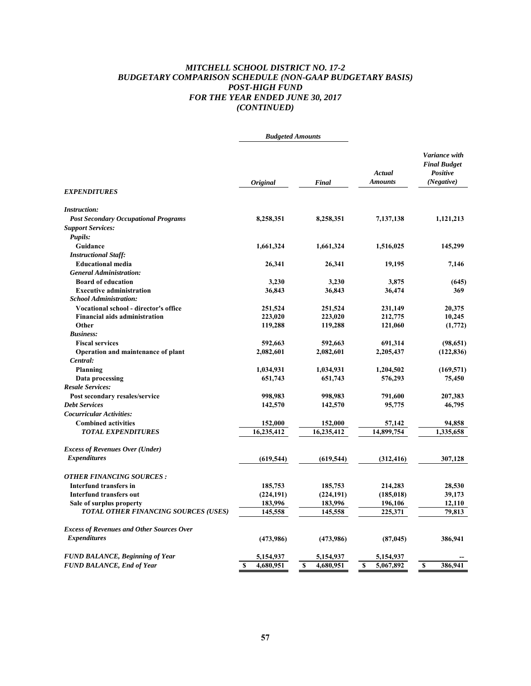# *MITCHELL SCHOOL DISTRICT NO. 17-2 BUDGETARY COMPARISON SCHEDULE (NON-GAAP BUDGETARY BASIS) POST-HIGH FUND FOR THE YEAR ENDED JUNE 30, 2017 (CONTINUED)*

| Variance with<br><b>Final Budget</b><br>Actual<br>Positive<br>(Negative)<br><b>Amounts</b><br><b>Original</b><br>Final<br><b>EXPENDITURES</b><br><b>Instruction:</b><br><b>Post Secondary Occupational Programs</b><br>8,258,351<br>8,258,351<br>7,137,138<br>1,121,213<br><b>Support Services:</b><br><b>Pupils:</b><br>Guidance<br>1,661,324<br>1,661,324<br>1,516,025<br>145,299<br><b>Instructional Staff:</b><br><b>Educational media</b><br>26,341<br>26,341<br>19,195<br>7,146<br><b>General Administration:</b><br><b>Board of education</b><br>3,230<br>3,230<br>3,875<br>(645)<br>36,843<br>36,843<br>36,474<br>369<br><b>Executive administration</b><br><b>School Administration:</b><br><b>Vocational school - director's office</b><br>251,524<br>251,524<br>231,149<br>20,375<br><b>Financial aids administration</b><br>223,020<br>10,245<br>223,020<br>212,775<br>Other<br>119,288<br>119,288<br>121,060<br>(1,772)<br><b>Business:</b><br><b>Fiscal services</b><br>592,663<br>592,663<br>691,314<br>Operation and maintenance of plant<br>2,082,601<br>2,082,601<br>2,205,437<br>Central:<br>Planning<br>1,034,931<br>1,034,931<br>1,204,502<br>Data processing<br>651,743<br>651,743<br>576,293<br>75,450<br><b>Resale Services:</b><br>Post secondary resales/service<br>998,983<br>998,983<br>791,600<br>207,383<br><b>Debt Services</b><br>142,570<br>95,775<br>46,795<br>142,570<br><b>Cocurricular Activities:</b><br><b>Combined activities</b><br>152,000<br>152,000<br>94,858<br>57,142<br><b>TOTAL EXPENDITURES</b><br>16,235,412<br>16,235,412<br>14,899,754<br>1,335,658<br><b>Excess of Revenues Over (Under)</b><br><b>Expenditures</b><br>(619, 544)<br>(619, 544)<br>307,128<br>(312, 416)<br><b>OTHER FINANCING SOURCES :</b><br>Interfund transfers in<br>185,753<br>185,753<br>214,283<br>28,530<br>(224, 191)<br>(185, 018)<br>39,173<br><b>Interfund transfers out</b><br>(224, 191)<br>Sale of surplus property<br>183,996<br>183,996<br>196,106<br>12,110<br>79.813<br><b>TOTAL OTHER FINANCING SOURCES (USES)</b><br>145,558<br>145,558<br>225,371<br><b>Excess of Revenues and Other Sources Over</b><br><b>Expenditures</b><br>386,941<br>(473,986)<br>(473,986)<br>(87, 045)<br><b>FUND BALANCE, Beginning of Year</b><br>5,154,937<br>5,154,937<br>5,154,937<br>$\overline{\mathbf{s}}$<br>4,680,951<br>$\mathbf S$<br>4,680,951<br>5,067,892<br>386,941<br><b>FUND BALANCE, End of Year</b><br>S<br>S | <b>Budgeted Amounts</b> |  |            |
|-------------------------------------------------------------------------------------------------------------------------------------------------------------------------------------------------------------------------------------------------------------------------------------------------------------------------------------------------------------------------------------------------------------------------------------------------------------------------------------------------------------------------------------------------------------------------------------------------------------------------------------------------------------------------------------------------------------------------------------------------------------------------------------------------------------------------------------------------------------------------------------------------------------------------------------------------------------------------------------------------------------------------------------------------------------------------------------------------------------------------------------------------------------------------------------------------------------------------------------------------------------------------------------------------------------------------------------------------------------------------------------------------------------------------------------------------------------------------------------------------------------------------------------------------------------------------------------------------------------------------------------------------------------------------------------------------------------------------------------------------------------------------------------------------------------------------------------------------------------------------------------------------------------------------------------------------------------------------------------------------------------------------------------------------------------------------------------------------------------------------------------------------------------------------------------------------------------------------------------------------------------------------------------------------------------------------------------------------------------------------------------------------------------------------------------------------------|-------------------------|--|------------|
|                                                                                                                                                                                                                                                                                                                                                                                                                                                                                                                                                                                                                                                                                                                                                                                                                                                                                                                                                                                                                                                                                                                                                                                                                                                                                                                                                                                                                                                                                                                                                                                                                                                                                                                                                                                                                                                                                                                                                                                                                                                                                                                                                                                                                                                                                                                                                                                                                                                       |                         |  |            |
|                                                                                                                                                                                                                                                                                                                                                                                                                                                                                                                                                                                                                                                                                                                                                                                                                                                                                                                                                                                                                                                                                                                                                                                                                                                                                                                                                                                                                                                                                                                                                                                                                                                                                                                                                                                                                                                                                                                                                                                                                                                                                                                                                                                                                                                                                                                                                                                                                                                       |                         |  |            |
|                                                                                                                                                                                                                                                                                                                                                                                                                                                                                                                                                                                                                                                                                                                                                                                                                                                                                                                                                                                                                                                                                                                                                                                                                                                                                                                                                                                                                                                                                                                                                                                                                                                                                                                                                                                                                                                                                                                                                                                                                                                                                                                                                                                                                                                                                                                                                                                                                                                       |                         |  |            |
|                                                                                                                                                                                                                                                                                                                                                                                                                                                                                                                                                                                                                                                                                                                                                                                                                                                                                                                                                                                                                                                                                                                                                                                                                                                                                                                                                                                                                                                                                                                                                                                                                                                                                                                                                                                                                                                                                                                                                                                                                                                                                                                                                                                                                                                                                                                                                                                                                                                       |                         |  |            |
|                                                                                                                                                                                                                                                                                                                                                                                                                                                                                                                                                                                                                                                                                                                                                                                                                                                                                                                                                                                                                                                                                                                                                                                                                                                                                                                                                                                                                                                                                                                                                                                                                                                                                                                                                                                                                                                                                                                                                                                                                                                                                                                                                                                                                                                                                                                                                                                                                                                       |                         |  |            |
|                                                                                                                                                                                                                                                                                                                                                                                                                                                                                                                                                                                                                                                                                                                                                                                                                                                                                                                                                                                                                                                                                                                                                                                                                                                                                                                                                                                                                                                                                                                                                                                                                                                                                                                                                                                                                                                                                                                                                                                                                                                                                                                                                                                                                                                                                                                                                                                                                                                       |                         |  |            |
|                                                                                                                                                                                                                                                                                                                                                                                                                                                                                                                                                                                                                                                                                                                                                                                                                                                                                                                                                                                                                                                                                                                                                                                                                                                                                                                                                                                                                                                                                                                                                                                                                                                                                                                                                                                                                                                                                                                                                                                                                                                                                                                                                                                                                                                                                                                                                                                                                                                       |                         |  |            |
|                                                                                                                                                                                                                                                                                                                                                                                                                                                                                                                                                                                                                                                                                                                                                                                                                                                                                                                                                                                                                                                                                                                                                                                                                                                                                                                                                                                                                                                                                                                                                                                                                                                                                                                                                                                                                                                                                                                                                                                                                                                                                                                                                                                                                                                                                                                                                                                                                                                       |                         |  |            |
|                                                                                                                                                                                                                                                                                                                                                                                                                                                                                                                                                                                                                                                                                                                                                                                                                                                                                                                                                                                                                                                                                                                                                                                                                                                                                                                                                                                                                                                                                                                                                                                                                                                                                                                                                                                                                                                                                                                                                                                                                                                                                                                                                                                                                                                                                                                                                                                                                                                       |                         |  |            |
|                                                                                                                                                                                                                                                                                                                                                                                                                                                                                                                                                                                                                                                                                                                                                                                                                                                                                                                                                                                                                                                                                                                                                                                                                                                                                                                                                                                                                                                                                                                                                                                                                                                                                                                                                                                                                                                                                                                                                                                                                                                                                                                                                                                                                                                                                                                                                                                                                                                       |                         |  |            |
|                                                                                                                                                                                                                                                                                                                                                                                                                                                                                                                                                                                                                                                                                                                                                                                                                                                                                                                                                                                                                                                                                                                                                                                                                                                                                                                                                                                                                                                                                                                                                                                                                                                                                                                                                                                                                                                                                                                                                                                                                                                                                                                                                                                                                                                                                                                                                                                                                                                       |                         |  |            |
|                                                                                                                                                                                                                                                                                                                                                                                                                                                                                                                                                                                                                                                                                                                                                                                                                                                                                                                                                                                                                                                                                                                                                                                                                                                                                                                                                                                                                                                                                                                                                                                                                                                                                                                                                                                                                                                                                                                                                                                                                                                                                                                                                                                                                                                                                                                                                                                                                                                       |                         |  |            |
|                                                                                                                                                                                                                                                                                                                                                                                                                                                                                                                                                                                                                                                                                                                                                                                                                                                                                                                                                                                                                                                                                                                                                                                                                                                                                                                                                                                                                                                                                                                                                                                                                                                                                                                                                                                                                                                                                                                                                                                                                                                                                                                                                                                                                                                                                                                                                                                                                                                       |                         |  |            |
|                                                                                                                                                                                                                                                                                                                                                                                                                                                                                                                                                                                                                                                                                                                                                                                                                                                                                                                                                                                                                                                                                                                                                                                                                                                                                                                                                                                                                                                                                                                                                                                                                                                                                                                                                                                                                                                                                                                                                                                                                                                                                                                                                                                                                                                                                                                                                                                                                                                       |                         |  |            |
|                                                                                                                                                                                                                                                                                                                                                                                                                                                                                                                                                                                                                                                                                                                                                                                                                                                                                                                                                                                                                                                                                                                                                                                                                                                                                                                                                                                                                                                                                                                                                                                                                                                                                                                                                                                                                                                                                                                                                                                                                                                                                                                                                                                                                                                                                                                                                                                                                                                       |                         |  |            |
|                                                                                                                                                                                                                                                                                                                                                                                                                                                                                                                                                                                                                                                                                                                                                                                                                                                                                                                                                                                                                                                                                                                                                                                                                                                                                                                                                                                                                                                                                                                                                                                                                                                                                                                                                                                                                                                                                                                                                                                                                                                                                                                                                                                                                                                                                                                                                                                                                                                       |                         |  |            |
|                                                                                                                                                                                                                                                                                                                                                                                                                                                                                                                                                                                                                                                                                                                                                                                                                                                                                                                                                                                                                                                                                                                                                                                                                                                                                                                                                                                                                                                                                                                                                                                                                                                                                                                                                                                                                                                                                                                                                                                                                                                                                                                                                                                                                                                                                                                                                                                                                                                       |                         |  | (98, 651)  |
|                                                                                                                                                                                                                                                                                                                                                                                                                                                                                                                                                                                                                                                                                                                                                                                                                                                                                                                                                                                                                                                                                                                                                                                                                                                                                                                                                                                                                                                                                                                                                                                                                                                                                                                                                                                                                                                                                                                                                                                                                                                                                                                                                                                                                                                                                                                                                                                                                                                       |                         |  | (122, 836) |
|                                                                                                                                                                                                                                                                                                                                                                                                                                                                                                                                                                                                                                                                                                                                                                                                                                                                                                                                                                                                                                                                                                                                                                                                                                                                                                                                                                                                                                                                                                                                                                                                                                                                                                                                                                                                                                                                                                                                                                                                                                                                                                                                                                                                                                                                                                                                                                                                                                                       |                         |  |            |
|                                                                                                                                                                                                                                                                                                                                                                                                                                                                                                                                                                                                                                                                                                                                                                                                                                                                                                                                                                                                                                                                                                                                                                                                                                                                                                                                                                                                                                                                                                                                                                                                                                                                                                                                                                                                                                                                                                                                                                                                                                                                                                                                                                                                                                                                                                                                                                                                                                                       |                         |  | (169, 571) |
|                                                                                                                                                                                                                                                                                                                                                                                                                                                                                                                                                                                                                                                                                                                                                                                                                                                                                                                                                                                                                                                                                                                                                                                                                                                                                                                                                                                                                                                                                                                                                                                                                                                                                                                                                                                                                                                                                                                                                                                                                                                                                                                                                                                                                                                                                                                                                                                                                                                       |                         |  |            |
|                                                                                                                                                                                                                                                                                                                                                                                                                                                                                                                                                                                                                                                                                                                                                                                                                                                                                                                                                                                                                                                                                                                                                                                                                                                                                                                                                                                                                                                                                                                                                                                                                                                                                                                                                                                                                                                                                                                                                                                                                                                                                                                                                                                                                                                                                                                                                                                                                                                       |                         |  |            |
|                                                                                                                                                                                                                                                                                                                                                                                                                                                                                                                                                                                                                                                                                                                                                                                                                                                                                                                                                                                                                                                                                                                                                                                                                                                                                                                                                                                                                                                                                                                                                                                                                                                                                                                                                                                                                                                                                                                                                                                                                                                                                                                                                                                                                                                                                                                                                                                                                                                       |                         |  |            |
|                                                                                                                                                                                                                                                                                                                                                                                                                                                                                                                                                                                                                                                                                                                                                                                                                                                                                                                                                                                                                                                                                                                                                                                                                                                                                                                                                                                                                                                                                                                                                                                                                                                                                                                                                                                                                                                                                                                                                                                                                                                                                                                                                                                                                                                                                                                                                                                                                                                       |                         |  |            |
|                                                                                                                                                                                                                                                                                                                                                                                                                                                                                                                                                                                                                                                                                                                                                                                                                                                                                                                                                                                                                                                                                                                                                                                                                                                                                                                                                                                                                                                                                                                                                                                                                                                                                                                                                                                                                                                                                                                                                                                                                                                                                                                                                                                                                                                                                                                                                                                                                                                       |                         |  |            |
|                                                                                                                                                                                                                                                                                                                                                                                                                                                                                                                                                                                                                                                                                                                                                                                                                                                                                                                                                                                                                                                                                                                                                                                                                                                                                                                                                                                                                                                                                                                                                                                                                                                                                                                                                                                                                                                                                                                                                                                                                                                                                                                                                                                                                                                                                                                                                                                                                                                       |                         |  |            |
|                                                                                                                                                                                                                                                                                                                                                                                                                                                                                                                                                                                                                                                                                                                                                                                                                                                                                                                                                                                                                                                                                                                                                                                                                                                                                                                                                                                                                                                                                                                                                                                                                                                                                                                                                                                                                                                                                                                                                                                                                                                                                                                                                                                                                                                                                                                                                                                                                                                       |                         |  |            |
|                                                                                                                                                                                                                                                                                                                                                                                                                                                                                                                                                                                                                                                                                                                                                                                                                                                                                                                                                                                                                                                                                                                                                                                                                                                                                                                                                                                                                                                                                                                                                                                                                                                                                                                                                                                                                                                                                                                                                                                                                                                                                                                                                                                                                                                                                                                                                                                                                                                       |                         |  |            |
|                                                                                                                                                                                                                                                                                                                                                                                                                                                                                                                                                                                                                                                                                                                                                                                                                                                                                                                                                                                                                                                                                                                                                                                                                                                                                                                                                                                                                                                                                                                                                                                                                                                                                                                                                                                                                                                                                                                                                                                                                                                                                                                                                                                                                                                                                                                                                                                                                                                       |                         |  |            |
|                                                                                                                                                                                                                                                                                                                                                                                                                                                                                                                                                                                                                                                                                                                                                                                                                                                                                                                                                                                                                                                                                                                                                                                                                                                                                                                                                                                                                                                                                                                                                                                                                                                                                                                                                                                                                                                                                                                                                                                                                                                                                                                                                                                                                                                                                                                                                                                                                                                       |                         |  |            |
|                                                                                                                                                                                                                                                                                                                                                                                                                                                                                                                                                                                                                                                                                                                                                                                                                                                                                                                                                                                                                                                                                                                                                                                                                                                                                                                                                                                                                                                                                                                                                                                                                                                                                                                                                                                                                                                                                                                                                                                                                                                                                                                                                                                                                                                                                                                                                                                                                                                       |                         |  |            |
|                                                                                                                                                                                                                                                                                                                                                                                                                                                                                                                                                                                                                                                                                                                                                                                                                                                                                                                                                                                                                                                                                                                                                                                                                                                                                                                                                                                                                                                                                                                                                                                                                                                                                                                                                                                                                                                                                                                                                                                                                                                                                                                                                                                                                                                                                                                                                                                                                                                       |                         |  |            |
|                                                                                                                                                                                                                                                                                                                                                                                                                                                                                                                                                                                                                                                                                                                                                                                                                                                                                                                                                                                                                                                                                                                                                                                                                                                                                                                                                                                                                                                                                                                                                                                                                                                                                                                                                                                                                                                                                                                                                                                                                                                                                                                                                                                                                                                                                                                                                                                                                                                       |                         |  |            |
|                                                                                                                                                                                                                                                                                                                                                                                                                                                                                                                                                                                                                                                                                                                                                                                                                                                                                                                                                                                                                                                                                                                                                                                                                                                                                                                                                                                                                                                                                                                                                                                                                                                                                                                                                                                                                                                                                                                                                                                                                                                                                                                                                                                                                                                                                                                                                                                                                                                       |                         |  |            |
|                                                                                                                                                                                                                                                                                                                                                                                                                                                                                                                                                                                                                                                                                                                                                                                                                                                                                                                                                                                                                                                                                                                                                                                                                                                                                                                                                                                                                                                                                                                                                                                                                                                                                                                                                                                                                                                                                                                                                                                                                                                                                                                                                                                                                                                                                                                                                                                                                                                       |                         |  |            |
|                                                                                                                                                                                                                                                                                                                                                                                                                                                                                                                                                                                                                                                                                                                                                                                                                                                                                                                                                                                                                                                                                                                                                                                                                                                                                                                                                                                                                                                                                                                                                                                                                                                                                                                                                                                                                                                                                                                                                                                                                                                                                                                                                                                                                                                                                                                                                                                                                                                       |                         |  |            |
|                                                                                                                                                                                                                                                                                                                                                                                                                                                                                                                                                                                                                                                                                                                                                                                                                                                                                                                                                                                                                                                                                                                                                                                                                                                                                                                                                                                                                                                                                                                                                                                                                                                                                                                                                                                                                                                                                                                                                                                                                                                                                                                                                                                                                                                                                                                                                                                                                                                       |                         |  |            |
|                                                                                                                                                                                                                                                                                                                                                                                                                                                                                                                                                                                                                                                                                                                                                                                                                                                                                                                                                                                                                                                                                                                                                                                                                                                                                                                                                                                                                                                                                                                                                                                                                                                                                                                                                                                                                                                                                                                                                                                                                                                                                                                                                                                                                                                                                                                                                                                                                                                       |                         |  |            |
|                                                                                                                                                                                                                                                                                                                                                                                                                                                                                                                                                                                                                                                                                                                                                                                                                                                                                                                                                                                                                                                                                                                                                                                                                                                                                                                                                                                                                                                                                                                                                                                                                                                                                                                                                                                                                                                                                                                                                                                                                                                                                                                                                                                                                                                                                                                                                                                                                                                       |                         |  |            |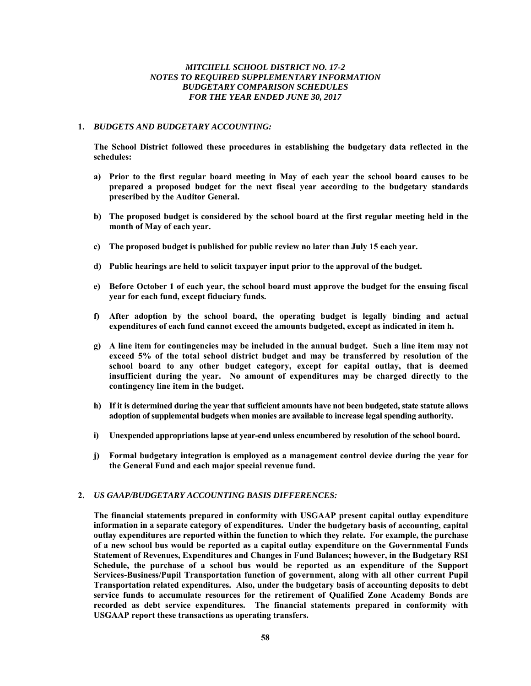## *MITCHELL SCHOOL DISTRICT NO. 17-2 NOTES TO REQUIRED SUPPLEMENTARY INFORMATION BUDGETARY COMPARISON SCHEDULES FOR THE YEAR ENDED JUNE 30, 2017*

## **1.** *BUDGETS AND BUDGETARY ACCOUNTING:*

 **The School District followed these procedures in establishing the budgetary data reflected in the schedules:** 

- **a) Prior to the first regular board meeting in May of each year the school board causes to be prepared a proposed budget for the next fiscal year according to the budgetary standards prescribed by the Auditor General.**
- **b) The proposed budget is considered by the school board at the first regular meeting held in the month of May of each year.**
- **c) The proposed budget is published for public review no later than July 15 each year.**
- **d) Public hearings are held to solicit taxpayer input prior to the approval of the budget.**
- **e) Before October 1 of each year, the school board must approve the budget for the ensuing fiscal year for each fund, except fiduciary funds.**
- **f) After adoption by the school board, the operating budget is legally binding and actual expenditures of each fund cannot exceed the amounts budgeted, except as indicated in item h.**
- **g) A line item for contingencies may be included in the annual budget. Such a line item may not exceed 5% of the total school district budget and may be transferred by resolution of the school board to any other budget category, except for capital outlay, that is deemed insufficient during the year. No amount of expenditures may be charged directly to the contingency line item in the budget.**
- **h) If it is determined during the year that sufficient amounts have not been budgeted, state statute allows adoption of supplemental budgets when monies are available to increase legal spending authority.**
- **i) Unexpended appropriations lapse at year-end unless encumbered by resolution of the school board.**
- **j) Formal budgetary integration is employed as a management control device during the year for the General Fund and each major special revenue fund.**

# **2.** *US GAAP/BUDGETARY ACCOUNTING BASIS DIFFERENCES:*

**The financial statements prepared in conformity with USGAAP present capital outlay expenditure information in a separate category of expenditures. Under the budgetary basis of accounting, capital outlay expenditures are reported within the function to which they relate. For example, the purchase of a new school bus would be reported as a capital outlay expenditure on the Governmental Funds Statement of Revenues, Expenditures and Changes in Fund Balances; however, in the Budgetary RSI Schedule, the purchase of a school bus would be reported as an expenditure of the Support Services-Business/Pupil Transportation function of government, along with all other current Pupil Transportation related expenditures. Also, under the budgetary basis of accounting deposits to debt service funds to accumulate resources for the retirement of Qualified Zone Academy Bonds are recorded as debt service expenditures. The financial statements prepared in conformity with USGAAP report these transactions as operating transfers.**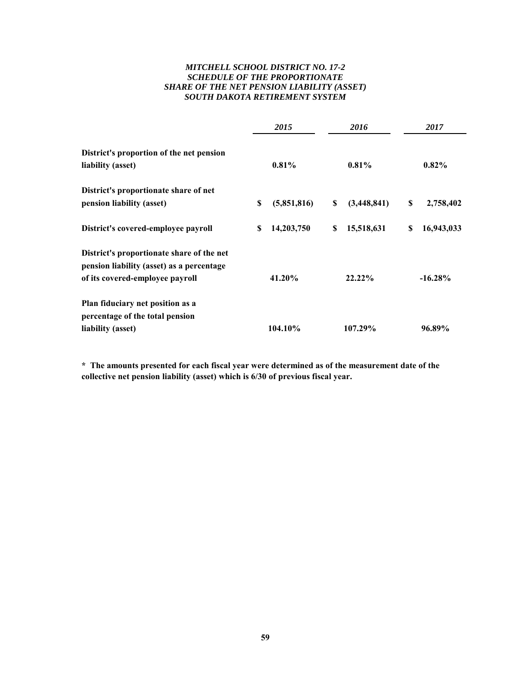# *MITCHELL SCHOOL DISTRICT NO. 17-2 SCHEDULE OF THE PROPORTIONATE SHARE OF THE NET PENSION LIABILITY (ASSET) SOUTH DAKOTA RETIREMENT SYSTEM*

|                                                                                                                           |    | 2015        |    | 2016        | 2017 |            |  |
|---------------------------------------------------------------------------------------------------------------------------|----|-------------|----|-------------|------|------------|--|
| District's proportion of the net pension<br>liability (asset)                                                             |    | $0.81\%$    |    | 0.81%       |      | $0.82\%$   |  |
| District's proportionate share of net                                                                                     |    |             |    |             |      |            |  |
| pension liability (asset)                                                                                                 | \$ | (5,851,816) | \$ | (3,448,841) | \$   | 2,758,402  |  |
| District's covered-employee payroll                                                                                       | S  | 14,203,750  | S  | 15,518,631  | S    | 16,943,033 |  |
| District's proportionate share of the net<br>pension liability (asset) as a percentage<br>of its covered-employee payroll |    | 41.20%      |    | $22.22\%$   |      | $-16.28%$  |  |
| Plan fiduciary net position as a<br>percentage of the total pension<br>liability (asset)                                  |    | 104.10%     |    | 107.29%     |      | 96.89%     |  |

**\* The amounts presented for each fiscal year were determined as of the measurement date of the collective net pension liability (asset) which is 6/30 of previous fiscal year.**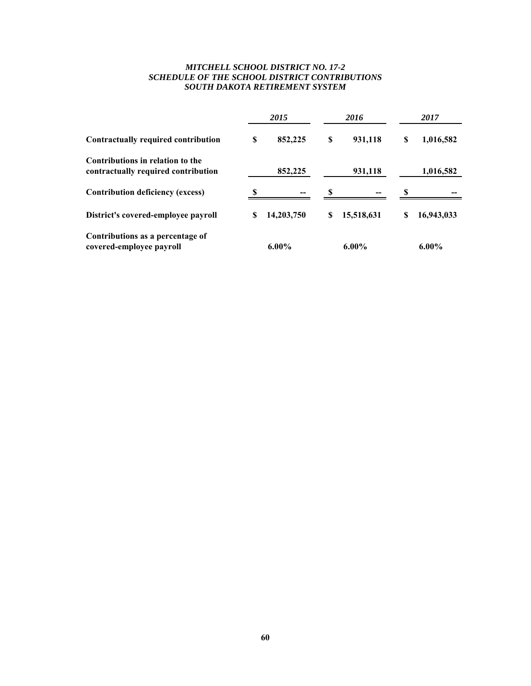# *MITCHELL SCHOOL DISTRICT NO. 17-2 SCHEDULE OF THE SCHOOL DISTRICT CONTRIBUTIONS SOUTH DAKOTA RETIREMENT SYSTEM*

|                                                                         |   | 2015       |   | 2016       | 2017             |
|-------------------------------------------------------------------------|---|------------|---|------------|------------------|
| Contractually required contribution                                     | S | 852,225    | S | 931,118    | \$<br>1,016,582  |
| Contributions in relation to the<br>contractually required contribution |   | 852,225    |   | 931,118    | 1,016,582        |
| <b>Contribution deficiency (excess)</b>                                 |   |            |   |            |                  |
| District's covered-employee payroll                                     | S | 14,203,750 | S | 15,518,631 | \$<br>16,943,033 |
| Contributions as a percentage of<br>covered-employee payroll            |   | $6.00\%$   |   | $6.00\%$   | $6.00\%$         |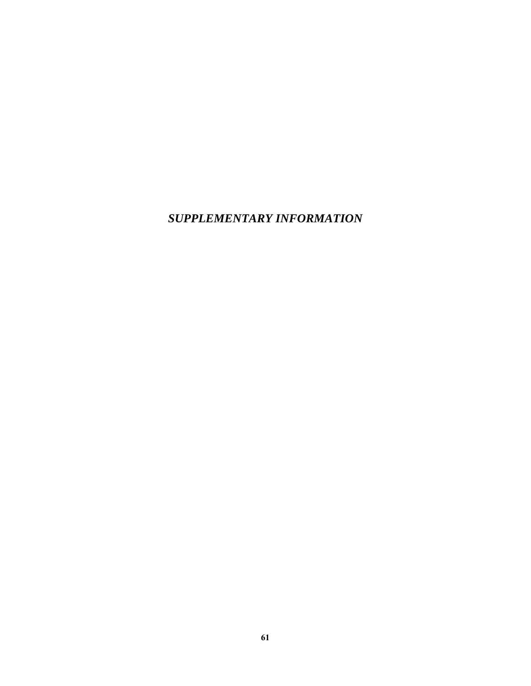*SUPPLEMENTARY INFORMATION*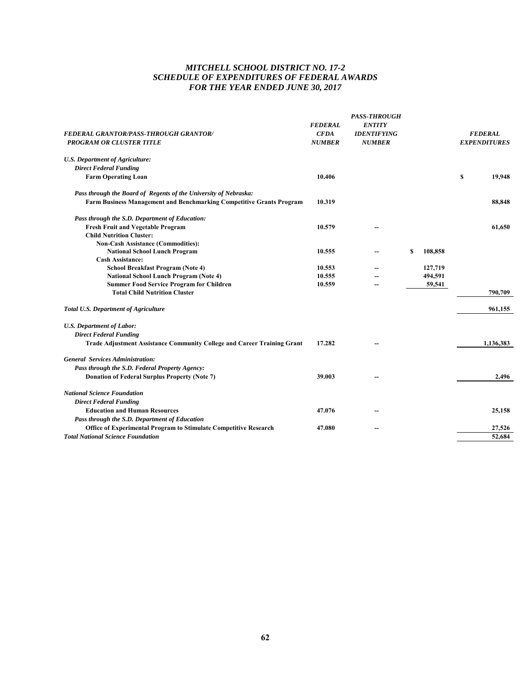# *MITCHELL SCHOOL DISTRICT NO. 17-2 SCHEDULE OF EXPENDITURES OF FEDERAL AWARDS FOR THE YEAR ENDED JUNE 30, 2017*

|                                                                                |                | <b>PASS-THROUGH</b> |   |         |   |                     |
|--------------------------------------------------------------------------------|----------------|---------------------|---|---------|---|---------------------|
|                                                                                | <b>FEDERAL</b> | <b>ENTITY</b>       |   |         |   |                     |
| FEDERAL GRANTOR/PASS-THROUGH GRANTOR/                                          | <b>CFDA</b>    | <b>IDENTIFYING</b>  |   |         |   | <b>FEDERAL</b>      |
| <b>PROGRAM OR CLUSTER TITLE</b>                                                | <b>NUMBER</b>  | <b>NUMBER</b>       |   |         |   | <b>EXPENDITURES</b> |
| <b>U.S. Department of Agriculture:</b>                                         |                |                     |   |         |   |                     |
| <b>Direct Federal Funding</b>                                                  |                |                     |   |         |   |                     |
| <b>Farm Operating Loan</b>                                                     | 10.406         |                     |   |         | S | 19,948              |
| Pass through the Board of Regents of the University of Nebraska:               |                |                     |   |         |   |                     |
| Farm Business Management and Benchmarking Competitive Grants Program           | 10.319         |                     |   |         |   | 88,848              |
| Pass through the S.D. Department of Education:                                 |                |                     |   |         |   |                     |
| Fresh Fruit and Vegetable Program                                              | 10.579         |                     |   |         |   | 61,650              |
| <b>Child Nutrition Cluster:</b>                                                |                |                     |   |         |   |                     |
| <b>Non-Cash Assistance (Commodities):</b>                                      |                |                     |   |         |   |                     |
| <b>National School Lunch Program</b>                                           | 10.555         |                     | S | 108,858 |   |                     |
| <b>Cash Assistance:</b>                                                        |                |                     |   |         |   |                     |
| School Breakfast Program (Note 4)                                              | 10.553         |                     |   | 127,719 |   |                     |
| <b>National School Lunch Program (Note 4)</b>                                  | 10.555         |                     |   | 494,591 |   |                     |
| <b>Summer Food Service Program for Children</b>                                | 10.559         |                     |   | 59,541  |   |                     |
| <b>Total Child Nutrition Cluster</b>                                           |                |                     |   |         |   | 790,709             |
| <b>Total U.S. Department of Agriculture</b>                                    |                |                     |   |         |   | 961,155             |
| <b>U.S. Department of Labor:</b>                                               |                |                     |   |         |   |                     |
| <b>Direct Federal Funding</b>                                                  |                |                     |   |         |   |                     |
| <b>Trade Adjustment Assistance Community College and Career Training Grant</b> | 17.282         |                     |   |         |   | 1,136,383           |
| <b>General Services Administration:</b>                                        |                |                     |   |         |   |                     |
| Pass through the S.D. Federal Property Agency:                                 |                |                     |   |         |   |                     |
| Donation of Federal Surplus Property (Note 7)                                  | 39.003         |                     |   |         |   | 2,496               |
| <b>National Science Foundation</b>                                             |                |                     |   |         |   |                     |
| <b>Direct Federal Funding</b>                                                  |                |                     |   |         |   |                     |
| <b>Education and Human Resources</b>                                           | 47.076         |                     |   |         |   | 25,158              |
| Pass through the S.D. Department of Education                                  |                |                     |   |         |   |                     |
| Office of Experimental Program to Stimulate Competitive Research               | 47.080         |                     |   |         |   | 27,526              |
| <b>Total National Science Foundation</b>                                       |                |                     |   |         |   | 52,684              |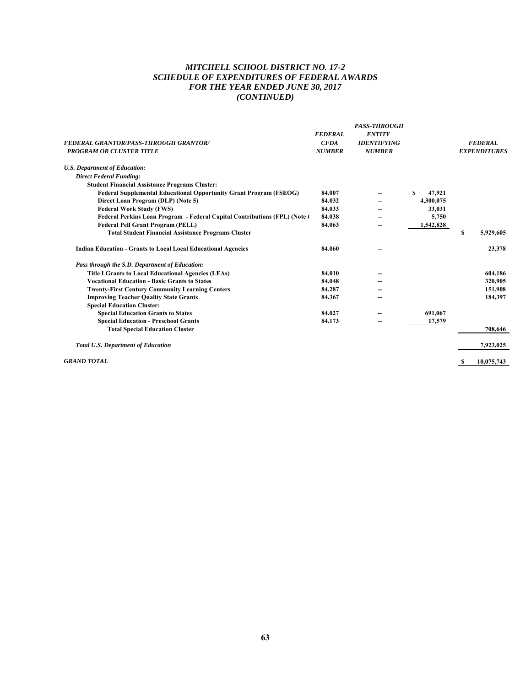# *MITCHELL SCHOOL DISTRICT NO. 17-2 SCHEDULE OF EXPENDITURES OF FEDERAL AWARDS FOR THE YEAR ENDED JUNE 30, 2017 (CONTINUED)*

| <b>FEDERAL GRANTOR/PASS-THROUGH GRANTOR/</b><br><b>PROGRAM OR CLUSTER TITLE</b> | <b>FEDERAL</b><br><b>CFDA</b><br><b>NUMBER</b> | <b>PASS-THROUGH</b><br><b>ENTITY</b><br><b>IDENTIFYING</b><br><b>NUMBER</b> |             | <b>FEDERAL</b><br><b>EXPENDITURES</b> |
|---------------------------------------------------------------------------------|------------------------------------------------|-----------------------------------------------------------------------------|-------------|---------------------------------------|
| <b>U.S. Department of Education:</b>                                            |                                                |                                                                             |             |                                       |
| <b>Direct Federal Funding:</b>                                                  |                                                |                                                                             |             |                                       |
| <b>Student Financial Assistance Programs Cluster:</b>                           |                                                |                                                                             |             |                                       |
| <b>Federal Supplemental Educational Opportunity Grant Program (FSEOG)</b>       | 84.007                                         |                                                                             | 47,921<br>S |                                       |
| Direct Loan Program (DLP) (Note 5)                                              | 84.032                                         |                                                                             | 4,300,075   |                                       |
| <b>Federal Work Study (FWS)</b>                                                 | 84.033                                         |                                                                             | 33,031      |                                       |
| Federal Perkins Loan Program - Federal Capital Contributions (FPL) (Note 6)     | 84.038                                         |                                                                             | 5,750       |                                       |
| <b>Federal Pell Grant Program (PELL)</b>                                        | 84.063                                         |                                                                             | 1,542,828   |                                       |
| <b>Total Student Financial Assistance Programs Cluster</b>                      |                                                |                                                                             |             | S<br>5.929.605                        |
| <b>Indian Education - Grants to Local Local Educational Agencies</b>            | 84.060                                         |                                                                             |             | 23,378                                |
| Pass through the S.D. Department of Education:                                  |                                                |                                                                             |             |                                       |
| <b>Title I Grants to Local Educational Agencies (LEAs)</b>                      | 84.010                                         |                                                                             |             | 604,186                               |
| <b>Vocational Education - Basic Grants to States</b>                            | 84.048                                         |                                                                             |             | 320,905                               |
| <b>Twenty-First Century Community Learning Centers</b>                          | 84.287                                         |                                                                             |             | 151,908                               |
| <b>Improving Teacher Quality State Grants</b>                                   | 84.367                                         |                                                                             |             | 184.397                               |
| <b>Special Education Cluster:</b>                                               |                                                |                                                                             |             |                                       |
| <b>Special Education Grants to States</b>                                       | 84.027                                         |                                                                             | 691,067     |                                       |
| <b>Special Education - Preschool Grants</b>                                     | 84.173                                         |                                                                             | 17,579      |                                       |
| <b>Total Special Education Cluster</b>                                          |                                                |                                                                             |             | 708,646                               |
| <b>Total U.S. Department of Education</b>                                       |                                                |                                                                             |             | 7,923,025                             |
| <b>GRAND TOTAL</b>                                                              |                                                |                                                                             |             | 10,075,743<br>s                       |